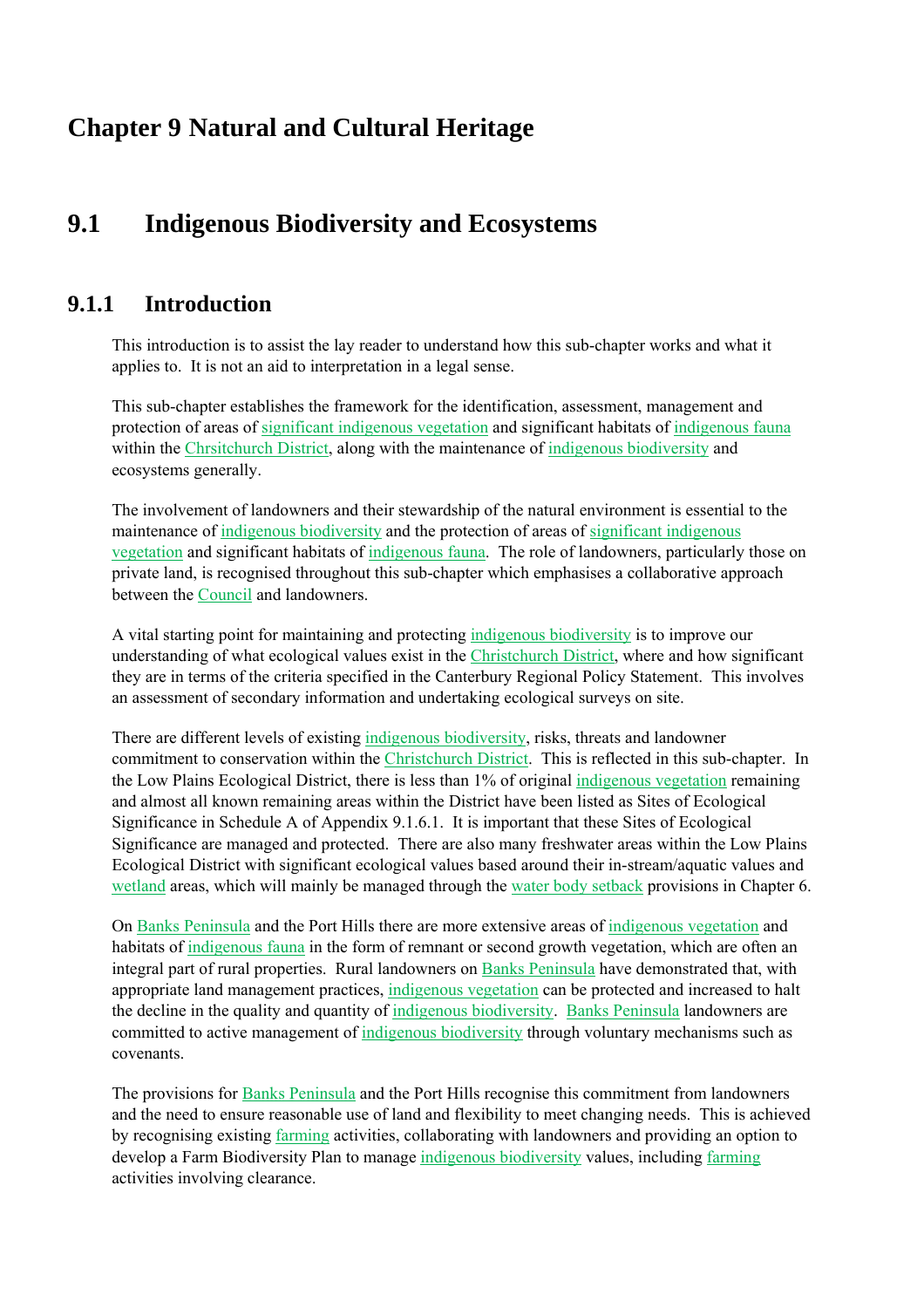## **Chapter 9 Natural and Cultural Heritage**

## **9.1 Indigenous Biodiversity and Ecosystems**

## **9.1.1 Introduction**

This introduction is to assist the lay reader to understand how this sub-chapter works and what it applies to. It is not an aid to interpretation in a legal sense.

This sub-chapter establishes the framework for the identification, assessment, management and protection of areas of significant indigenous vegetation and significant habitats of indigenous fauna within the Chrsitchurch District, along with the maintenance of indigenous biodiversity and ecosystems generally.

The involvement of landowners and their stewardship of the natural environment is essential to the maintenance of indigenous biodiversity and the protection of areas of significant indigenous vegetation and significant habitats of indigenous fauna. The role of landowners, particularly those on private land, is recognised throughout this sub-chapter which emphasises a collaborative approach between the Council and landowners.

A vital starting point for maintaining and protecting indigenous biodiversity is to improve our understanding of what ecological values exist in the Christchurch District, where and how significant they are in terms of the criteria specified in the Canterbury Regional Policy Statement. This involves an assessment of secondary information and undertaking ecological surveys on site.

There are different levels of existing indigenous biodiversity, risks, threats and landowner commitment to conservation within the Christchurch District. This is reflected in this sub-chapter. In the Low Plains Ecological District, there is less than 1% of original indigenous vegetation remaining and almost all known remaining areas within the District have been listed as Sites of Ecological Significance in Schedule A of Appendix 9.1.6.1. It is important that these Sites of Ecological Significance are managed and protected. There are also many freshwater areas within the Low Plains Ecological District with significant ecological values based around their in-stream/aquatic values and wetland areas, which will mainly be managed through the water body setback provisions in Chapter 6.

On Banks Peninsula and the Port Hills there are more extensive areas of indigenous vegetation and habitats of indigenous fauna in the form of remnant or second growth vegetation, which are often an integral part of rural properties. Rural landowners on Banks Peninsula have demonstrated that, with appropriate land management practices, indigenous vegetation can be protected and increased to halt the decline in the quality and quantity of indigenous biodiversity. Banks Peninsula landowners are committed to active management of indigenous biodiversity through voluntary mechanisms such as covenants.

The provisions for Banks Peninsula and the Port Hills recognise this commitment from landowners and the need to ensure reasonable use of land and flexibility to meet changing needs. This is achieved by recognising existing farming activities, collaborating with landowners and providing an option to develop a Farm Biodiversity Plan to manage indigenous biodiversity values, including farming activities involving clearance.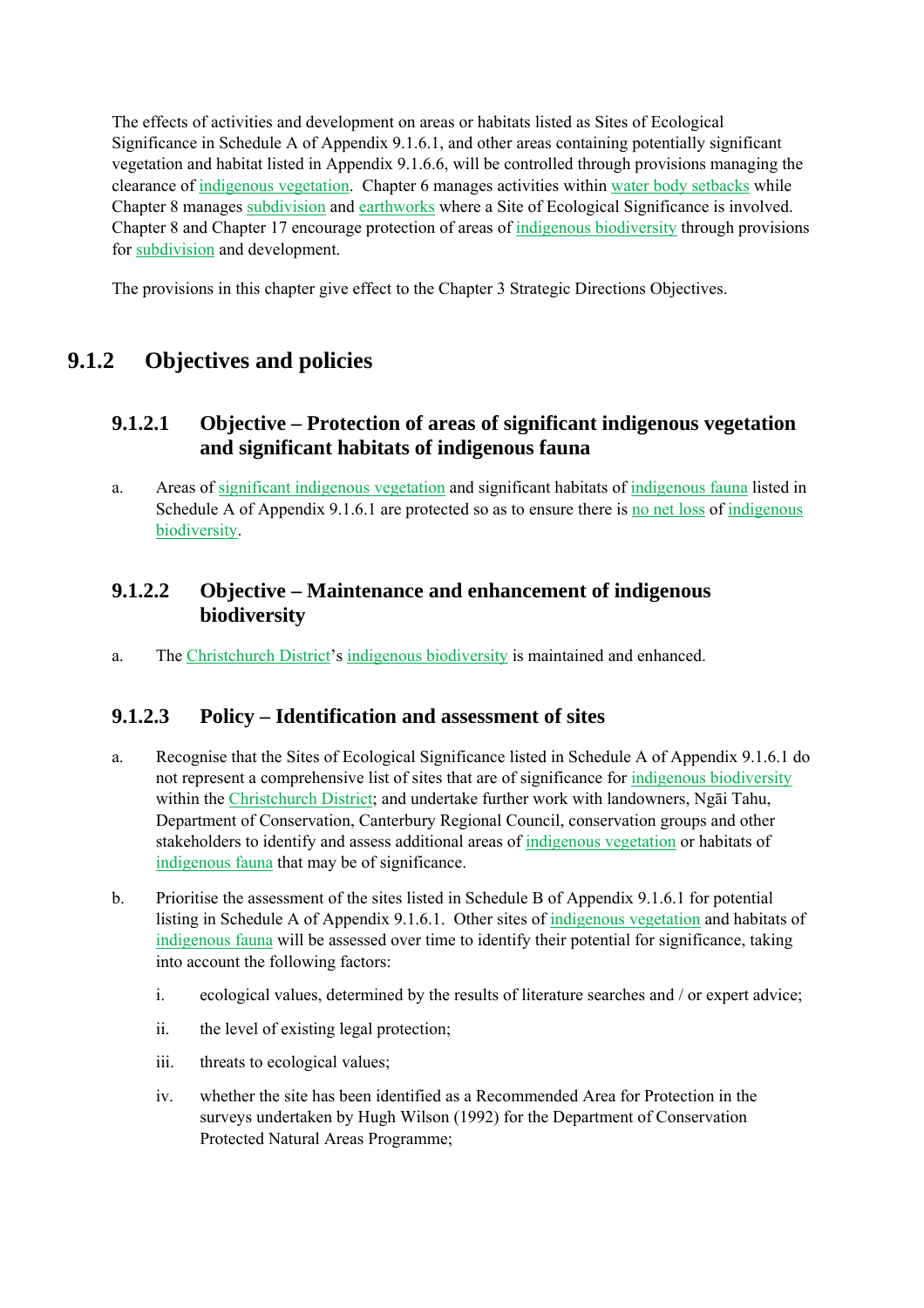The effects of activities and development on areas or habitats listed as Sites of Ecological Significance in Schedule A of Appendix 9.1.6.1, and other areas containing potentially significant vegetation and habitat listed in Appendix 9.1.6.6, will be controlled through provisions managing the clearance of indigenous vegetation. Chapter 6 manages activities within water body setbacks while Chapter 8 manages subdivision and earthworks where a Site of Ecological Significance is involved. Chapter 8 and Chapter 17 encourage protection of areas of indigenous biodiversity through provisions for subdivision and development.

The provisions in this chapter give effect to the Chapter 3 Strategic Directions Objectives.

## **9.1.2 Objectives and policies**

## **9.1.2.1 Objective – Protection of areas of significant indigenous vegetation and significant habitats of indigenous fauna**

a. Areas of significant indigenous vegetation and significant habitats of indigenous fauna listed in Schedule A of Appendix 9.1.6.1 are protected so as to ensure there is no net loss of indigenous biodiversity.

### **9.1.2.2 Objective – Maintenance and enhancement of indigenous biodiversity**

a. The Christchurch District's indigenous biodiversity is maintained and enhanced.

### **9.1.2.3 Policy – Identification and assessment of sites**

- a. Recognise that the Sites of Ecological Significance listed in Schedule A of Appendix 9.1.6.1 do not represent a comprehensive list of sites that are of significance for indigenous biodiversity within the Christchurch District; and undertake further work with landowners, Ngāi Tahu, Department of Conservation, Canterbury Regional Council, conservation groups and other stakeholders to identify and assess additional areas of indigenous vegetation or habitats of indigenous fauna that may be of significance.
- b. Prioritise the assessment of the sites listed in Schedule B of Appendix 9.1.6.1 for potential listing in Schedule A of Appendix 9.1.6.1. Other sites of indigenous vegetation and habitats of indigenous fauna will be assessed over time to identify their potential for significance, taking into account the following factors:
	- i. ecological values, determined by the results of literature searches and / or expert advice;
	- ii. the level of existing legal protection;
	- iii. threats to ecological values;
	- iv. whether the site has been identified as a Recommended Area for Protection in the surveys undertaken by Hugh Wilson (1992) for the Department of Conservation Protected Natural Areas Programme;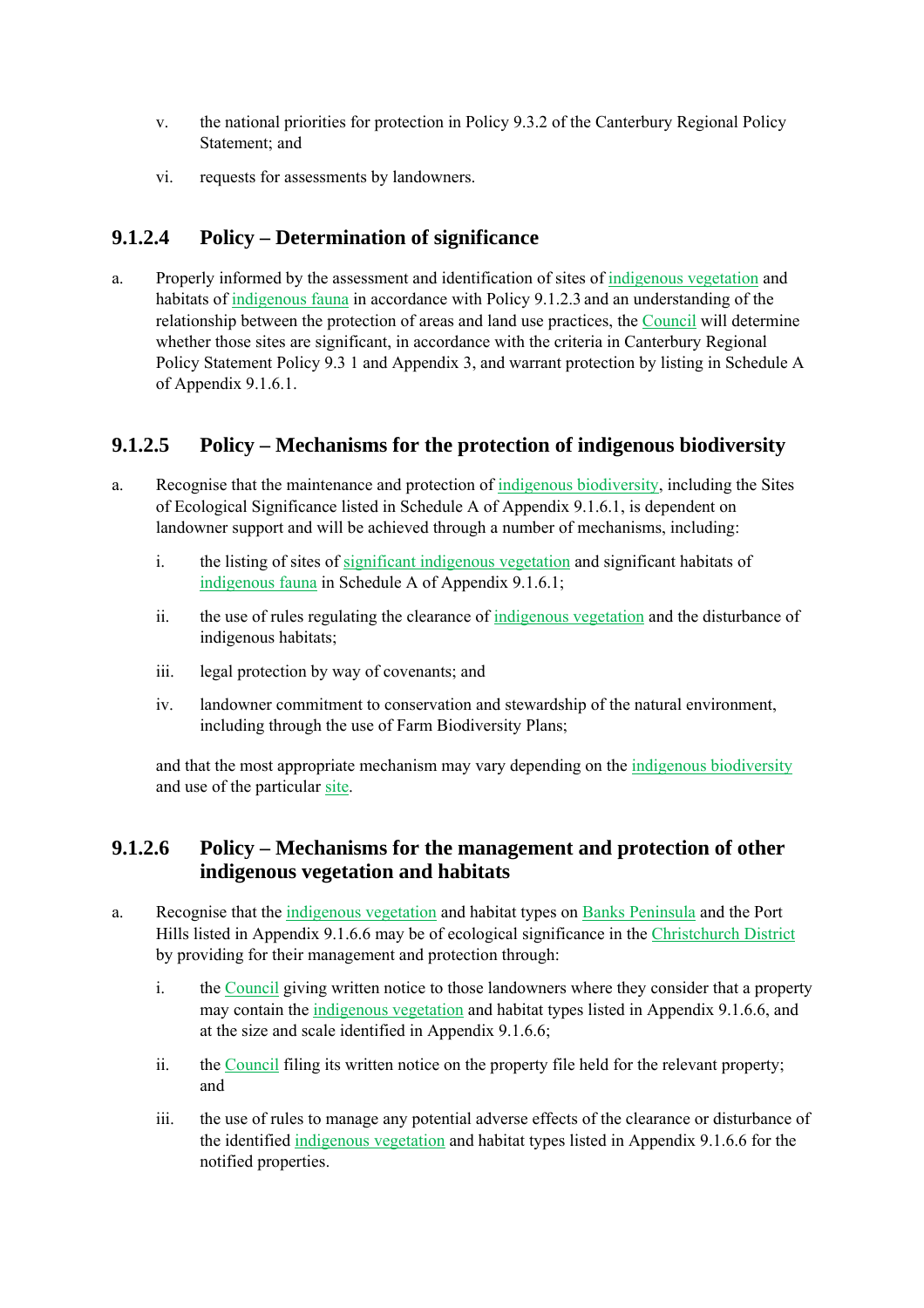- v. the national priorities for protection in Policy 9.3.2 of the Canterbury Regional Policy Statement; and
- vi. requests for assessments by landowners.

## **9.1.2.4 Policy – Determination of significance**

a. Properly informed by the assessment and identification of sites of indigenous vegetation and habitats of indigenous fauna in accordance with Policy 9.1.2.3 and an understanding of the relationship between the protection of areas and land use practices, the Council will determine whether those sites are significant, in accordance with the criteria in Canterbury Regional Policy Statement Policy 9.3 1 and Appendix 3, and warrant protection by listing in Schedule A of Appendix 9.1.6.1.

### **9.1.2.5 Policy – Mechanisms for the protection of indigenous biodiversity**

- a. Recognise that the maintenance and protection of indigenous biodiversity, including the Sites of Ecological Significance listed in Schedule A of Appendix 9.1.6.1, is dependent on landowner support and will be achieved through a number of mechanisms, including:
	- i. the listing of sites of significant indigenous vegetation and significant habitats of indigenous fauna in Schedule A of Appendix 9.1.6.1;
	- ii. the use of rules regulating the clearance of indigenous vegetation and the disturbance of indigenous habitats;
	- iii. legal protection by way of covenants; and
	- iv. landowner commitment to conservation and stewardship of the natural environment, including through the use of Farm Biodiversity Plans;

and that the most appropriate mechanism may vary depending on the indigenous biodiversity and use of the particular site.

### **9.1.2.6 Policy – Mechanisms for the management and protection of other indigenous vegetation and habitats**

- a. Recognise that the indigenous vegetation and habitat types on Banks Peninsula and the Port Hills listed in Appendix 9.1.6.6 may be of ecological significance in the Christchurch District by providing for their management and protection through:
	- i. the Council giving written notice to those landowners where they consider that a property may contain the indigenous vegetation and habitat types listed in Appendix 9.1.6.6, and at the size and scale identified in Appendix 9.1.6.6;
	- ii. the Council filing its written notice on the property file held for the relevant property; and
	- iii. the use of rules to manage any potential adverse effects of the clearance or disturbance of the identified indigenous vegetation and habitat types listed in Appendix 9.1.6.6 for the notified properties.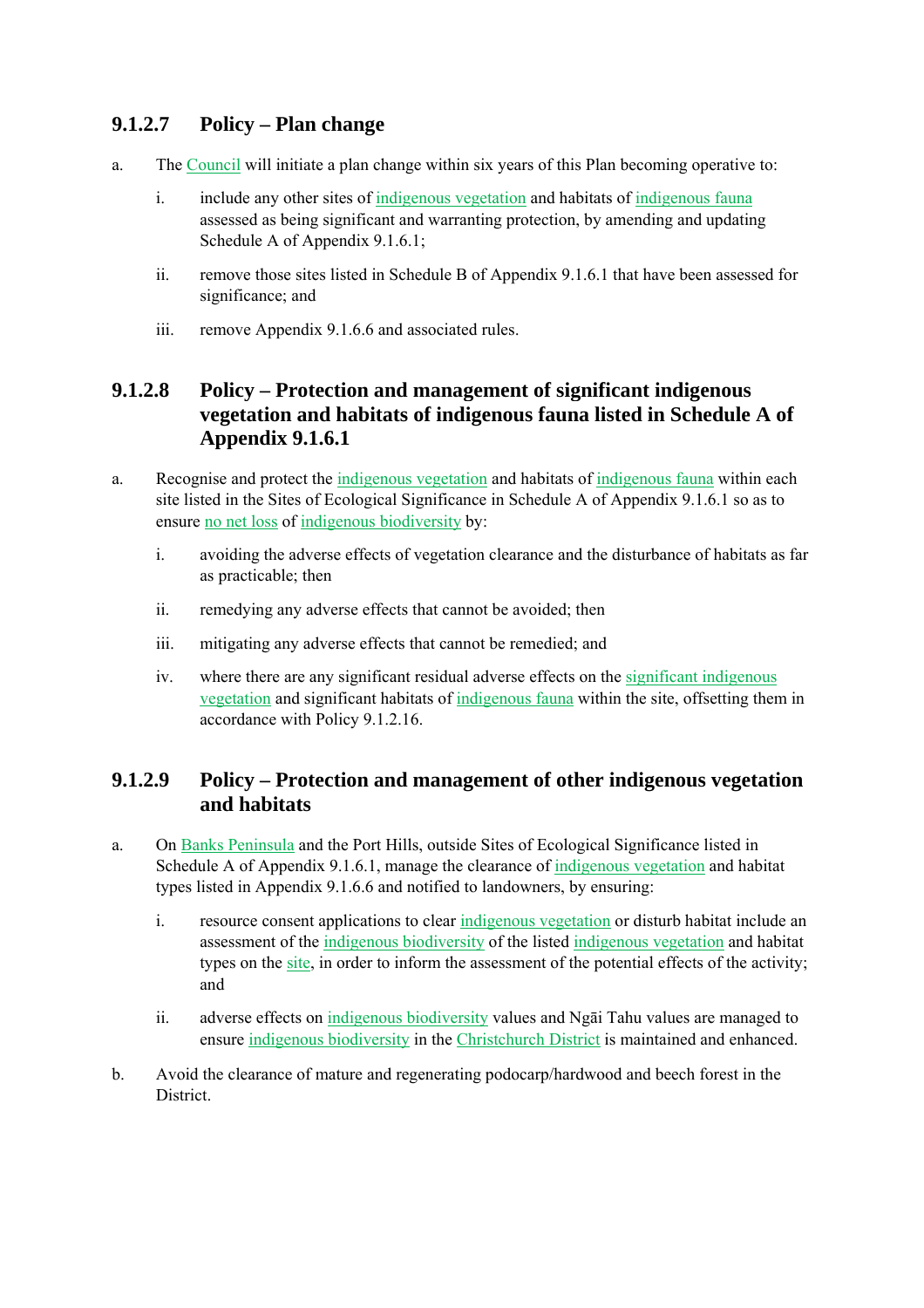### **9.1.2.7 Policy – Plan change**

- a. The Council will initiate a plan change within six years of this Plan becoming operative to:
	- i. include any other sites of indigenous vegetation and habitats of indigenous fauna assessed as being significant and warranting protection, by amending and updating Schedule A of Appendix 9.1.6.1;
	- ii. remove those sites listed in Schedule B of Appendix 9.1.6.1 that have been assessed for significance; and
	- iii. remove Appendix 9.1.6.6 and associated rules.

## **9.1.2.8 Policy – Protection and management of significant indigenous vegetation and habitats of indigenous fauna listed in Schedule A of Appendix 9.1.6.1**

- a. Recognise and protect the indigenous vegetation and habitats of indigenous fauna within each site listed in the Sites of Ecological Significance in Schedule A of Appendix 9.1.6.1 so as to ensure no net loss of indigenous biodiversity by:
	- i. avoiding the adverse effects of vegetation clearance and the disturbance of habitats as far as practicable; then
	- ii. remedying any adverse effects that cannot be avoided; then
	- iii. mitigating any adverse effects that cannot be remedied; and
	- iv. where there are any significant residual adverse effects on the significant indigenous vegetation and significant habitats of indigenous fauna within the site, offsetting them in accordance with Policy 9.1.2.16.

### **9.1.2.9 Policy – Protection and management of other indigenous vegetation and habitats**

- a. On Banks Peninsula and the Port Hills, outside Sites of Ecological Significance listed in Schedule A of Appendix 9.1.6.1, manage the clearance of indigenous vegetation and habitat types listed in Appendix 9.1.6.6 and notified to landowners, by ensuring:
	- i. resource consent applications to clear indigenous vegetation or disturb habitat include an assessment of the indigenous biodiversity of the listed indigenous vegetation and habitat types on the site, in order to inform the assessment of the potential effects of the activity; and
	- ii. adverse effects on indigenous biodiversity values and Ngāi Tahu values are managed to ensure indigenous biodiversity in the Christchurch District is maintained and enhanced.
- b. Avoid the clearance of mature and regenerating podocarp/hardwood and beech forest in the **District**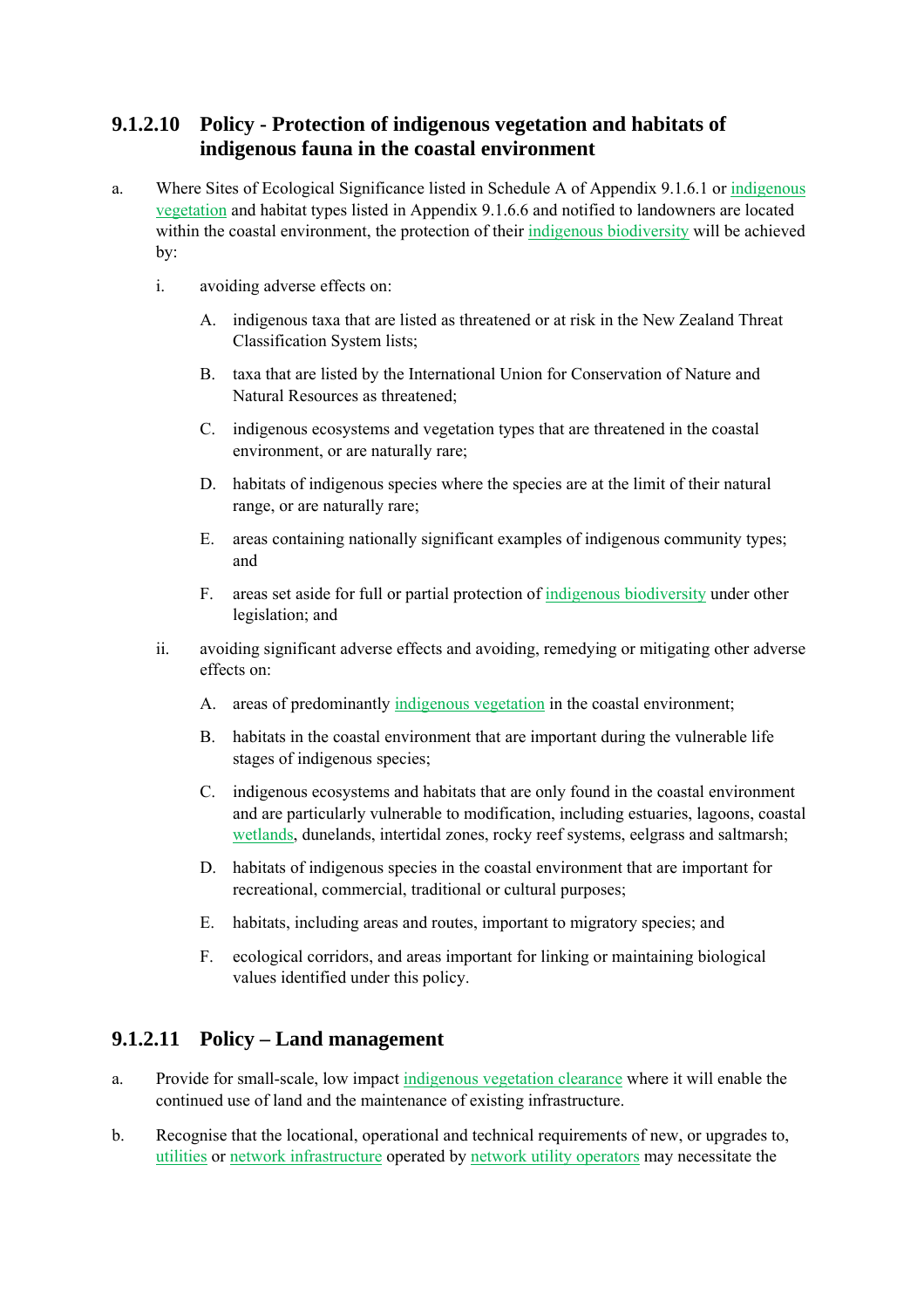## **9.1.2.10 Policy - Protection of indigenous vegetation and habitats of indigenous fauna in the coastal environment**

- a. Where Sites of Ecological Significance listed in Schedule A of Appendix 9.1.6.1 or indigenous vegetation and habitat types listed in Appendix 9.1.6.6 and notified to landowners are located within the coastal environment, the protection of their indigenous biodiversity will be achieved by:
	- i. avoiding adverse effects on:
		- A. indigenous taxa that are listed as threatened or at risk in the New Zealand Threat Classification System lists;
		- B. taxa that are listed by the International Union for Conservation of Nature and Natural Resources as threatened;
		- C. indigenous ecosystems and vegetation types that are threatened in the coastal environment, or are naturally rare;
		- D. habitats of indigenous species where the species are at the limit of their natural range, or are naturally rare;
		- E. areas containing nationally significant examples of indigenous community types; and
		- F. areas set aside for full or partial protection of indigenous biodiversity under other legislation; and
	- ii. avoiding significant adverse effects and avoiding, remedying or mitigating other adverse effects on:
		- A. areas of predominantly indigenous vegetation in the coastal environment;
		- B. habitats in the coastal environment that are important during the vulnerable life stages of indigenous species;
		- C. indigenous ecosystems and habitats that are only found in the coastal environment and are particularly vulnerable to modification, including estuaries, lagoons, coastal wetlands, dunelands, intertidal zones, rocky reef systems, eelgrass and saltmarsh;
		- D. habitats of indigenous species in the coastal environment that are important for recreational, commercial, traditional or cultural purposes;
		- E. habitats, including areas and routes, important to migratory species; and
		- F. ecological corridors, and areas important for linking or maintaining biological values identified under this policy.

## **9.1.2.11 Policy – Land management**

- a. Provide for small-scale, low impact indigenous vegetation clearance where it will enable the continued use of land and the maintenance of existing infrastructure.
- b. Recognise that the locational, operational and technical requirements of new, or upgrades to, utilities or network infrastructure operated by network utility operators may necessitate the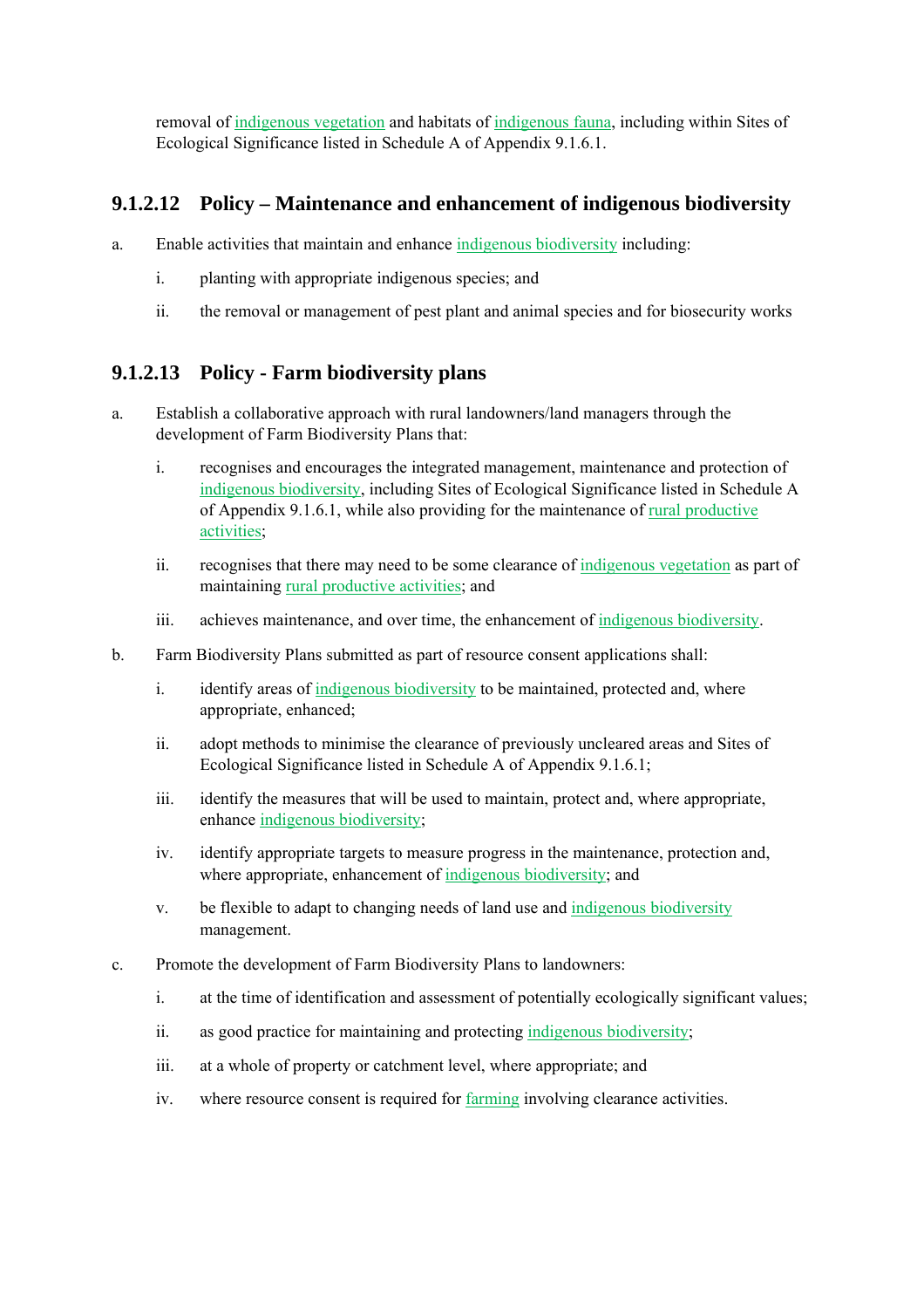removal of indigenous vegetation and habitats of indigenous fauna, including within Sites of Ecological Significance listed in Schedule A of Appendix 9.1.6.1.

## **9.1.2.12 Policy – Maintenance and enhancement of indigenous biodiversity**

- a. Enable activities that maintain and enhance indigenous biodiversity including:
	- i. planting with appropriate indigenous species; and
	- ii. the removal or management of pest plant and animal species and for biosecurity works

## **9.1.2.13 Policy - Farm biodiversity plans**

- a. Establish a collaborative approach with rural landowners/land managers through the development of Farm Biodiversity Plans that:
	- i. recognises and encourages the integrated management, maintenance and protection of indigenous biodiversity, including Sites of Ecological Significance listed in Schedule A of Appendix 9.1.6.1, while also providing for the maintenance of rural productive activities;
	- ii. recognises that there may need to be some clearance of indigenous vegetation as part of maintaining rural productive activities; and
	- iii. achieves maintenance, and over time, the enhancement of indigenous biodiversity.
- b. Farm Biodiversity Plans submitted as part of resource consent applications shall:
	- i. identify areas of indigenous biodiversity to be maintained, protected and, where appropriate, enhanced;
	- ii. adopt methods to minimise the clearance of previously uncleared areas and Sites of Ecological Significance listed in Schedule A of Appendix 9.1.6.1;
	- iii. identify the measures that will be used to maintain, protect and, where appropriate, enhance indigenous biodiversity;
	- iv. identify appropriate targets to measure progress in the maintenance, protection and, where appropriate, enhancement of indigenous biodiversity; and
	- v. be flexible to adapt to changing needs of land use and indigenous biodiversity management.
- c. Promote the development of Farm Biodiversity Plans to landowners:
	- i. at the time of identification and assessment of potentially ecologically significant values;
	- ii. as good practice for maintaining and protecting indigenous biodiversity;
	- iii. at a whole of property or catchment level, where appropriate; and
	- iv. where resource consent is required for farming involving clearance activities.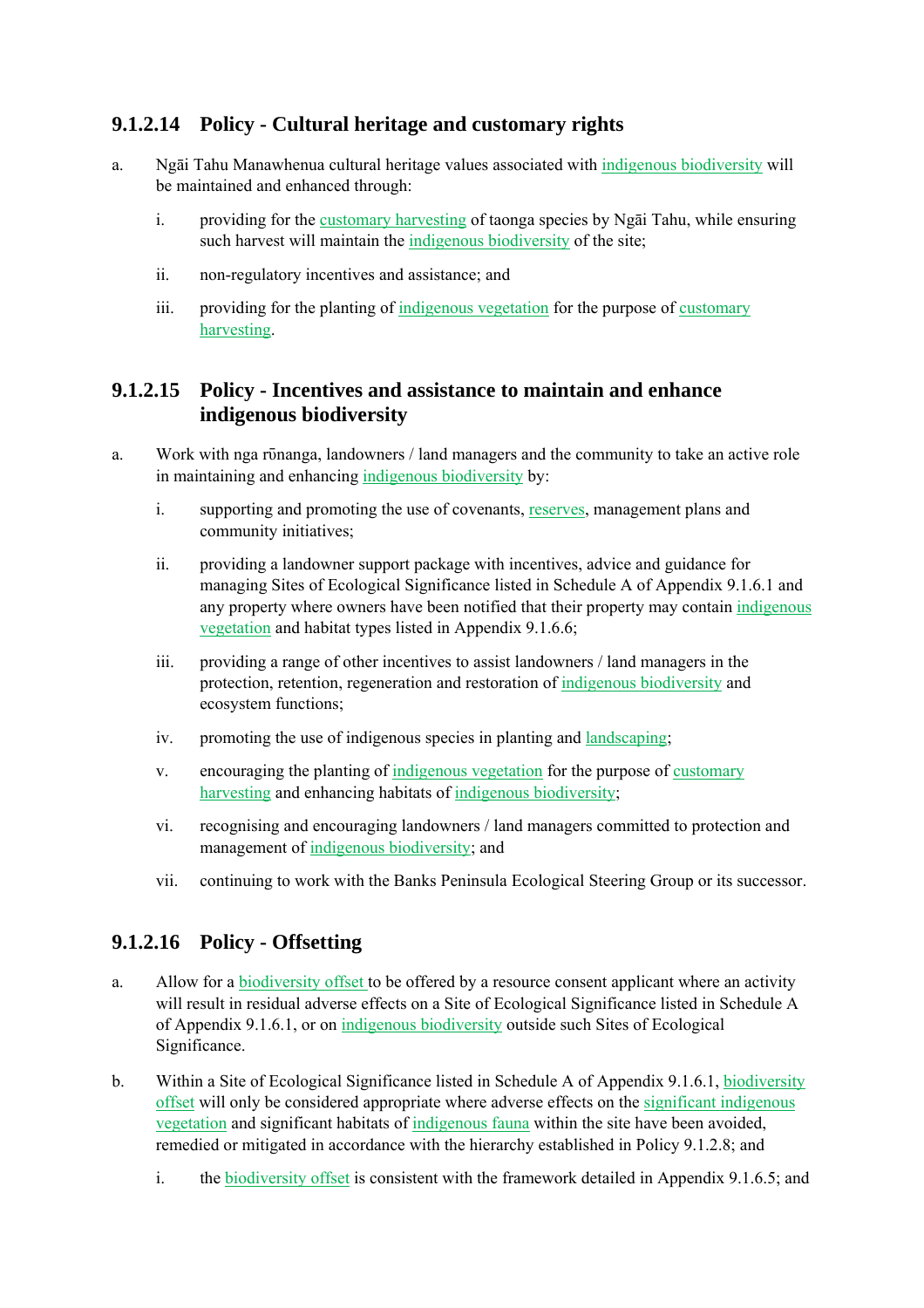## **9.1.2.14 Policy - Cultural heritage and customary rights**

- a. Ngāi Tahu Manawhenua cultural heritage values associated with indigenous biodiversity will be maintained and enhanced through:
	- i. providing for the customary harvesting of taonga species by Ngāi Tahu, while ensuring such harvest will maintain the indigenous biodiversity of the site;
	- ii. non-regulatory incentives and assistance; and
	- iii. providing for the planting of indigenous vegetation for the purpose of customary harvesting.

## **9.1.2.15 Policy - Incentives and assistance to maintain and enhance indigenous biodiversity**

- a. Work with nga rūnanga, landowners / land managers and the community to take an active role in maintaining and enhancing indigenous biodiversity by:
	- i. supporting and promoting the use of covenants, reserves, management plans and community initiatives;
	- ii. providing a landowner support package with incentives, advice and guidance for managing Sites of Ecological Significance listed in Schedule A of Appendix 9.1.6.1 and any property where owners have been notified that their property may contain indigenous vegetation and habitat types listed in Appendix 9.1.6.6;
	- iii. providing a range of other incentives to assist landowners / land managers in the protection, retention, regeneration and restoration of indigenous biodiversity and ecosystem functions;
	- iv. promoting the use of indigenous species in planting and landscaping;
	- v. encouraging the planting of indigenous vegetation for the purpose of customary harvesting and enhancing habitats of indigenous biodiversity;
	- vi. recognising and encouraging landowners / land managers committed to protection and management of indigenous biodiversity; and
	- vii. continuing to work with the Banks Peninsula Ecological Steering Group or its successor.

### **9.1.2.16 Policy - Offsetting**

- a. Allow for a biodiversity offset to be offered by a resource consent applicant where an activity will result in residual adverse effects on a Site of Ecological Significance listed in Schedule A of Appendix 9.1.6.1, or on indigenous biodiversity outside such Sites of Ecological Significance.
- b. Within a Site of Ecological Significance listed in Schedule A of Appendix 9.1.6.1, biodiversity offset will only be considered appropriate where adverse effects on the significant indigenous vegetation and significant habitats of indigenous fauna within the site have been avoided, remedied or mitigated in accordance with the hierarchy established in Policy 9.1.2.8; and
	- i. the biodiversity offset is consistent with the framework detailed in Appendix 9.1.6.5; and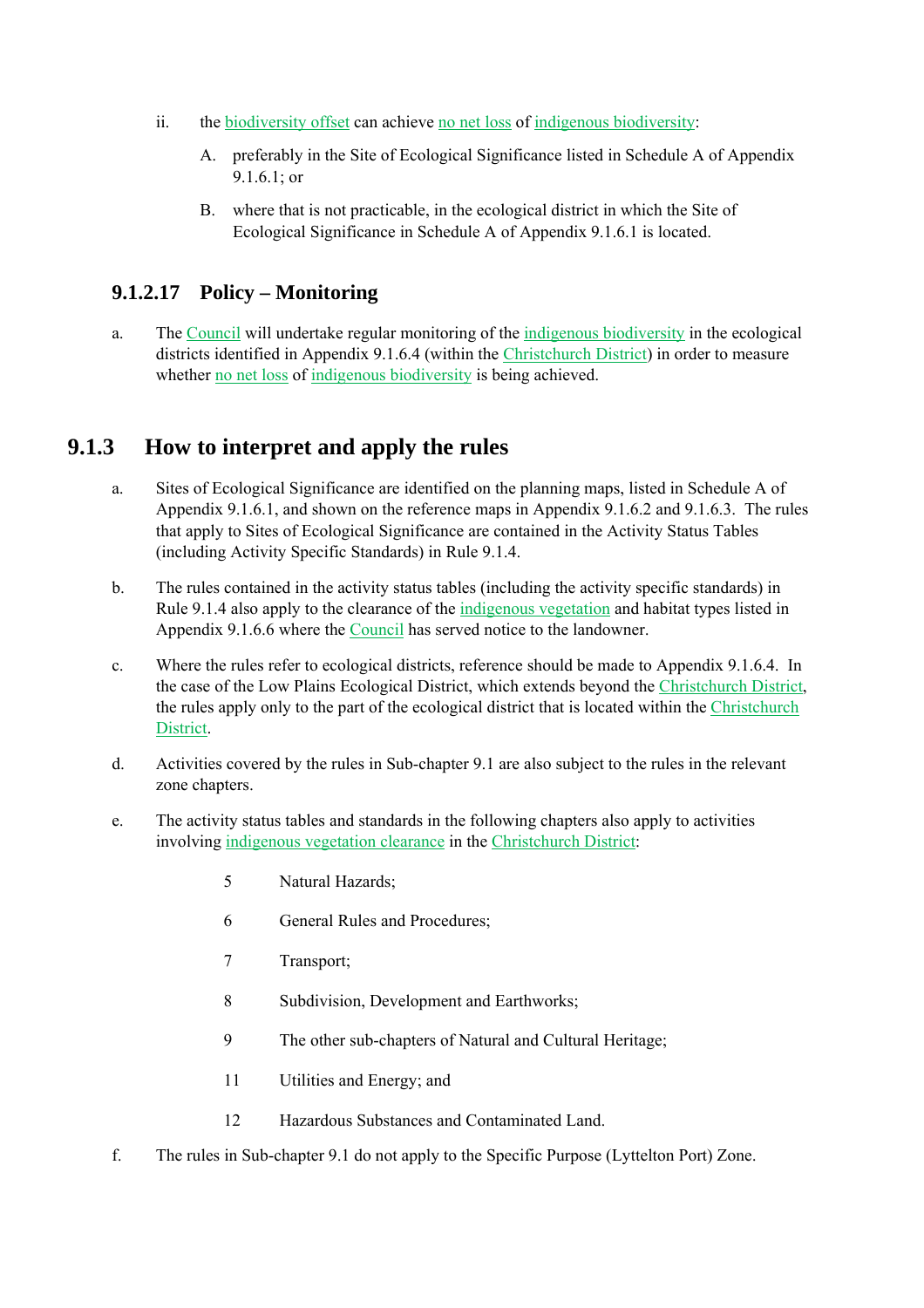- ii. the biodiversity offset can achieve no net loss of indigenous biodiversity:
	- A. preferably in the Site of Ecological Significance listed in Schedule A of Appendix 9.1.6.1; or
	- B. where that is not practicable, in the ecological district in which the Site of Ecological Significance in Schedule A of Appendix 9.1.6.1 is located.

## **9.1.2.17 Policy – Monitoring**

a. The Council will undertake regular monitoring of the indigenous biodiversity in the ecological districts identified in Appendix 9.1.6.4 (within the Christchurch District) in order to measure whether no net loss of indigenous biodiversity is being achieved.

## **9.1.3 How to interpret and apply the rules**

- a. Sites of Ecological Significance are identified on the planning maps, listed in Schedule A of Appendix 9.1.6.1, and shown on the reference maps in Appendix 9.1.6.2 and 9.1.6.3. The rules that apply to Sites of Ecological Significance are contained in the Activity Status Tables (including Activity Specific Standards) in Rule 9.1.4.
- b. The rules contained in the activity status tables (including the activity specific standards) in Rule 9.1.4 also apply to the clearance of the indigenous vegetation and habitat types listed in Appendix 9.1.6.6 where the Council has served notice to the landowner.
- c. Where the rules refer to ecological districts, reference should be made to Appendix 9.1.6.4. In the case of the Low Plains Ecological District, which extends beyond the Christchurch District, the rules apply only to the part of the ecological district that is located within the Christchurch District.
- d. Activities covered by the rules in Sub-chapter 9.1 are also subject to the rules in the relevant zone chapters.
- e. The activity status tables and standards in the following chapters also apply to activities involving indigenous vegetation clearance in the Christchurch District:
	- 5 Natural Hazards;
	- 6 General Rules and Procedures;
	- 7 Transport;
	- 8 Subdivision, Development and Earthworks;
	- 9 The other sub-chapters of Natural and Cultural Heritage;
	- 11 Utilities and Energy; and
	- 12 Hazardous Substances and Contaminated Land.
- f. The rules in Sub-chapter 9.1 do not apply to the Specific Purpose (Lyttelton Port) Zone.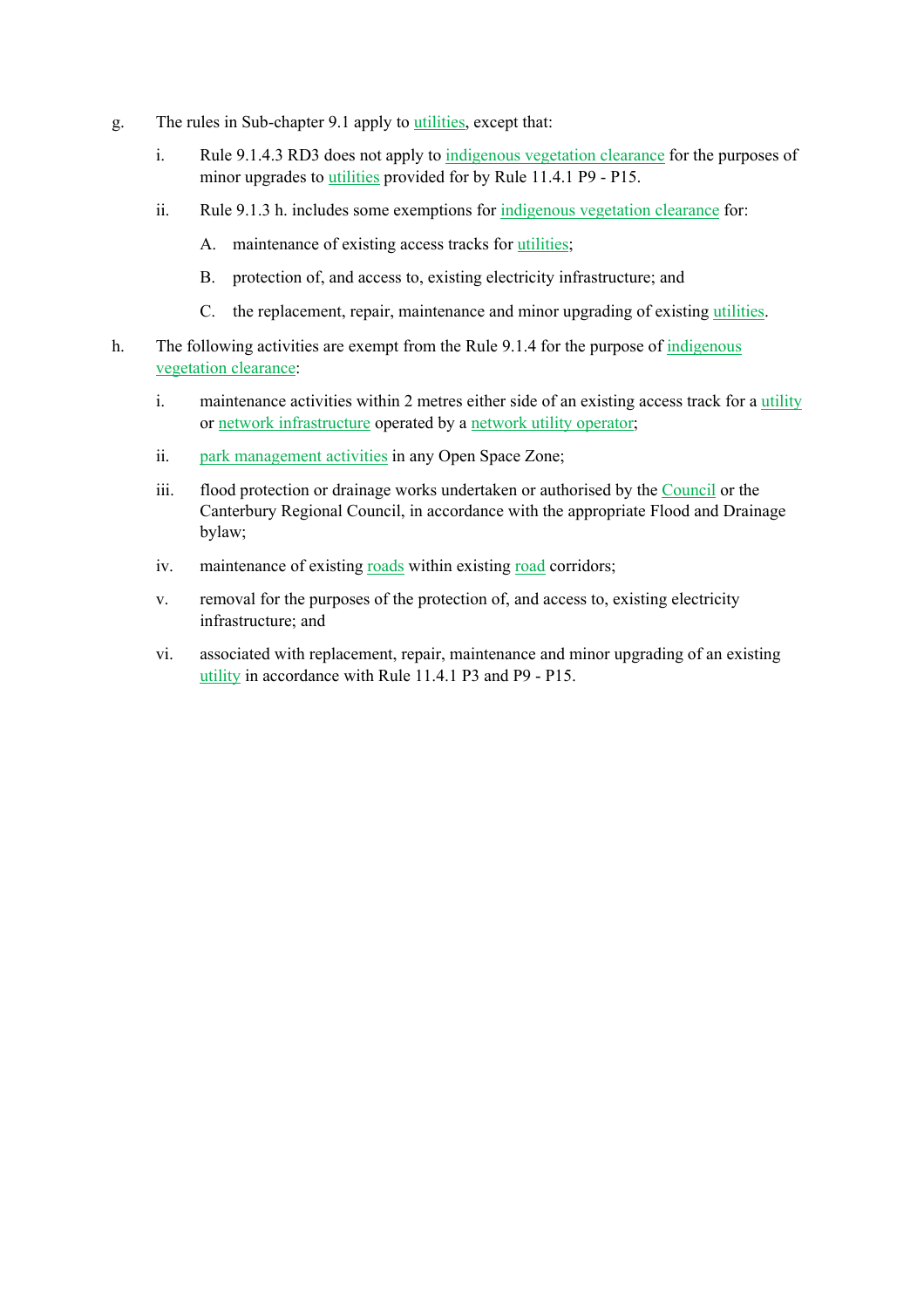- g. The rules in Sub-chapter 9.1 apply to utilities, except that:
	- i. Rule 9.1.4.3 RD3 does not apply to indigenous vegetation clearance for the purposes of minor upgrades to utilities provided for by Rule 11.4.1 P9 - P15.
	- ii. Rule 9.1.3 h. includes some exemptions for indigenous vegetation clearance for:
		- A. maintenance of existing access tracks for utilities;
		- B. protection of, and access to, existing electricity infrastructure; and
		- C. the replacement, repair, maintenance and minor upgrading of existing utilities.
- h. The following activities are exempt from the Rule 9.1.4 for the purpose of indigenous vegetation clearance:
	- i. maintenance activities within 2 metres either side of an existing access track for a utility or network infrastructure operated by a network utility operator;
	- ii. park management activities in any Open Space Zone;
	- iii. flood protection or drainage works undertaken or authorised by the Council or the Canterbury Regional Council, in accordance with the appropriate Flood and Drainage bylaw;
	- iv. maintenance of existing roads within existing road corridors;
	- v. removal for the purposes of the protection of, and access to, existing electricity infrastructure; and
	- vi. associated with replacement, repair, maintenance and minor upgrading of an existing utility in accordance with Rule 11.4.1 P3 and P9 - P15.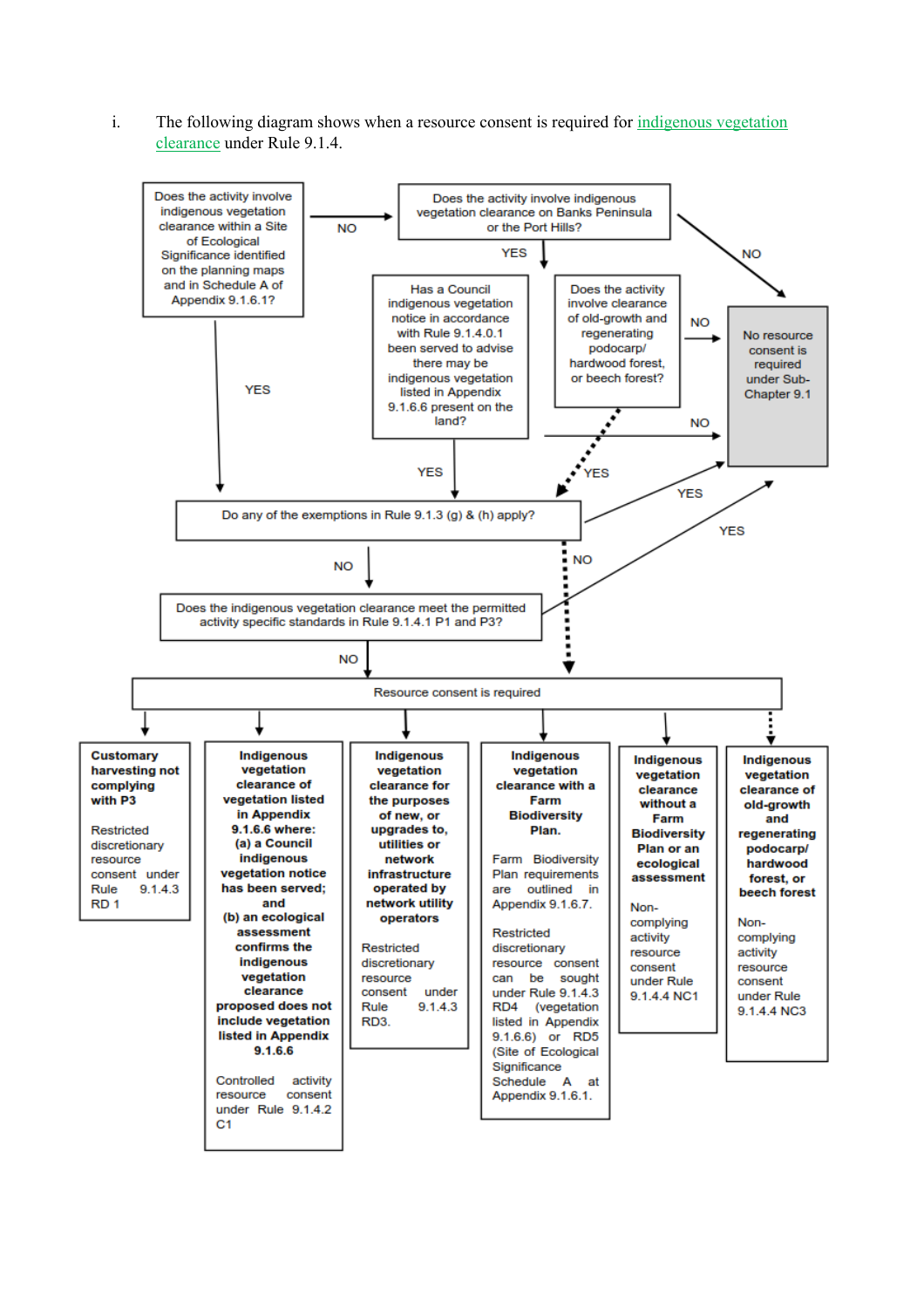i. The following diagram shows when a resource consent is required for indigenous vegetation clearance under Rule 9.1.4.

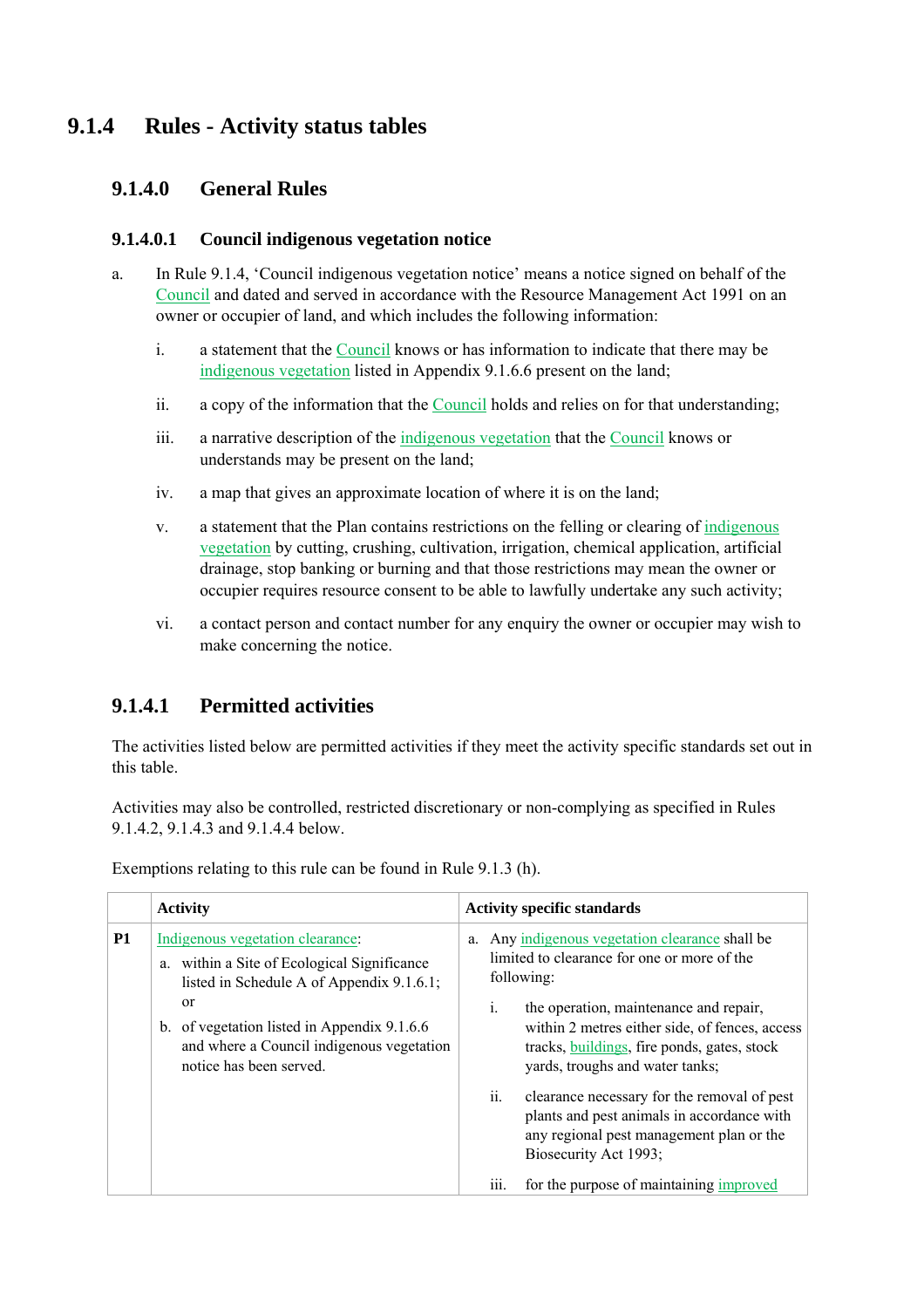## **9.1.4 Rules - Activity status tables**

### **9.1.4.0 General Rules**

#### **9.1.4.0.1 Council indigenous vegetation notice**

- a. In Rule 9.1.4, 'Council indigenous vegetation notice' means a notice signed on behalf of the Council and dated and served in accordance with the Resource Management Act 1991 on an owner or occupier of land, and which includes the following information:
	- i. a statement that the Council knows or has information to indicate that there may be indigenous vegetation listed in Appendix 9.1.6.6 present on the land;
	- ii. a copy of the information that the Council holds and relies on for that understanding;
	- iii. a narrative description of the indigenous vegetation that the Council knows or understands may be present on the land;
	- iv. a map that gives an approximate location of where it is on the land;
	- v. a statement that the Plan contains restrictions on the felling or clearing of indigenous vegetation by cutting, crushing, cultivation, irrigation, chemical application, artificial drainage, stop banking or burning and that those restrictions may mean the owner or occupier requires resource consent to be able to lawfully undertake any such activity;
	- vi. a contact person and contact number for any enquiry the owner or occupier may wish to make concerning the notice.

### **9.1.4.1 Permitted activities**

The activities listed below are permitted activities if they meet the activity specific standards set out in this table.

Activities may also be controlled, restricted discretionary or non-complying as specified in Rules 9.1.4.2, 9.1.4.3 and 9.1.4.4 below.

|           | <b>Activity</b>                                                                                                                               | <b>Activity specific standards</b>                                                                                                                                                           |
|-----------|-----------------------------------------------------------------------------------------------------------------------------------------------|----------------------------------------------------------------------------------------------------------------------------------------------------------------------------------------------|
| <b>P1</b> | Indigenous vegetation clearance:<br>a. within a Site of Ecological Significance<br>listed in Schedule A of Appendix 9.1.6.1;<br><sub>or</sub> | a. Any indigenous vegetation clearance shall be<br>limited to clearance for one or more of the<br>following:<br>i.<br>the operation, maintenance and repair,                                 |
|           | b. of vegetation listed in Appendix 9.1.6.6<br>and where a Council indigenous vegetation<br>notice has been served.                           | within 2 metres either side, of fences, access<br>tracks, buildings, fire ponds, gates, stock<br>yards, troughs and water tanks;                                                             |
|           |                                                                                                                                               | clearance necessary for the removal of pest<br>$\overline{\mathbf{11}}$ .<br>plants and pest animals in accordance with<br>any regional pest management plan or the<br>Biosecurity Act 1993; |
|           |                                                                                                                                               | iii.<br>for the purpose of maintaining improved                                                                                                                                              |

Exemptions relating to this rule can be found in Rule 9.1.3 (h).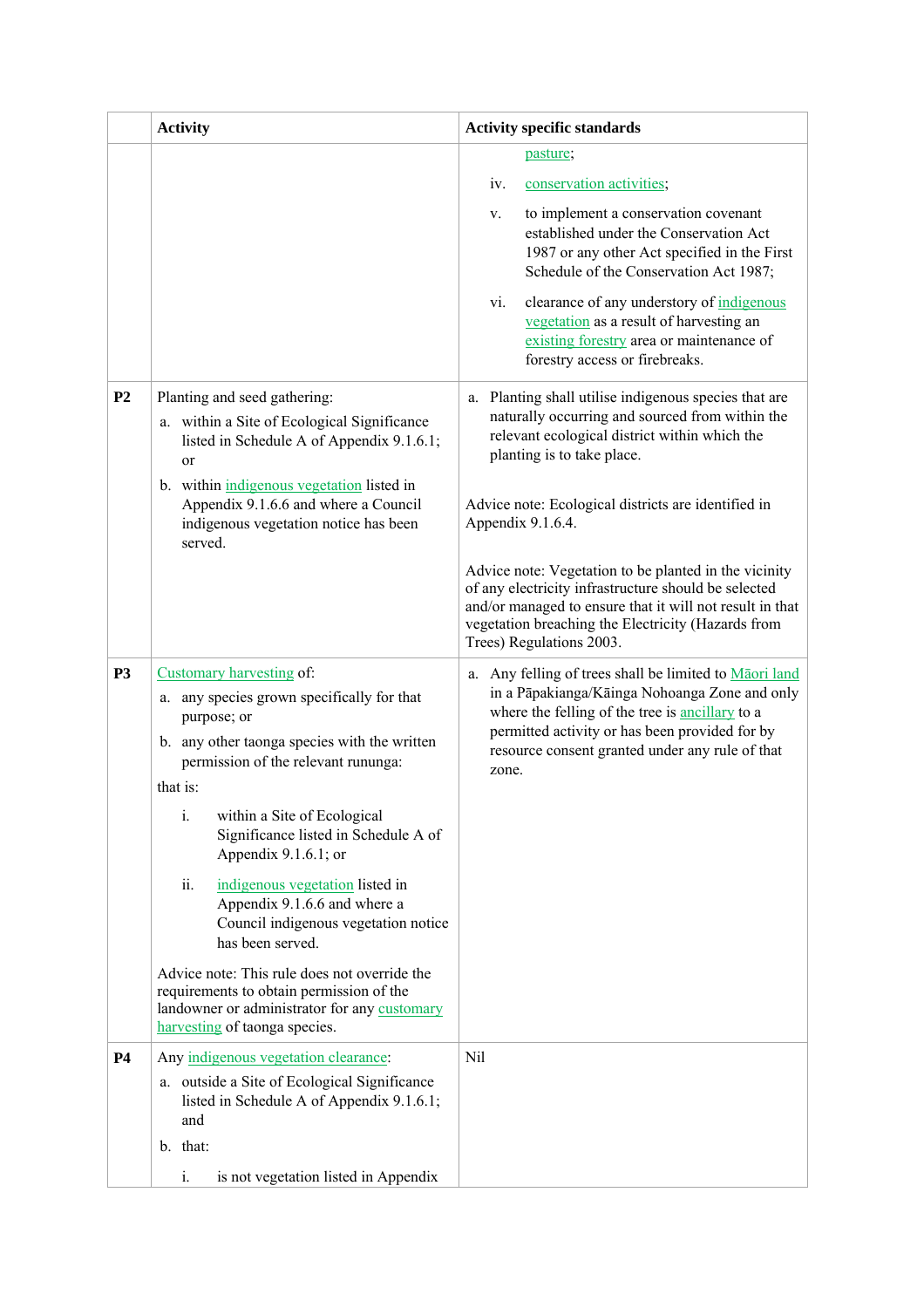|                | <b>Activity</b>                                                                                                                                                                                                                                                                                                                                                                                                                                                                                                                                                                                                              | <b>Activity specific standards</b>                                                                                                                                                                                                                                                                                                                                                                                                                                                                                                 |
|----------------|------------------------------------------------------------------------------------------------------------------------------------------------------------------------------------------------------------------------------------------------------------------------------------------------------------------------------------------------------------------------------------------------------------------------------------------------------------------------------------------------------------------------------------------------------------------------------------------------------------------------------|------------------------------------------------------------------------------------------------------------------------------------------------------------------------------------------------------------------------------------------------------------------------------------------------------------------------------------------------------------------------------------------------------------------------------------------------------------------------------------------------------------------------------------|
|                |                                                                                                                                                                                                                                                                                                                                                                                                                                                                                                                                                                                                                              | pasture;<br>iv.<br>conservation activities;<br>to implement a conservation covenant<br>V.<br>established under the Conservation Act<br>1987 or any other Act specified in the First<br>Schedule of the Conservation Act 1987;<br>clearance of any understory of indigenous<br>vi.<br>vegetation as a result of harvesting an<br>existing forestry area or maintenance of<br>forestry access or firebreaks.                                                                                                                         |
| P <sub>2</sub> | Planting and seed gathering:<br>a. within a Site of Ecological Significance<br>listed in Schedule A of Appendix 9.1.6.1;<br><sub>or</sub><br>b. within indigenous vegetation listed in<br>Appendix 9.1.6.6 and where a Council<br>indigenous vegetation notice has been<br>served.                                                                                                                                                                                                                                                                                                                                           | a. Planting shall utilise indigenous species that are<br>naturally occurring and sourced from within the<br>relevant ecological district within which the<br>planting is to take place.<br>Advice note: Ecological districts are identified in<br>Appendix 9.1.6.4.<br>Advice note: Vegetation to be planted in the vicinity<br>of any electricity infrastructure should be selected<br>and/or managed to ensure that it will not result in that<br>vegetation breaching the Electricity (Hazards from<br>Trees) Regulations 2003. |
| <b>P3</b>      | Customary harvesting of:<br>a. any species grown specifically for that<br>purpose; or<br>b. any other taonga species with the written<br>permission of the relevant rununga:<br>that is:<br>$\mathbf{i}$ .<br>within a Site of Ecological<br>Significance listed in Schedule A of<br>Appendix 9.1.6.1; or<br>ii.<br>indigenous vegetation listed in<br>Appendix 9.1.6.6 and where a<br>Council indigenous vegetation notice<br>has been served.<br>Advice note: This rule does not override the<br>requirements to obtain permission of the<br>landowner or administrator for any customary<br>harvesting of taonga species. | a. Any felling of trees shall be limited to Maori land<br>in a Pāpakianga/Kāinga Nohoanga Zone and only<br>where the felling of the tree is ancillary to a<br>permitted activity or has been provided for by<br>resource consent granted under any rule of that<br>zone.                                                                                                                                                                                                                                                           |
| <b>P4</b>      | Any indigenous vegetation clearance:<br>a. outside a Site of Ecological Significance<br>listed in Schedule A of Appendix 9.1.6.1;<br>and<br>b. that:<br>i.<br>is not vegetation listed in Appendix                                                                                                                                                                                                                                                                                                                                                                                                                           | Nil                                                                                                                                                                                                                                                                                                                                                                                                                                                                                                                                |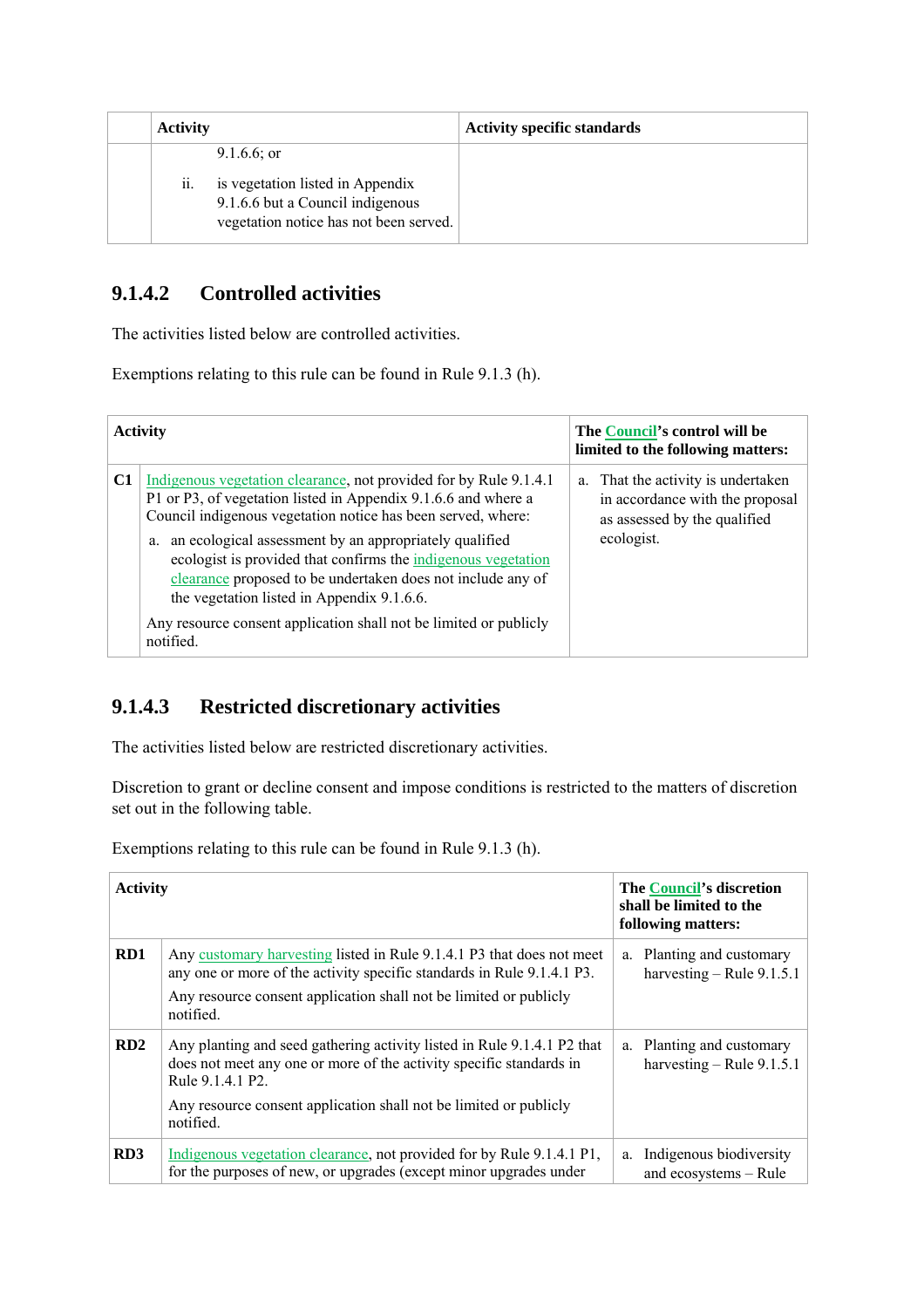| <b>Activity</b> |                                                                                                                               | <b>Activity specific standards</b> |
|-----------------|-------------------------------------------------------------------------------------------------------------------------------|------------------------------------|
| ii.             | 9.1.6.6; or<br>is vegetation listed in Appendix<br>9.1.6.6 but a Council indigenous<br>vegetation notice has not been served. |                                    |

## **9.1.4.2 Controlled activities**

The activities listed below are controlled activities.

Exemptions relating to this rule can be found in Rule 9.1.3 (h).

|    | <b>Activity</b>                                                                                                                                                                                                                                                                                                                                                                                                                                                                                                                     | The Council's control will be<br>limited to the following matters:                                                  |
|----|-------------------------------------------------------------------------------------------------------------------------------------------------------------------------------------------------------------------------------------------------------------------------------------------------------------------------------------------------------------------------------------------------------------------------------------------------------------------------------------------------------------------------------------|---------------------------------------------------------------------------------------------------------------------|
| C1 | Indigenous vegetation clearance, not provided for by Rule 9.1.4.1<br>P1 or P3, of vegetation listed in Appendix 9.1.6.6 and where a<br>Council indigenous vegetation notice has been served, where:<br>an ecological assessment by an appropriately qualified<br>a.<br>ecologist is provided that confirms the indigenous vegetation<br>clearance proposed to be undertaken does not include any of<br>the vegetation listed in Appendix 9.1.6.6.<br>Any resource consent application shall not be limited or publicly<br>notified. | a. That the activity is undertaken<br>in accordance with the proposal<br>as assessed by the qualified<br>ecologist. |

## **9.1.4.3 Restricted discretionary activities**

The activities listed below are restricted discretionary activities.

Discretion to grant or decline consent and impose conditions is restricted to the matters of discretion set out in the following table.

| <b>Activity</b> |                                                                                                                                                                                                                                                      | The Council's discretion<br>shall be limited to the<br>following matters: |                                                          |
|-----------------|------------------------------------------------------------------------------------------------------------------------------------------------------------------------------------------------------------------------------------------------------|---------------------------------------------------------------------------|----------------------------------------------------------|
| RD1             | Any customary harvesting listed in Rule 9.1.4.1 P3 that does not meet<br>any one or more of the activity specific standards in Rule 9.1.4.1 P3.<br>Any resource consent application shall not be limited or publicly<br>notified.                    |                                                                           | a. Planting and customary<br>harvesting $-$ Rule 9.1.5.1 |
| RD2             | Any planting and seed gathering activity listed in Rule 9.1.4.1 P2 that<br>does not meet any one or more of the activity specific standards in<br>Rule 9.1.4.1 P2.<br>Any resource consent application shall not be limited or publicly<br>notified. |                                                                           | a. Planting and customary<br>harvesting $-$ Rule 9.1.5.1 |
| RD <sub>3</sub> | Indigenous vegetation clearance, not provided for by Rule 9.1.4.1 P1,<br>for the purposes of new, or upgrades (except minor upgrades under                                                                                                           |                                                                           | a. Indigenous biodiversity<br>and ecosystems - Rule      |

Exemptions relating to this rule can be found in Rule 9.1.3 (h).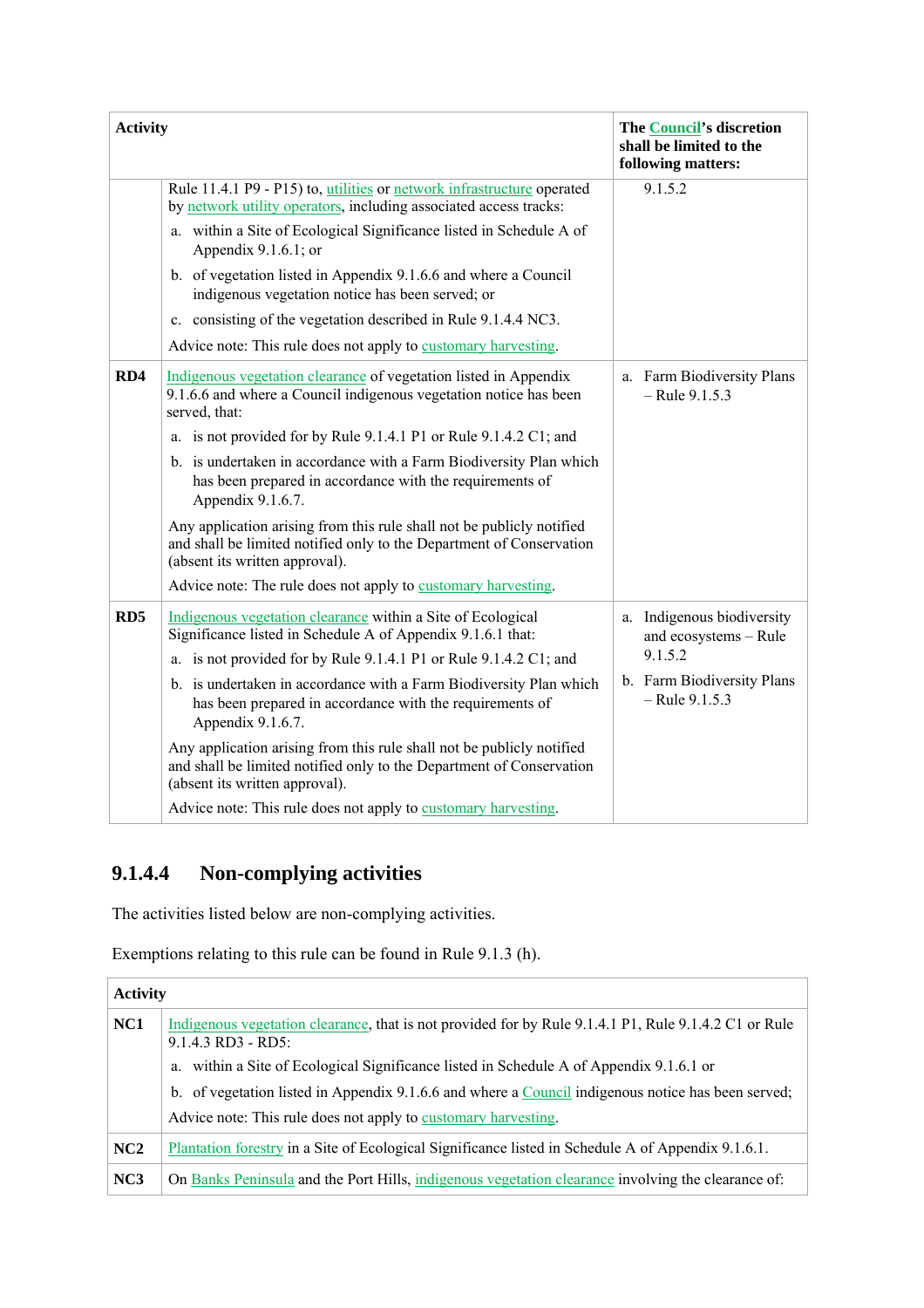| <b>Activity</b> |                                                                                                                                                                                                 | <b>The Council's discretion</b><br>shall be limited to the<br>following matters: |
|-----------------|-------------------------------------------------------------------------------------------------------------------------------------------------------------------------------------------------|----------------------------------------------------------------------------------|
|                 | Rule 11.4.1 P9 - P15) to, utilities or network infrastructure operated<br>by network utility operators, including associated access tracks:                                                     | 9.1.5.2                                                                          |
|                 | a. within a Site of Ecological Significance listed in Schedule A of<br>Appendix $9.1.6.1$ ; or                                                                                                  |                                                                                  |
|                 | b. of vegetation listed in Appendix 9.1.6.6 and where a Council<br>indigenous vegetation notice has been served; or                                                                             |                                                                                  |
|                 | c. consisting of the vegetation described in Rule 9.1.4.4 NC3.                                                                                                                                  |                                                                                  |
|                 | Advice note: This rule does not apply to customary harvesting.                                                                                                                                  |                                                                                  |
| RD4             | Indigenous vegetation clearance of vegetation listed in Appendix<br>9.1.6.6 and where a Council indigenous vegetation notice has been<br>served, that:                                          | a. Farm Biodiversity Plans<br>$-$ Rule 9.1.5.3                                   |
|                 | a. is not provided for by Rule 9.1.4.1 P1 or Rule 9.1.4.2 C1; and                                                                                                                               |                                                                                  |
|                 | b. is undertaken in accordance with a Farm Biodiversity Plan which<br>has been prepared in accordance with the requirements of<br>Appendix 9.1.6.7.                                             |                                                                                  |
|                 | Any application arising from this rule shall not be publicly notified<br>and shall be limited notified only to the Department of Conservation<br>(absent its written approval).                 |                                                                                  |
|                 | Advice note: The rule does not apply to customary harvesting.                                                                                                                                   |                                                                                  |
| RD <sub>5</sub> | Indigenous vegetation clearance within a Site of Ecological<br>Significance listed in Schedule A of Appendix 9.1.6.1 that:<br>a. is not provided for by Rule 9.1.4.1 P1 or Rule 9.1.4.2 C1; and | a. Indigenous biodiversity<br>and ecosystems - Rule<br>9.1.5.2                   |
|                 | b. is undertaken in accordance with a Farm Biodiversity Plan which<br>has been prepared in accordance with the requirements of<br>Appendix 9.1.6.7.                                             | b. Farm Biodiversity Plans<br>$-$ Rule 9.1.5.3                                   |
|                 | Any application arising from this rule shall not be publicly notified<br>and shall be limited notified only to the Department of Conservation<br>(absent its written approval).                 |                                                                                  |
|                 | Advice note: This rule does not apply to customary harvesting.                                                                                                                                  |                                                                                  |

## **9.1.4.4 Non-complying activities**

The activities listed below are non-complying activities.

Exemptions relating to this rule can be found in Rule 9.1.3 (h).

|                                                                                                                                                | <b>Activity</b>                                                                                    |  |  |  |  |  |
|------------------------------------------------------------------------------------------------------------------------------------------------|----------------------------------------------------------------------------------------------------|--|--|--|--|--|
| Indigenous vegetation clearance, that is not provided for by Rule 9.1.4.1 P1, Rule 9.1.4.2 C1 or Rule<br>NC <sub>1</sub><br>9.1.4.3 RD3 - RD5: |                                                                                                    |  |  |  |  |  |
|                                                                                                                                                | within a Site of Ecological Significance listed in Schedule A of Appendix 9.1.6.1 or<br>a.         |  |  |  |  |  |
|                                                                                                                                                | b. of vegetation listed in Appendix 9.1.6.6 and where a Council indigenous notice has been served; |  |  |  |  |  |
|                                                                                                                                                | Advice note: This rule does not apply to customary harvesting.                                     |  |  |  |  |  |
| NC2                                                                                                                                            | Plantation forestry in a Site of Ecological Significance listed in Schedule A of Appendix 9.1.6.1. |  |  |  |  |  |
| NC <sub>3</sub>                                                                                                                                | On Banks Peninsula and the Port Hills, indigenous vegetation clearance involving the clearance of: |  |  |  |  |  |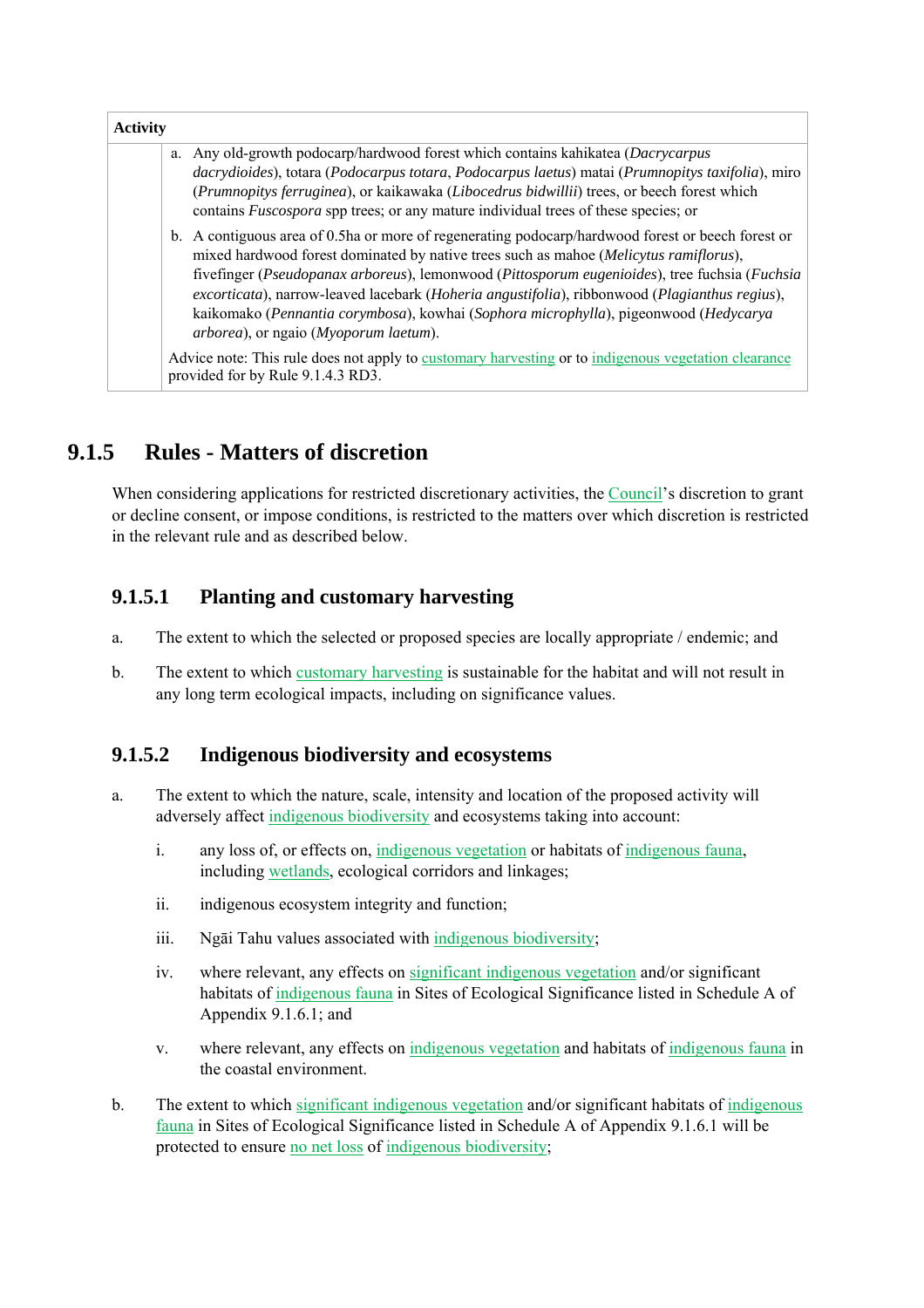| <b>Activity</b> |                                                                                                                                                                                                                                                                                                                                                                                                                                                                                                                               |
|-----------------|-------------------------------------------------------------------------------------------------------------------------------------------------------------------------------------------------------------------------------------------------------------------------------------------------------------------------------------------------------------------------------------------------------------------------------------------------------------------------------------------------------------------------------|
|                 | a. Any old-growth podocarp/hardwood forest which contains kahikatea (Dacrycarpus<br>dacrydioides), totara (Podocarpus totara, Podocarpus laetus) matai (Prumnopitys taxifolia), miro<br>(Prumnopitys ferruginea), or kaikawaka (Libocedrus bidwillii) trees, or beech forest which<br>contains Fuscospora spp trees; or any mature individual trees of these species; or                                                                                                                                                      |
|                 | b. A contiguous area of 0.5ha or more of regenerating podocarp/hardwood forest or beech forest or<br>mixed hardwood forest dominated by native trees such as mahoe (Melicytus ramiflorus),<br>fivefinger (Pseudopanax arboreus), lemonwood (Pittosporum eugenioides), tree fuchsia (Fuchsia<br>excorticata), narrow-leaved lacebark (Hoheria angustifolia), ribbonwood (Plagianthus regius),<br>kaikomako (Pennantia corymbosa), kowhai (Sophora microphylla), pigeonwood (Hedycarya<br>arborea), or ngaio (Myoporum laetum). |
|                 | Advice note: This rule does not apply to customary harvesting or to indigenous vegetation clearance<br>provided for by Rule 9.1.4.3 RD3.                                                                                                                                                                                                                                                                                                                                                                                      |

## **9.1.5 Rules - Matters of discretion**

When considering applications for restricted discretionary activities, the Council's discretion to grant or decline consent, or impose conditions, is restricted to the matters over which discretion is restricted in the relevant rule and as described below.

## **9.1.5.1 Planting and customary harvesting**

- a. The extent to which the selected or proposed species are locally appropriate / endemic; and
- b. The extent to which customary harvesting is sustainable for the habitat and will not result in any long term ecological impacts, including on significance values.

### **9.1.5.2 Indigenous biodiversity and ecosystems**

- a. The extent to which the nature, scale, intensity and location of the proposed activity will adversely affect indigenous biodiversity and ecosystems taking into account:
	- i. any loss of, or effects on, indigenous vegetation or habitats of indigenous fauna, including wetlands, ecological corridors and linkages;
	- ii. indigenous ecosystem integrity and function;
	- iii. Ngāi Tahu values associated with indigenous biodiversity;
	- iv. where relevant, any effects on significant indigenous vegetation and/or significant habitats of indigenous fauna in Sites of Ecological Significance listed in Schedule A of Appendix 9.1.6.1; and
	- v. where relevant, any effects on indigenous vegetation and habitats of indigenous fauna in the coastal environment.
- b. The extent to which significant indigenous vegetation and/or significant habitats of indigenous fauna in Sites of Ecological Significance listed in Schedule A of Appendix 9.1.6.1 will be protected to ensure no net loss of indigenous biodiversity;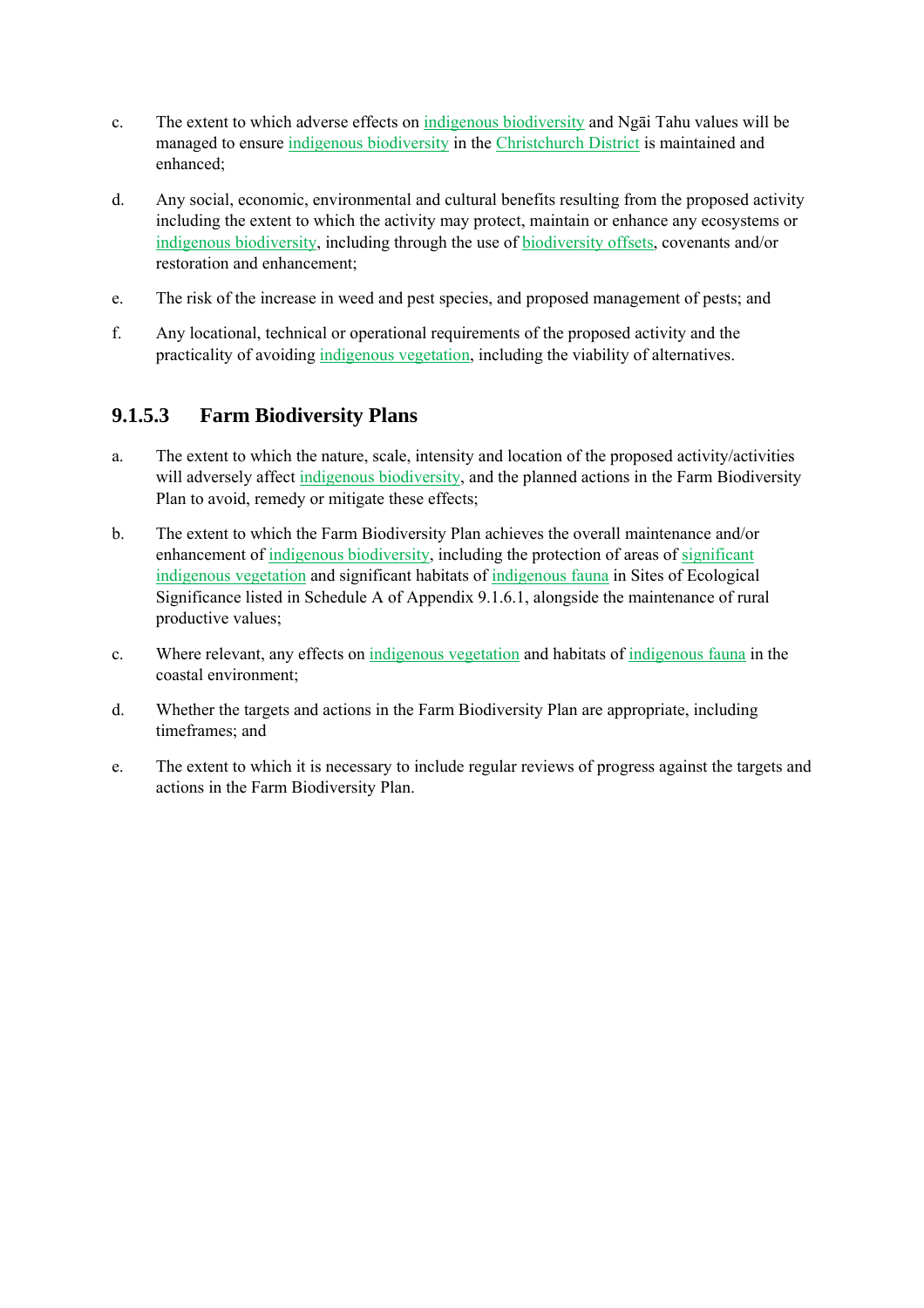- c. The extent to which adverse effects on indigenous biodiversity and Ngāi Tahu values will be managed to ensure indigenous biodiversity in the Christchurch District is maintained and enhanced;
- d. Any social, economic, environmental and cultural benefits resulting from the proposed activity including the extent to which the activity may protect, maintain or enhance any ecosystems or indigenous biodiversity, including through the use of biodiversity offsets, covenants and/or restoration and enhancement;
- e. The risk of the increase in weed and pest species, and proposed management of pests; and
- f. Any locational, technical or operational requirements of the proposed activity and the practicality of avoiding indigenous vegetation, including the viability of alternatives.

## **9.1.5.3 Farm Biodiversity Plans**

- a. The extent to which the nature, scale, intensity and location of the proposed activity/activities will adversely affect indigenous biodiversity, and the planned actions in the Farm Biodiversity Plan to avoid, remedy or mitigate these effects;
- b. The extent to which the Farm Biodiversity Plan achieves the overall maintenance and/or enhancement of indigenous biodiversity, including the protection of areas of significant indigenous vegetation and significant habitats of indigenous fauna in Sites of Ecological Significance listed in Schedule A of Appendix 9.1.6.1, alongside the maintenance of rural productive values;
- c. Where relevant, any effects on indigenous vegetation and habitats of indigenous fauna in the coastal environment;
- d. Whether the targets and actions in the Farm Biodiversity Plan are appropriate, including timeframes; and
- e. The extent to which it is necessary to include regular reviews of progress against the targets and actions in the Farm Biodiversity Plan.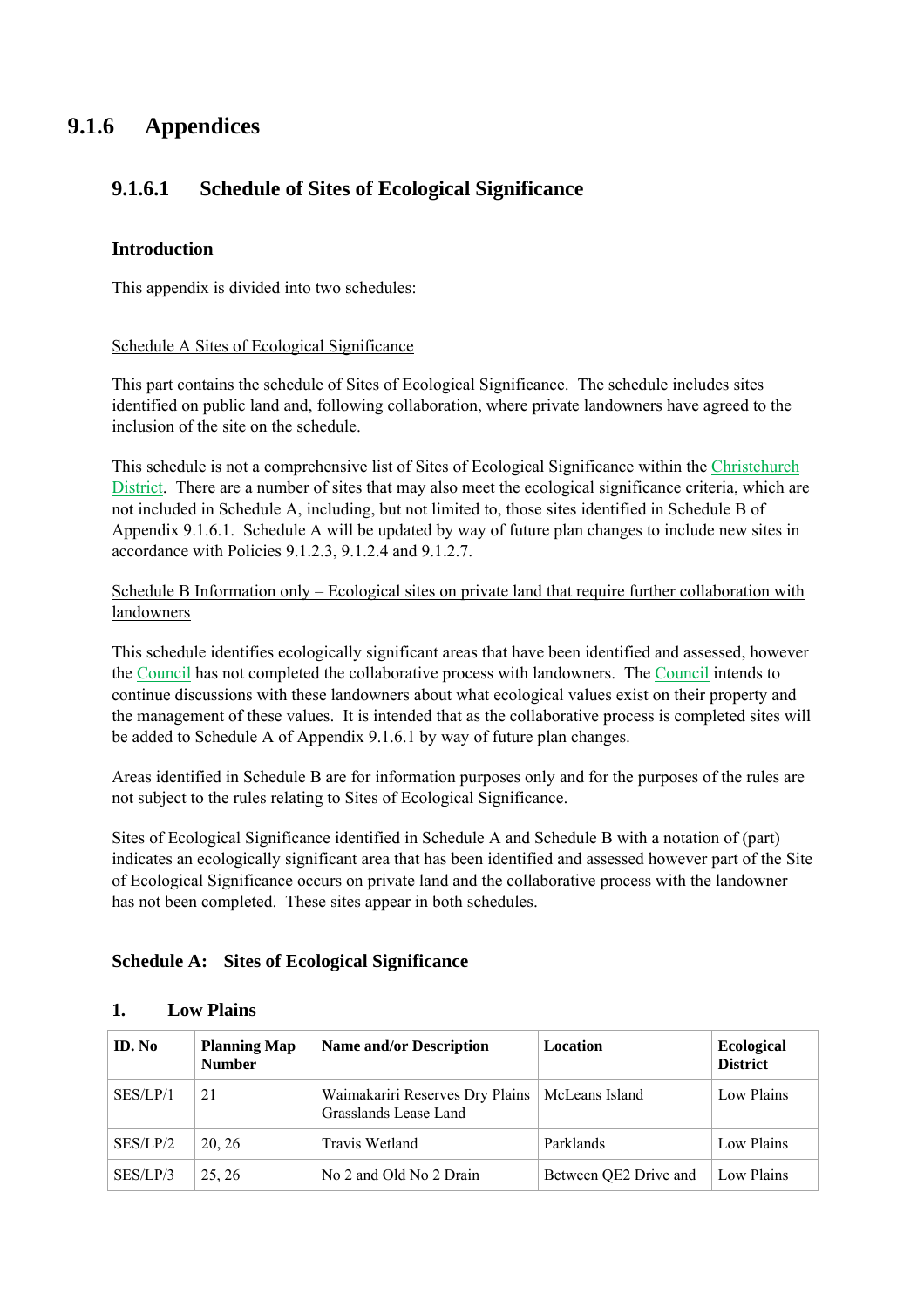## **9.1.6 Appendices**

## **9.1.6.1 Schedule of Sites of Ecological Significance**

### **Introduction**

This appendix is divided into two schedules:

#### Schedule A Sites of Ecological Significance

This part contains the schedule of Sites of Ecological Significance. The schedule includes sites identified on public land and, following collaboration, where private landowners have agreed to the inclusion of the site on the schedule.

This schedule is not a comprehensive list of Sites of Ecological Significance within the Christchurch District. There are a number of sites that may also meet the ecological significance criteria, which are not included in Schedule A, including, but not limited to, those sites identified in Schedule B of Appendix 9.1.6.1. Schedule A will be updated by way of future plan changes to include new sites in accordance with Policies 9.1.2.3, 9.1.2.4 and 9.1.2.7.

#### Schedule B Information only – Ecological sites on private land that require further collaboration with landowners

This schedule identifies ecologically significant areas that have been identified and assessed, however the Council has not completed the collaborative process with landowners. The Council intends to continue discussions with these landowners about what ecological values exist on their property and the management of these values. It is intended that as the collaborative process is completed sites will be added to Schedule A of Appendix 9.1.6.1 by way of future plan changes.

Areas identified in Schedule B are for information purposes only and for the purposes of the rules are not subject to the rules relating to Sites of Ecological Significance.

Sites of Ecological Significance identified in Schedule A and Schedule B with a notation of (part) indicates an ecologically significant area that has been identified and assessed however part of the Site of Ecological Significance occurs on private land and the collaborative process with the landowner has not been completed. These sites appear in both schedules.

### **Schedule A: Sites of Ecological Significance**

| ID. No.  | <b>Planning Map</b><br><b>Number</b> | <b>Name and/or Description</b>                                            | Location              | <b>Ecological</b><br><b>District</b> |
|----------|--------------------------------------|---------------------------------------------------------------------------|-----------------------|--------------------------------------|
| SES/LP/1 | 21                                   | Waimakariri Reserves Dry Plains   McLeans Island<br>Grasslands Lease Land |                       | Low Plains                           |
| SES/LP/2 | 20.26                                | Travis Wetland                                                            | Parklands             | Low Plains                           |
| SES/LP/3 | 25, 26                               | No 2 and Old No 2 Drain                                                   | Between QE2 Drive and | Low Plains                           |

#### **1. Low Plains**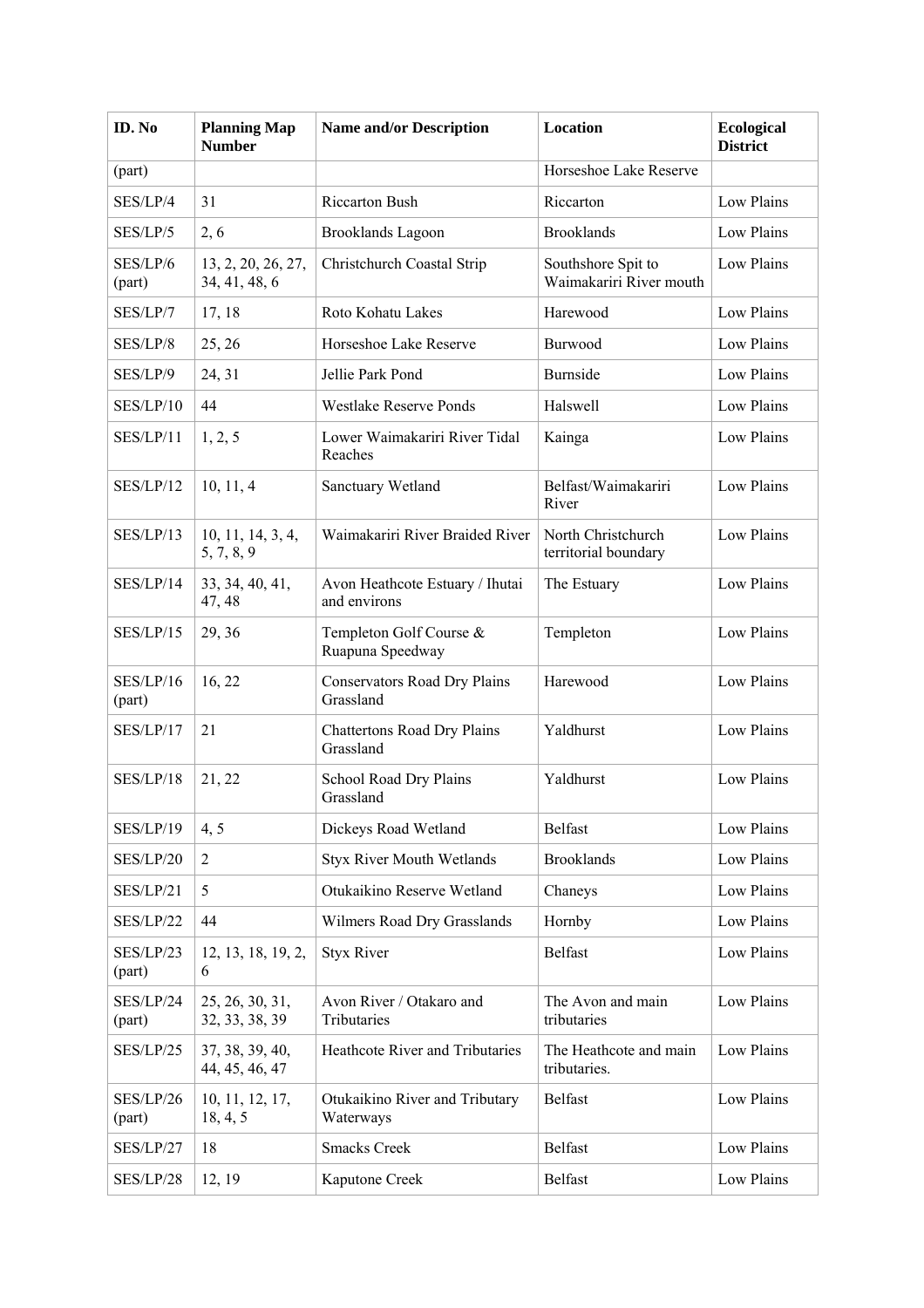| ID. No              | <b>Planning Map</b><br><b>Number</b> | <b>Name and/or Description</b>                   | Location                                      | <b>Ecological</b><br><b>District</b> |
|---------------------|--------------------------------------|--------------------------------------------------|-----------------------------------------------|--------------------------------------|
| (part)              |                                      |                                                  | Horseshoe Lake Reserve                        |                                      |
| SES/LP/4            | 31                                   | Riccarton Bush                                   | Riccarton                                     | Low Plains                           |
| SES/LP/5            | 2, 6                                 | <b>Brooklands Lagoon</b>                         | <b>Brooklands</b>                             | Low Plains                           |
| SES/LP/6<br>(part)  | 13, 2, 20, 26, 27,<br>34, 41, 48, 6  | Christchurch Coastal Strip                       | Southshore Spit to<br>Waimakariri River mouth | Low Plains                           |
| SES/LP/7            | 17, 18                               | Roto Kohatu Lakes                                | Harewood                                      | Low Plains                           |
| SES/LP/8            | 25, 26                               | Horseshoe Lake Reserve                           | Burwood                                       | Low Plains                           |
| SES/LP/9            | 24, 31                               | Jellie Park Pond                                 | <b>Burnside</b>                               | Low Plains                           |
| SES/LP/10           | 44                                   | <b>Westlake Reserve Ponds</b>                    | Halswell                                      | Low Plains                           |
| SES/LP/11           | 1, 2, 5                              | Lower Waimakariri River Tidal<br>Reaches         | Kainga                                        | Low Plains                           |
| SES/LP/12           | 10, 11, 4                            | Sanctuary Wetland                                | Belfast/Waimakariri<br>River                  | Low Plains                           |
| SES/LP/13           | 10, 11, 14, 3, 4,<br>5, 7, 8, 9      | Waimakariri River Braided River                  | North Christchurch<br>territorial boundary    | Low Plains                           |
| SES/LP/14           | 33, 34, 40, 41,<br>47, 48            | Avon Heathcote Estuary / Ihutai<br>and environs  | The Estuary                                   | Low Plains                           |
| SES/LP/15           | 29, 36                               | Templeton Golf Course &<br>Ruapuna Speedway      | Templeton                                     | Low Plains                           |
| SES/LP/16<br>(part) | 16, 22                               | <b>Conservators Road Dry Plains</b><br>Grassland | Harewood                                      | Low Plains                           |
| SES/LP/17           | 21                                   | <b>Chattertons Road Dry Plains</b><br>Grassland  | Yaldhurst                                     | Low Plains                           |
| SES/LP/18           | 21, 22                               | School Road Dry Plains<br>Grassland              | Yaldhurst                                     | Low Plains                           |
| <b>SES/LP/19</b>    | 4, 5                                 | Dickeys Road Wetland                             | Belfast                                       | Low Plains                           |
| SES/LP/20           | $\mathbf{2}$                         | <b>Styx River Mouth Wetlands</b>                 | <b>Brooklands</b>                             | Low Plains                           |
| SES/LP/21           | 5                                    | Otukaikino Reserve Wetland                       | Chaneys                                       | Low Plains                           |
| SES/LP/22           | 44                                   | Wilmers Road Dry Grasslands                      | Hornby                                        | Low Plains                           |
| SES/LP/23<br>(part) | 12, 13, 18, 19, 2,<br>6              | <b>Styx River</b>                                | <b>Belfast</b>                                | Low Plains                           |
| SES/LP/24<br>(part) | 25, 26, 30, 31,<br>32, 33, 38, 39    | Avon River / Otakaro and<br>Tributaries          | The Avon and main<br>tributaries              | Low Plains                           |
| SES/LP/25           | 37, 38, 39, 40,<br>44, 45, 46, 47    | Heathcote River and Tributaries                  | The Heathcote and main<br>tributaries.        | Low Plains                           |
| SES/LP/26<br>(part) | 10, 11, 12, 17,<br>18, 4, 5          | Otukaikino River and Tributary<br>Waterways      | <b>Belfast</b>                                | Low Plains                           |
| SES/LP/27           | 18                                   | <b>Smacks Creek</b>                              | <b>Belfast</b>                                | Low Plains                           |
| SES/LP/28           | 12, 19                               | Kaputone Creek                                   | <b>Belfast</b>                                | Low Plains                           |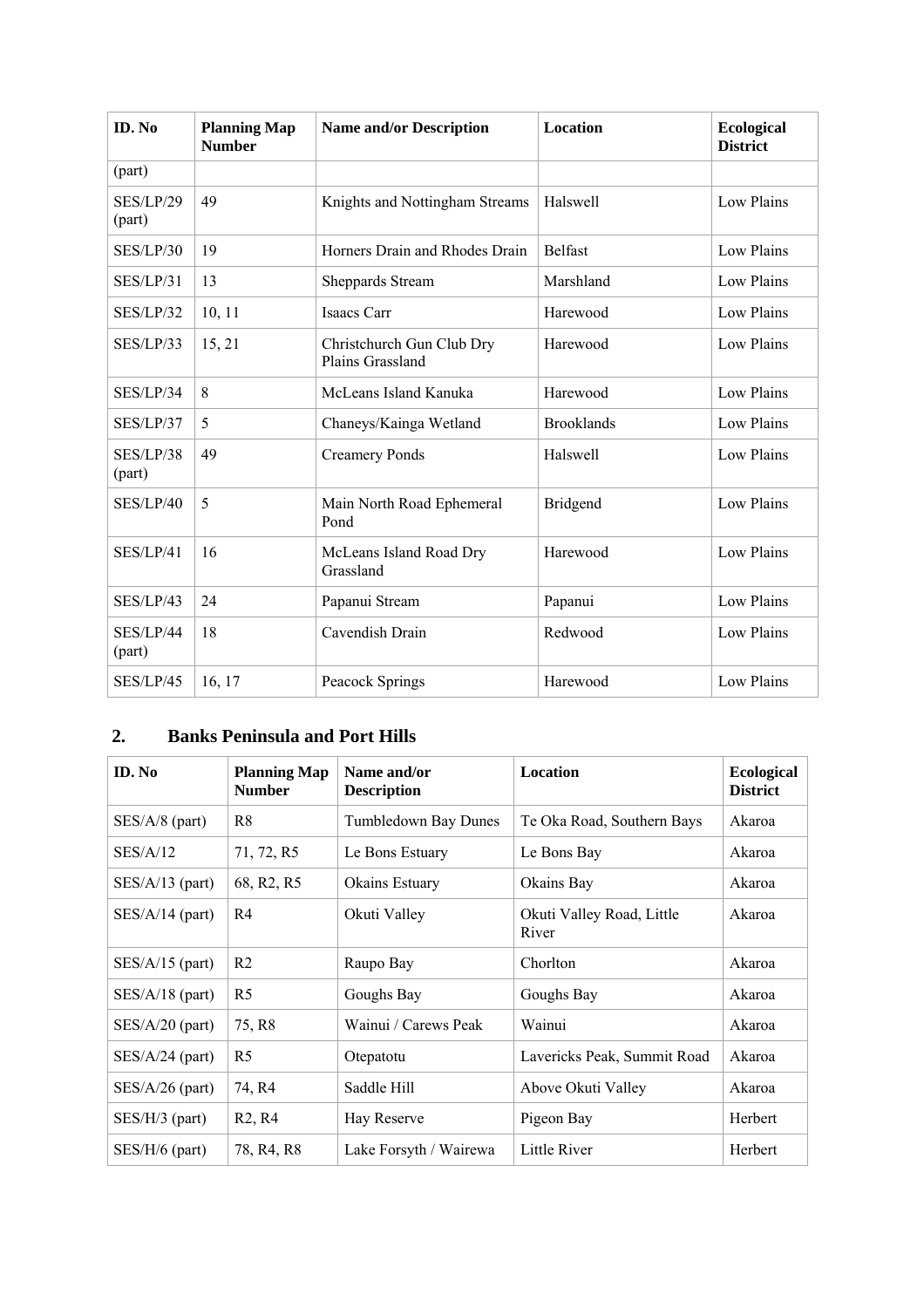| ID. No                     | <b>Planning Map</b><br><b>Number</b> | <b>Name and/or Description</b>                | <b>Location</b>   | <b>Ecological</b><br><b>District</b> |
|----------------------------|--------------------------------------|-----------------------------------------------|-------------------|--------------------------------------|
| (part)                     |                                      |                                               |                   |                                      |
| <b>SES/LP/29</b><br>(part) | 49                                   | Knights and Nottingham Streams                | Halswell          | Low Plains                           |
| SES/LP/30                  | 19                                   | Horners Drain and Rhodes Drain                | <b>Belfast</b>    | Low Plains                           |
| SES/LP/31                  | 13                                   | Sheppards Stream                              | Marshland         | Low Plains                           |
| SES/LP/32                  | 10, 11                               | Isaacs Carr                                   | Harewood          | Low Plains                           |
| SES/LP/33                  | 15, 21                               | Christchurch Gun Club Dry<br>Plains Grassland | Harewood          | Low Plains                           |
| SES/LP/34                  | 8                                    | McLeans Island Kanuka                         | Harewood          | Low Plains                           |
| SES/LP/37                  | 5                                    | Chaneys/Kainga Wetland                        | <b>Brooklands</b> | Low Plains                           |
| SES/LP/38<br>(part)        | 49                                   | <b>Creamery Ponds</b>                         | Halswell          | Low Plains                           |
| SES/LP/40                  | 5                                    | Main North Road Ephemeral<br>Pond             | <b>Bridgend</b>   | Low Plains                           |
| SES/LP/41                  | 16                                   | McLeans Island Road Dry<br>Grassland          | Harewood          | Low Plains                           |
| SES/LP/43                  | 24                                   | Papanui Stream                                | Papanui           | Low Plains                           |
| SES/LP/44<br>(part)        | 18                                   | Cavendish Drain                               | Redwood           | Low Plains                           |
| SES/LP/45                  | 16, 17                               | Peacock Springs                               | Harewood          | Low Plains                           |

## **2. Banks Peninsula and Port Hills**

| ID. No            | <b>Planning Map</b><br><b>Number</b> | Name and/or<br><b>Description</b> | Location                           | <b>Ecological</b><br><b>District</b> |
|-------------------|--------------------------------------|-----------------------------------|------------------------------------|--------------------------------------|
| $SES/A/8$ (part)  | R <sup>8</sup>                       | Tumbledown Bay Dunes              | Te Oka Road, Southern Bays         | Akaroa                               |
| SES/A/12          | 71, 72, R5                           | Le Bons Estuary                   | Le Bons Bay                        | Akaroa                               |
| $SES/A/13$ (part) | 68, R <sub>2</sub> , R <sub>5</sub>  | Okains Estuary                    | Okains Bay                         | Akaroa                               |
| $SES/A/14$ (part) | R <sub>4</sub>                       | Okuti Valley                      | Okuti Valley Road, Little<br>River | Akaroa                               |
| $SES/A/15$ (part) | R <sub>2</sub>                       | Raupo Bay                         | Chorlton                           | Akaroa                               |
| $SES/A/18$ (part) | R <sub>5</sub>                       | Goughs Bay                        | Goughs Bay                         | Akaroa                               |
| $SES/A/20$ (part) | 75, R8                               | Wainui / Carews Peak              | Wainui                             | Akaroa                               |
| $SES/A/24$ (part) | R <sub>5</sub>                       | Otepatotu                         | Lavericks Peak, Summit Road        | Akaroa                               |
| $SES/A/26$ (part) | 74, R4                               | Saddle Hill                       | Above Okuti Valley                 | Akaroa                               |
| SES/H/3 (part)    | R2, R4                               | Hay Reserve                       | Pigeon Bay                         | Herbert                              |
| $SES/H/6$ (part)  | 78, R <sub>4</sub> , R <sub>8</sub>  | Lake Forsyth / Wairewa            | Little River                       | Herbert                              |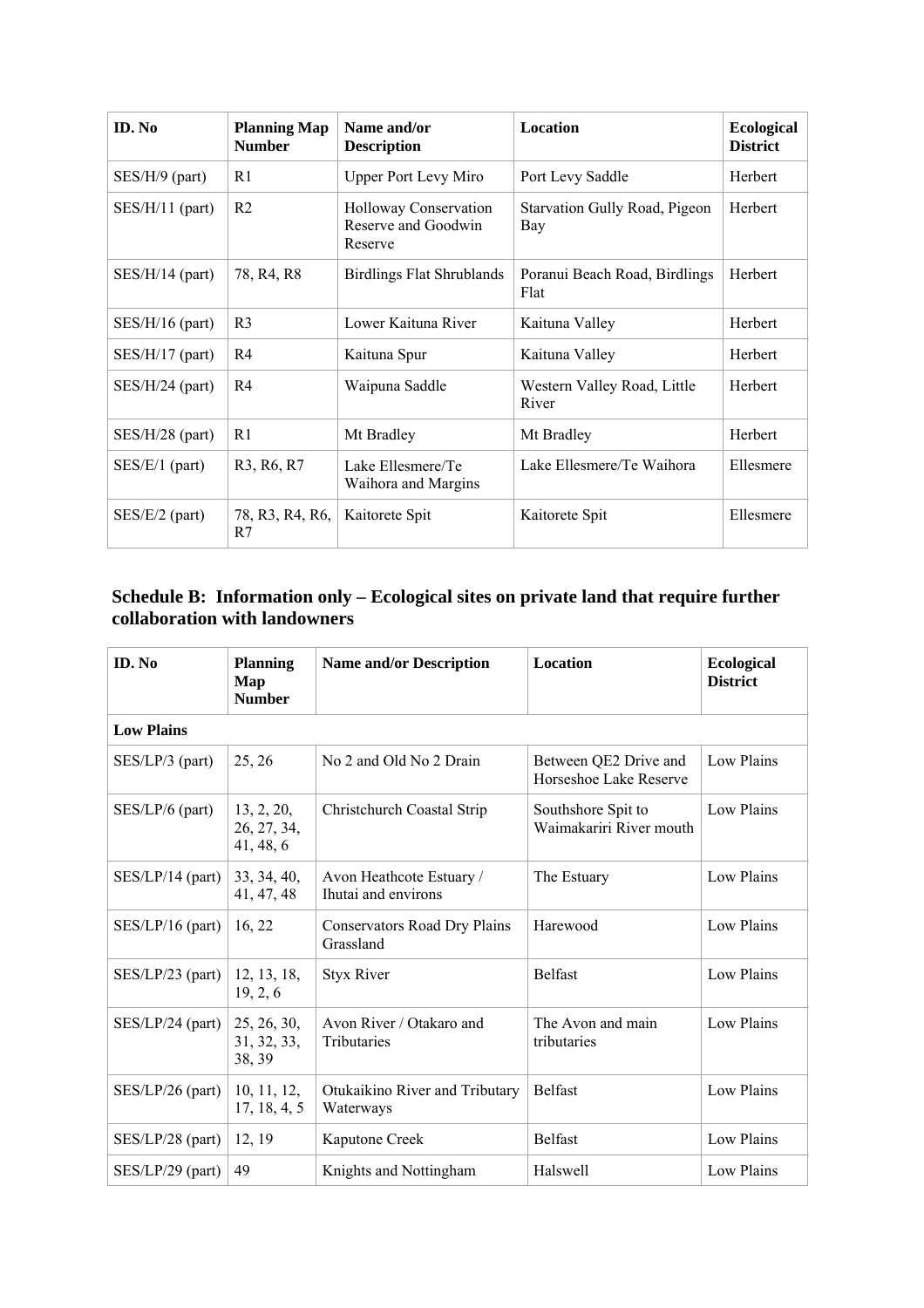| ID. No            | <b>Planning Map</b><br><b>Number</b>                         | Name and/or<br><b>Description</b>                       | <b>Location</b>                       | <b>Ecological</b><br><b>District</b> |
|-------------------|--------------------------------------------------------------|---------------------------------------------------------|---------------------------------------|--------------------------------------|
| $SES/H/9$ (part)  | R1                                                           | <b>Upper Port Levy Miro</b>                             | Port Levy Saddle                      | Herbert                              |
| $SES/H/11$ (part) | R <sub>2</sub>                                               | Holloway Conservation<br>Reserve and Goodwin<br>Reserve | Starvation Gully Road, Pigeon<br>Bay  | Herbert                              |
| $SES/H/14$ (part) | 78, R <sub>4</sub> , R <sub>8</sub>                          | <b>Birdlings Flat Shrublands</b>                        | Poranui Beach Road, Birdlings<br>Flat | Herbert                              |
| $SES/H/16$ (part) | R <sub>3</sub>                                               | Lower Kaituna River                                     | Kaituna Valley                        | Herbert                              |
| $SES/H/17$ (part) | R <sub>4</sub>                                               | Kaituna Spur                                            | Kaituna Valley                        | Herbert                              |
| $SES/H/24$ (part) | R4                                                           | Waipuna Saddle                                          | Western Valley Road, Little<br>River  | Herbert                              |
| $SES/H/28$ (part) | R <sub>1</sub>                                               | Mt Bradley                                              | Mt Bradley                            | Herbert                              |
| $SES/E/1$ (part)  | R3, R6, R7                                                   | Lake Ellesmere/Te<br>Waihora and Margins                | Lake Ellesmere/Te Waihora             | Ellesmere                            |
| $SES/E/2$ (part)  | 78, R <sub>3</sub> , R <sub>4</sub> , R <sub>6</sub> ,<br>R7 | Kaitorete Spit                                          | Kaitorete Spit                        | Ellesmere                            |

#### **Schedule B: Information only – Ecological sites on private land that require further collaboration with landowners**

| ID. No             | <b>Planning</b><br>Map<br><b>Number</b> | <b>Name and/or Description</b>                   | <b>Location</b>                                 | <b>Ecological</b><br><b>District</b> |
|--------------------|-----------------------------------------|--------------------------------------------------|-------------------------------------------------|--------------------------------------|
| <b>Low Plains</b>  |                                         |                                                  |                                                 |                                      |
| SES/LP/3 (part)    | 25, 26                                  | No 2 and Old No 2 Drain                          | Between QE2 Drive and<br>Horseshoe Lake Reserve | Low Plains                           |
| SES/LP/6 (part)    | 13, 2, 20,<br>26, 27, 34,<br>41, 48, 6  | Christchurch Coastal Strip                       | Southshore Spit to<br>Waimakariri River mouth   | Low Plains                           |
| $SES/LP/14$ (part) | 33, 34, 40,<br>41, 47, 48               | Avon Heathcote Estuary /<br>Ihutai and environs  | The Estuary                                     | Low Plains                           |
| $SES/LP/16$ (part) | 16, 22                                  | <b>Conservators Road Dry Plains</b><br>Grassland | Harewood                                        | Low Plains                           |
| $SES/LP/23$ (part) | 12, 13, 18,<br>19, 2, 6                 | <b>Styx River</b>                                | <b>Belfast</b>                                  | Low Plains                           |
| $SES/LP/24$ (part) | 25, 26, 30,<br>31, 32, 33,<br>38, 39    | Avon River / Otakaro and<br>Tributaries          | The Avon and main<br>tributaries                | Low Plains                           |
| $SES/LP/26$ (part) | 10, 11, 12,<br>17, 18, 4, 5             | Otukaikino River and Tributary<br>Waterways      | <b>Belfast</b>                                  | Low Plains                           |
| $SES/LP/28$ (part) | 12, 19                                  | Kaputone Creek                                   | <b>Belfast</b>                                  | Low Plains                           |
| SES/LP/29 (part)   | 49                                      | Knights and Nottingham                           | Halswell                                        | Low Plains                           |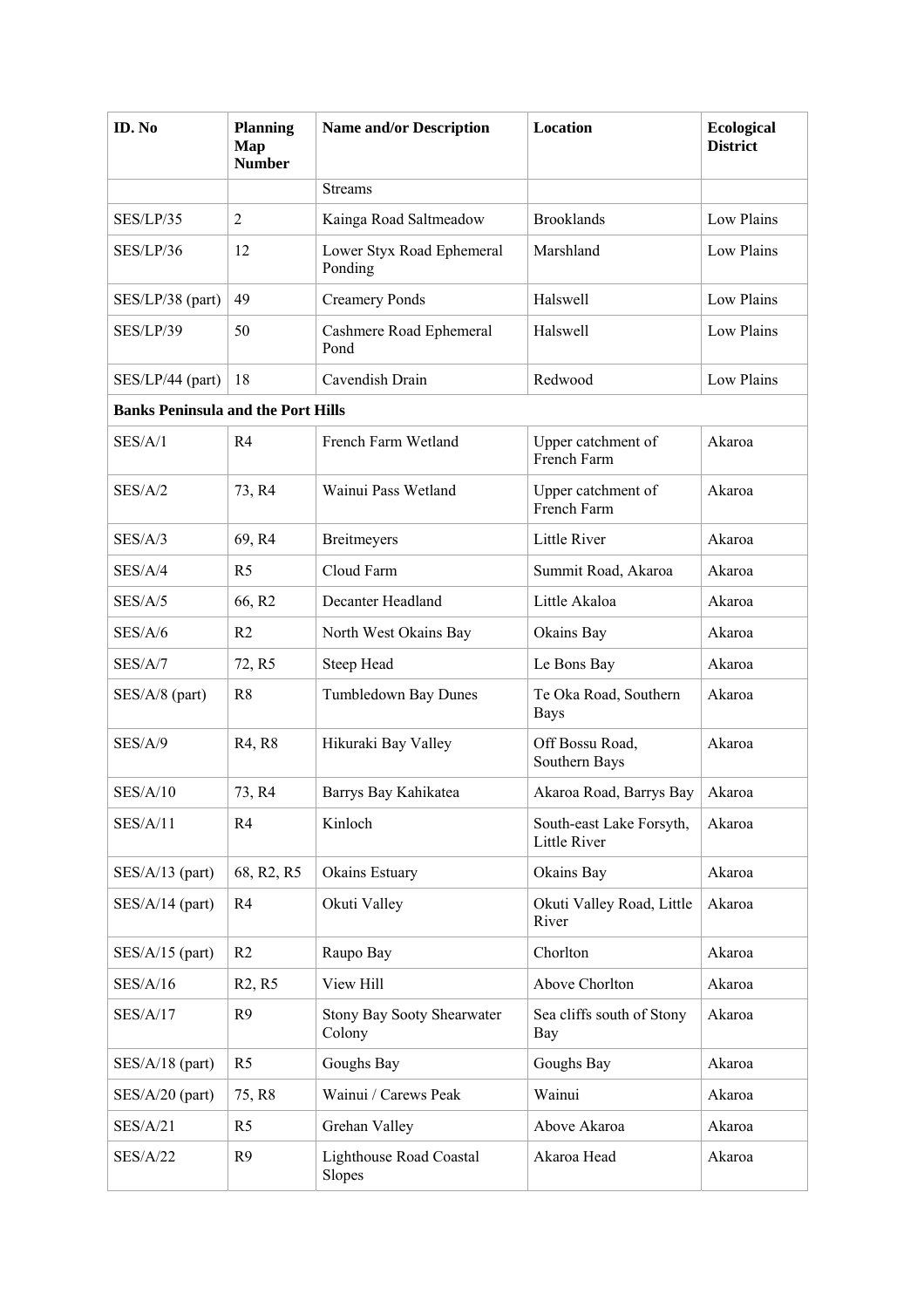| ID. No                                    | <b>Planning</b><br>Map<br><b>Number</b> | <b>Name and/or Description</b>           | <b>Location</b>                                 | <b>Ecological</b><br><b>District</b> |
|-------------------------------------------|-----------------------------------------|------------------------------------------|-------------------------------------------------|--------------------------------------|
|                                           |                                         | <b>Streams</b>                           |                                                 |                                      |
| SES/LP/35                                 | $\overline{2}$                          | Kainga Road Saltmeadow                   | <b>Brooklands</b>                               | Low Plains                           |
| SES/LP/36                                 | 12                                      | Lower Styx Road Ephemeral<br>Ponding     | Marshland                                       | Low Plains                           |
| $SES/LP/38$ (part)                        | 49                                      | <b>Creamery Ponds</b>                    | Halswell                                        | Low Plains                           |
| SES/LP/39                                 | 50                                      | Cashmere Road Ephemeral<br>Pond          | Halswell                                        | Low Plains                           |
| $SES/LP/44$ (part)                        | 18                                      | Cavendish Drain                          | Redwood                                         | Low Plains                           |
| <b>Banks Peninsula and the Port Hills</b> |                                         |                                          |                                                 |                                      |
| SES/A/1                                   | R <sub>4</sub>                          | French Farm Wetland                      | Upper catchment of<br>French Farm               | Akaroa                               |
| SES/A/2                                   | 73, R4                                  | Wainui Pass Wetland                      | Upper catchment of<br>French Farm               | Akaroa                               |
| SES/A/3                                   | 69, R4                                  | Breitmeyers                              | Little River                                    | Akaroa                               |
| SES/A/4                                   | R <sub>5</sub>                          | Cloud Farm                               | Summit Road, Akaroa                             | Akaroa                               |
| SES/A/5                                   | 66, R2                                  | Decanter Headland                        | Little Akaloa                                   | Akaroa                               |
| SES/A/6                                   | R2                                      | North West Okains Bay                    | Okains Bay                                      | Akaroa                               |
| SES/A/7                                   | 72, R5                                  | Steep Head                               | Le Bons Bay                                     | Akaroa                               |
| SES/A/8 (part)                            | R <sub>8</sub>                          | Tumbledown Bay Dunes                     | Te Oka Road, Southern<br><b>Bays</b>            | Akaroa                               |
| SES/A/9                                   | R4, R8                                  | Hikuraki Bay Valley                      | Off Bossu Road,<br>Southern Bays                | Akaroa                               |
| SES/A/10                                  | 73, R4                                  | Barrys Bay Kahikatea                     | Akaroa Road, Barrys Bay                         | Akaroa                               |
| <b>SES/A/11</b>                           | R <sub>4</sub>                          | Kinloch                                  | South-east Lake Forsyth,<br><b>Little River</b> | Akaroa                               |
| $SES/A/13$ (part)                         | 68, R2, R5                              | Okains Estuary                           | Okains Bay                                      | Akaroa                               |
| SES/A/14 (part)                           | R4                                      | Okuti Valley                             | Okuti Valley Road, Little<br>River              | Akaroa                               |
| SES/A/15 (part)                           | R <sub>2</sub>                          | Raupo Bay                                | Chorlton                                        | Akaroa                               |
| <b>SES/A/16</b>                           | R2, R5                                  | View Hill                                | Above Chorlton                                  | Akaroa                               |
| <b>SES/A/17</b>                           | R <sub>9</sub>                          | Stony Bay Sooty Shearwater<br>Colony     | Sea cliffs south of Stony<br>Bay                | Akaroa                               |
| SES/A/18 (part)                           | R <sub>5</sub>                          | Goughs Bay                               | Goughs Bay                                      | Akaroa                               |
| SES/A/20 (part)                           | 75, R8                                  | Wainui / Carews Peak                     | Wainui                                          | Akaroa                               |
| SES/A/21                                  | R <sub>5</sub>                          | Grehan Valley                            | Above Akaroa                                    | Akaroa                               |
| <b>SES/A/22</b>                           | R <sub>9</sub>                          | <b>Lighthouse Road Coastal</b><br>Slopes | Akaroa Head                                     | Akaroa                               |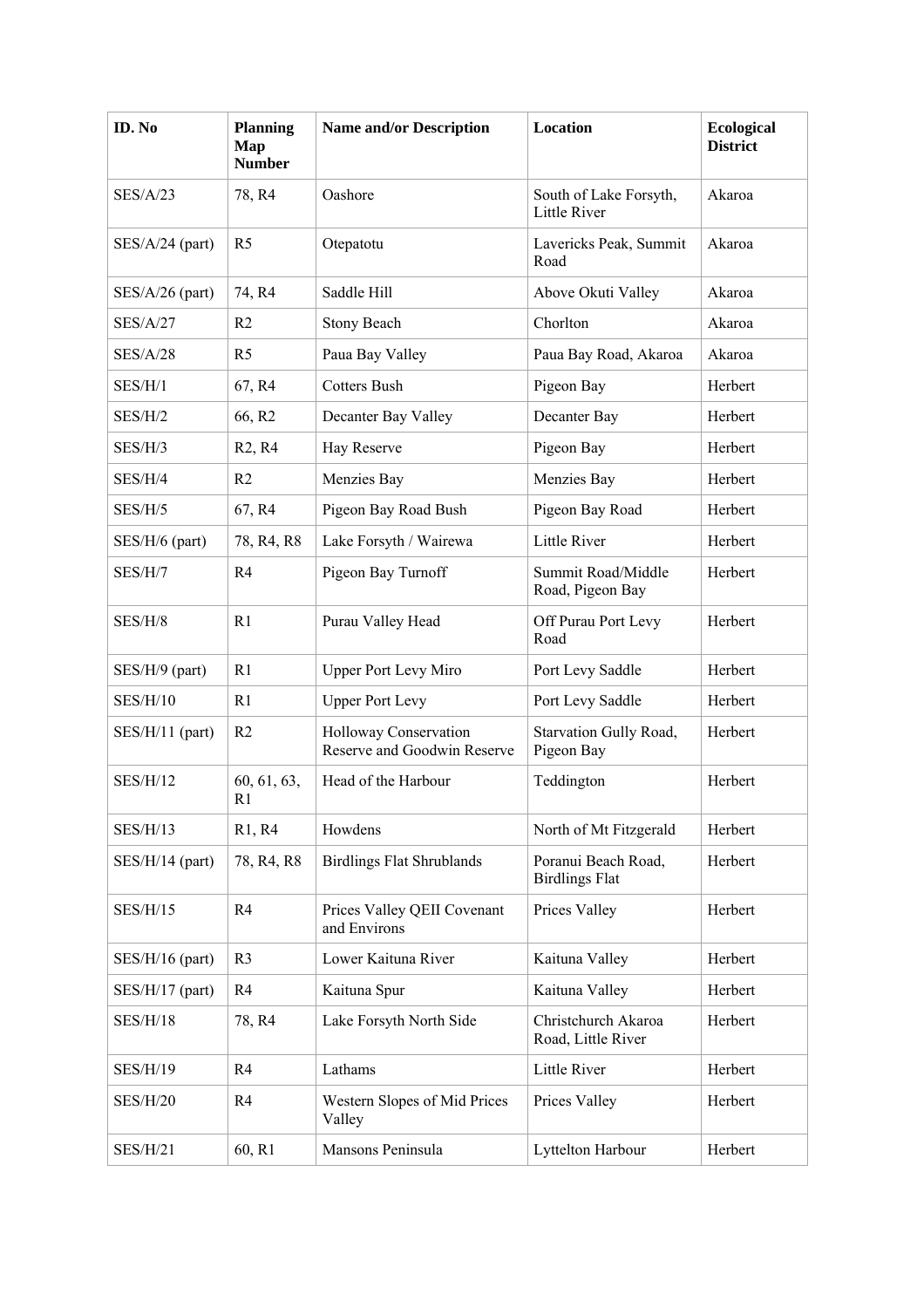| ID. No            | <b>Planning</b><br>Map<br><b>Number</b> | <b>Name and/or Description</b>                       | Location                                      | <b>Ecological</b><br><b>District</b> |
|-------------------|-----------------------------------------|------------------------------------------------------|-----------------------------------------------|--------------------------------------|
| SES/A/23          | 78, R4                                  | Oashore                                              | South of Lake Forsyth,<br><b>Little River</b> | Akaroa                               |
| SES/A/24 (part)   | R <sub>5</sub>                          | Otepatotu                                            | Lavericks Peak, Summit<br>Road                | Akaroa                               |
| SES/A/26 (part)   | 74, R4                                  | Saddle Hill                                          | Above Okuti Valley                            | Akaroa                               |
| <b>SES/A/27</b>   | R2                                      | Stony Beach                                          | Chorlton                                      | Akaroa                               |
| <b>SES/A/28</b>   | R <sub>5</sub>                          | Paua Bay Valley                                      | Paua Bay Road, Akaroa                         | Akaroa                               |
| SES/H/1           | 67, R4                                  | <b>Cotters Bush</b>                                  | Pigeon Bay                                    | Herbert                              |
| SES/H/2           | 66, R2                                  | Decanter Bay Valley                                  | Decanter Bay                                  | Herbert                              |
| SES/H/3           | R <sub>2</sub> , R <sub>4</sub>         | Hay Reserve                                          | Pigeon Bay                                    | Herbert                              |
| SES/H/4           | R <sub>2</sub>                          | Menzies Bay                                          | Menzies Bay                                   | Herbert                              |
| SES/H/5           | 67, R4                                  | Pigeon Bay Road Bush                                 | Pigeon Bay Road                               | Herbert                              |
| SES/H/6 (part)    | 78, R <sub>4</sub> , R <sub>8</sub>     | Lake Forsyth / Wairewa                               | Little River                                  | Herbert                              |
| SES/H/7           | R <sub>4</sub>                          | Pigeon Bay Turnoff                                   | Summit Road/Middle<br>Road, Pigeon Bay        | Herbert                              |
| SES/H/8           | R1                                      | Purau Valley Head                                    | Off Purau Port Levy<br>Road                   | Herbert                              |
| SES/H/9 (part)    | R1                                      | <b>Upper Port Levy Miro</b>                          | Port Levy Saddle                              | Herbert                              |
| <b>SES/H/10</b>   | R1                                      | <b>Upper Port Levy</b>                               | Port Levy Saddle                              | Herbert                              |
| SES/H/11 (part)   | R <sub>2</sub>                          | Holloway Conservation<br>Reserve and Goodwin Reserve | Starvation Gully Road,<br>Pigeon Bay          | Herbert                              |
| <b>SES/H/12</b>   | 60, 61, 63,<br>R <sub>1</sub>           | Head of the Harbour                                  | Teddington                                    | Herbert                              |
| <b>SES/H/13</b>   | R1, R4                                  | Howdens                                              | North of Mt Fitzgerald                        | Herbert                              |
| SES/H/14 (part)   | 78, R4, R8                              | <b>Birdlings Flat Shrublands</b>                     | Poranui Beach Road,<br><b>Birdlings Flat</b>  | Herbert                              |
| <b>SES/H/15</b>   | R4                                      | Prices Valley QEII Covenant<br>and Environs          | Prices Valley                                 | Herbert                              |
| $SES/H/16$ (part) | R <sub>3</sub>                          | Lower Kaituna River                                  | Kaituna Valley                                | Herbert                              |
| $SES/H/17$ (part) | R4                                      | Kaituna Spur                                         | Kaituna Valley                                | Herbert                              |
| <b>SES/H/18</b>   | 78, R4                                  | Lake Forsyth North Side                              | Christchurch Akaroa<br>Road, Little River     | Herbert                              |
| <b>SES/H/19</b>   | R4                                      | Lathams                                              | Little River                                  | Herbert                              |
| <b>SES/H/20</b>   | R4                                      | Western Slopes of Mid Prices<br>Valley               | Prices Valley                                 | Herbert                              |
| <b>SES/H/21</b>   | 60, R1                                  | Mansons Peninsula                                    | Lyttelton Harbour                             | Herbert                              |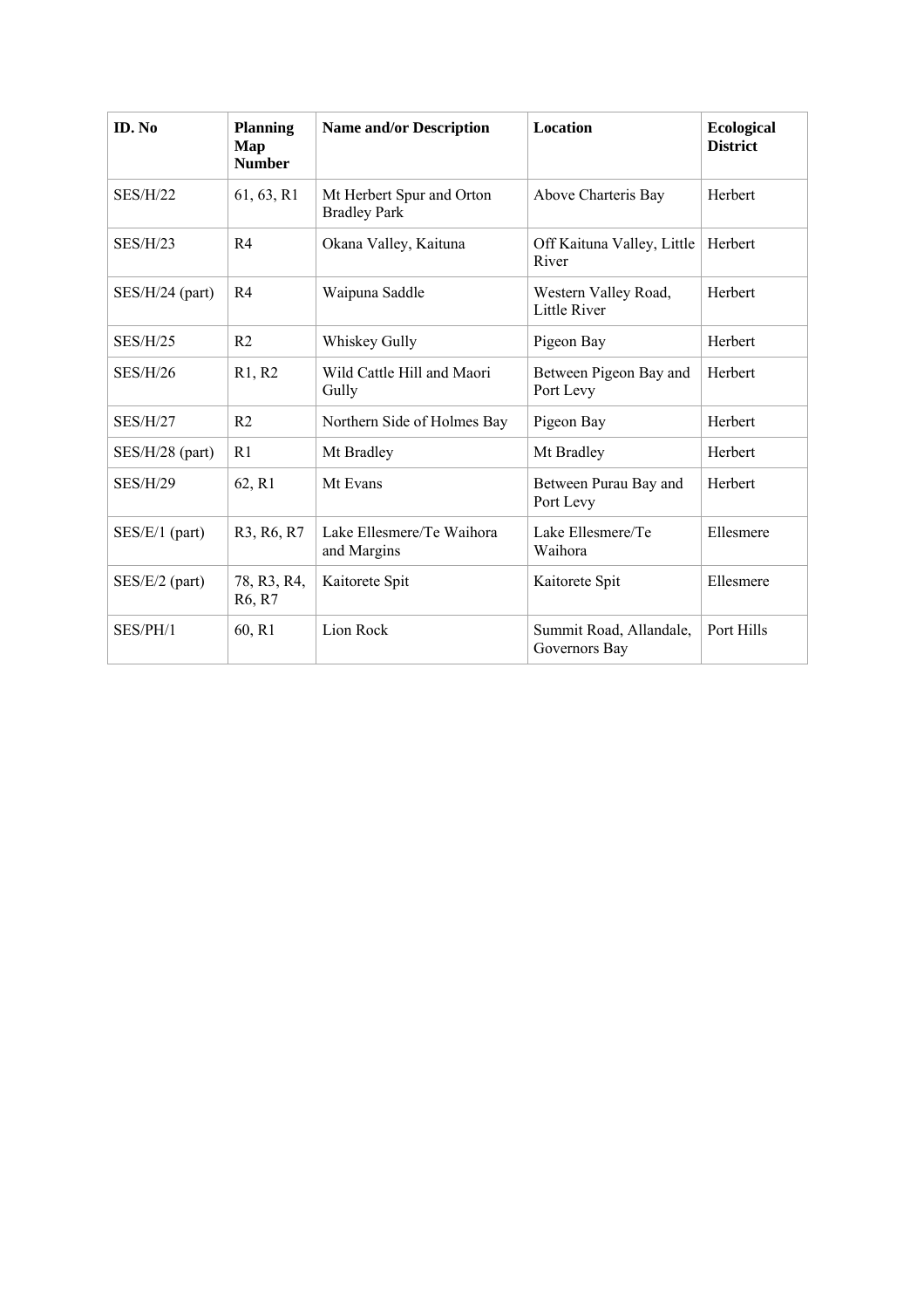| ID. No            | <b>Planning</b><br>Map<br><b>Number</b>        | <b>Name and/or Description</b>                   | <b>Location</b>                             | <b>Ecological</b><br><b>District</b> |
|-------------------|------------------------------------------------|--------------------------------------------------|---------------------------------------------|--------------------------------------|
| <b>SES/H/22</b>   | 61, 63, R1                                     | Mt Herbert Spur and Orton<br><b>Bradley Park</b> | Above Charteris Bay                         | Herbert                              |
| <b>SES/H/23</b>   | R <sub>4</sub>                                 | Okana Valley, Kaituna                            | Off Kaituna Valley, Little<br>River         | Herbert                              |
| SES/H/24 (part)   | R <sub>4</sub>                                 | Waipuna Saddle                                   | Western Valley Road,<br><b>Little River</b> | Herbert                              |
| <b>SES/H/25</b>   | R <sub>2</sub>                                 | Whiskey Gully                                    | Pigeon Bay                                  | Herbert                              |
| <b>SES/H/26</b>   | R1, R2                                         | Wild Cattle Hill and Maori<br>Gully              | Between Pigeon Bay and<br>Port Levy         | Herbert                              |
| <b>SES/H/27</b>   | R <sub>2</sub>                                 | Northern Side of Holmes Bay                      | Pigeon Bay                                  | Herbert                              |
| $SES/H/28$ (part) | R1                                             | Mt Bradley                                       | Mt Bradley                                  | Herbert                              |
| <b>SES/H/29</b>   | 62, R1                                         | Mt Evans                                         | Between Purau Bay and<br>Port Levy          | Herbert                              |
| $SES/E/1$ (part)  | R3, R6, R7                                     | Lake Ellesmere/Te Waihora<br>and Margins         | Lake Ellesmere/Te<br>Waihora                | Ellesmere                            |
| $SES/E/2$ (part)  | 78, R3, R4,<br>R <sub>6</sub> , R <sub>7</sub> | Kaitorete Spit                                   | Kaitorete Spit                              | Ellesmere                            |
| SES/PH/1          | 60, R1                                         | Lion Rock                                        | Summit Road, Allandale,<br>Governors Bay    | Port Hills                           |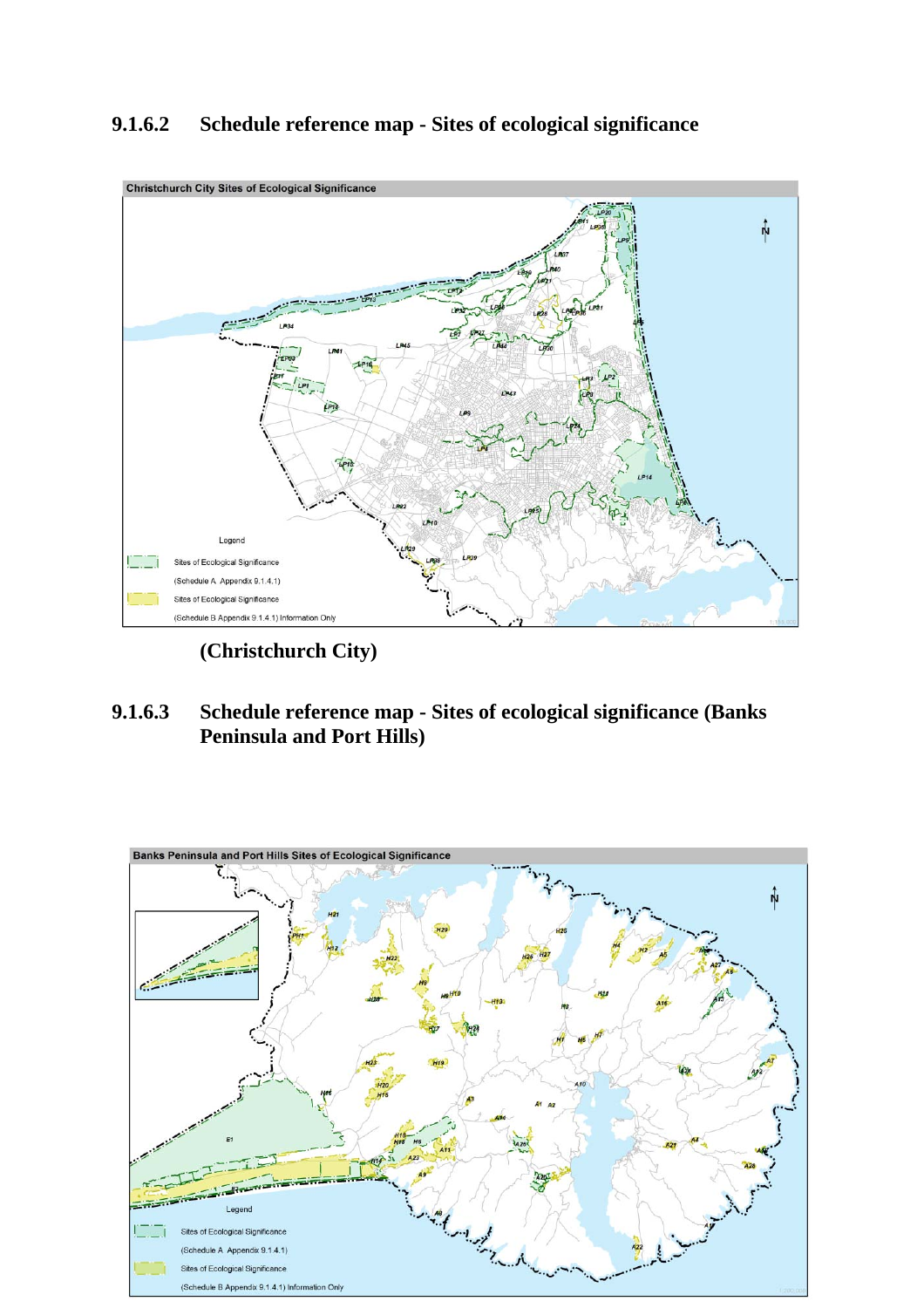## **9.1.6.2 Schedule reference map - Sites of ecological significance**



**(Christchurch City)** 

## **9.1.6.3 Schedule reference map - Sites of ecological significance (Banks Peninsula and Port Hills)**

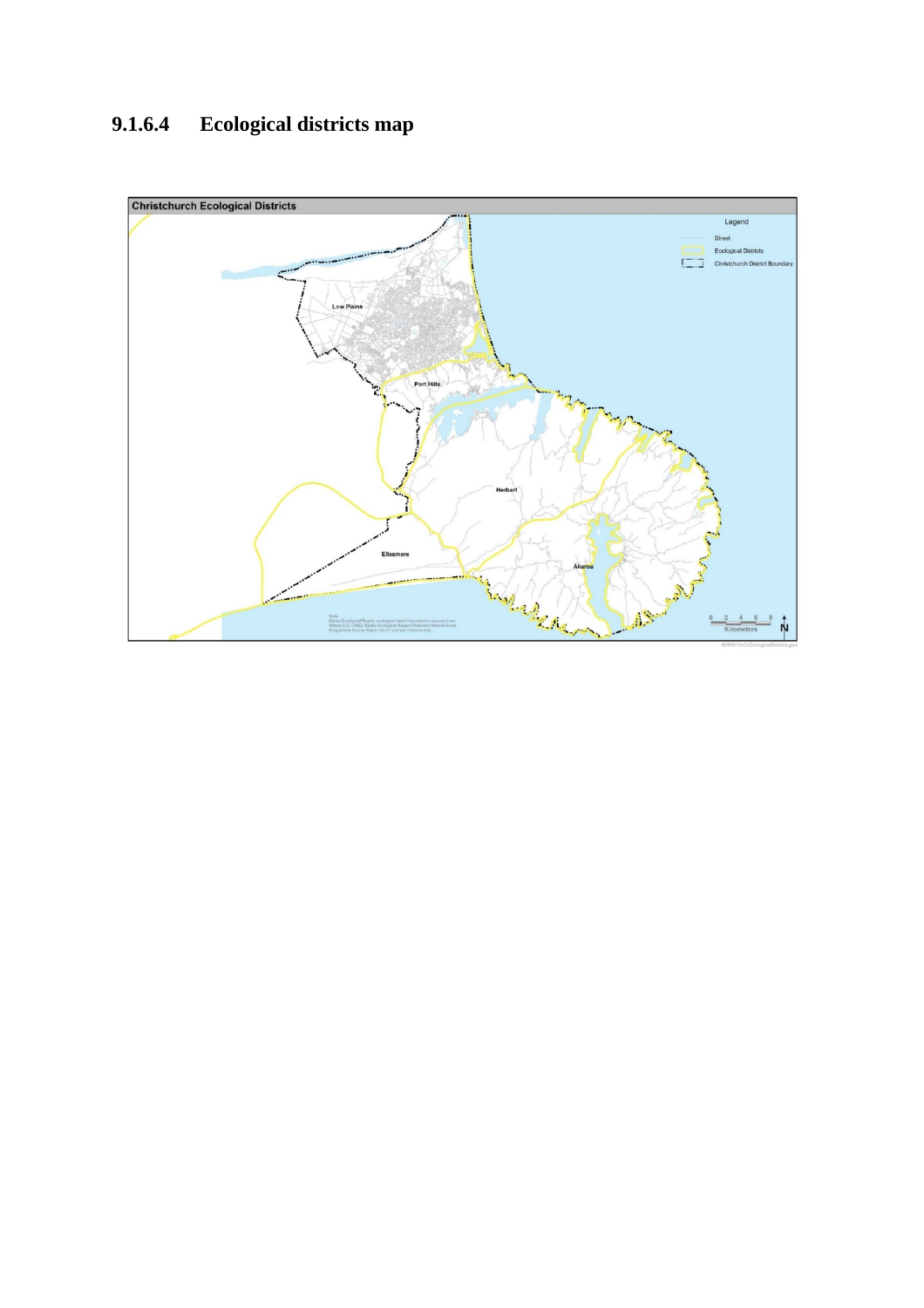# **9.1.6.4 Ecological districts map**

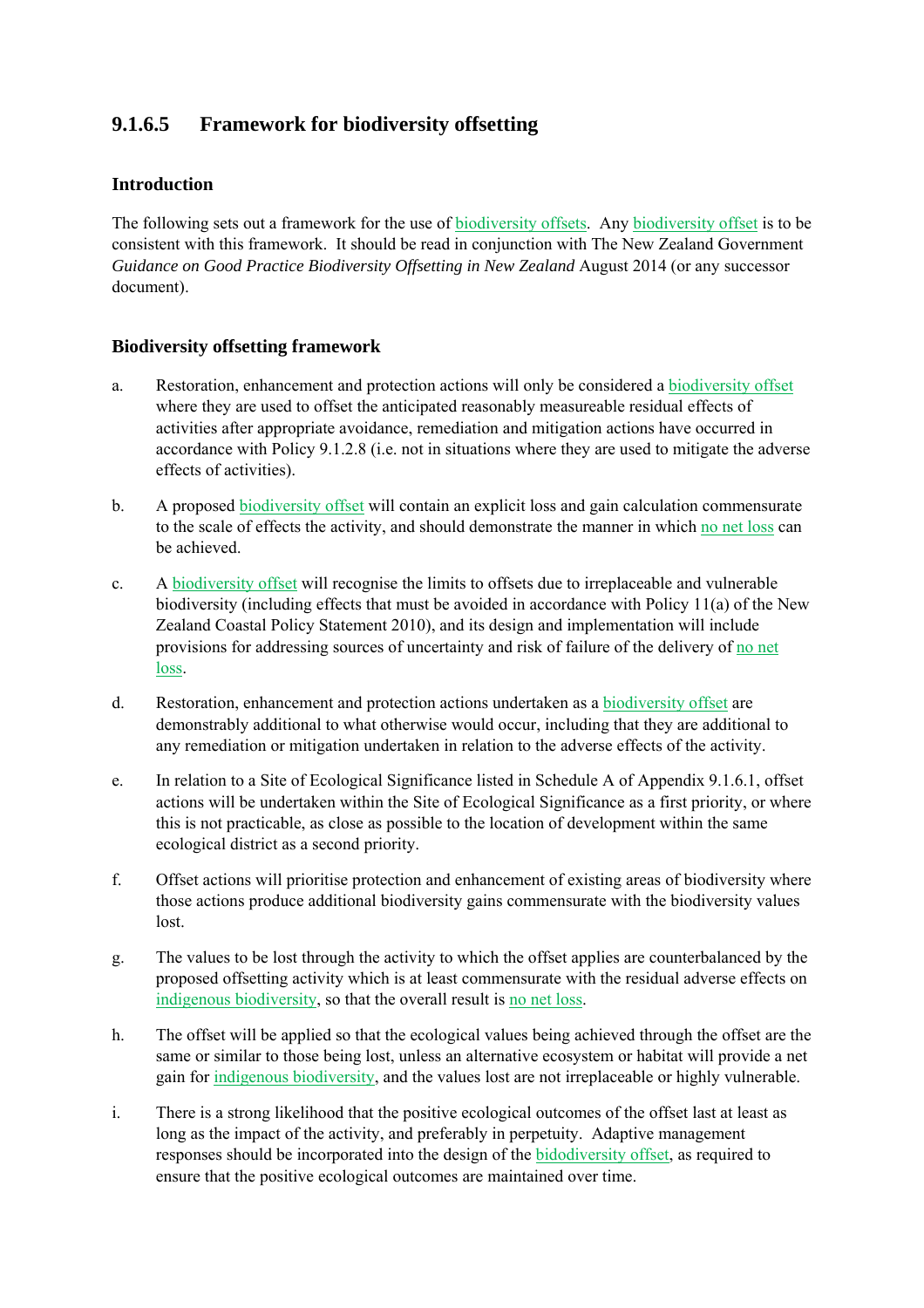## **9.1.6.5 Framework for biodiversity offsetting**

#### **Introduction**

The following sets out a framework for the use of biodiversity offsets. Any biodiversity offset is to be consistent with this framework. It should be read in conjunction with The New Zealand Government *Guidance on Good Practice Biodiversity Offsetting in New Zealand* August 2014 (or any successor document).

#### **Biodiversity offsetting framework**

- a. Restoration, enhancement and protection actions will only be considered a biodiversity offset where they are used to offset the anticipated reasonably measureable residual effects of activities after appropriate avoidance, remediation and mitigation actions have occurred in accordance with Policy 9.1.2.8 (i.e. not in situations where they are used to mitigate the adverse effects of activities).
- b. A proposed biodiversity offset will contain an explicit loss and gain calculation commensurate to the scale of effects the activity, and should demonstrate the manner in which no net loss can be achieved.
- c. A biodiversity offset will recognise the limits to offsets due to irreplaceable and vulnerable biodiversity (including effects that must be avoided in accordance with Policy 11(a) of the New Zealand Coastal Policy Statement 2010), and its design and implementation will include provisions for addressing sources of uncertainty and risk of failure of the delivery of no net loss.
- d. Restoration, enhancement and protection actions undertaken as a biodiversity offset are demonstrably additional to what otherwise would occur, including that they are additional to any remediation or mitigation undertaken in relation to the adverse effects of the activity.
- e. In relation to a Site of Ecological Significance listed in Schedule A of Appendix 9.1.6.1, offset actions will be undertaken within the Site of Ecological Significance as a first priority, or where this is not practicable, as close as possible to the location of development within the same ecological district as a second priority.
- f. Offset actions will prioritise protection and enhancement of existing areas of biodiversity where those actions produce additional biodiversity gains commensurate with the biodiversity values lost.
- g. The values to be lost through the activity to which the offset applies are counterbalanced by the proposed offsetting activity which is at least commensurate with the residual adverse effects on indigenous biodiversity, so that the overall result is no net loss.
- h. The offset will be applied so that the ecological values being achieved through the offset are the same or similar to those being lost, unless an alternative ecosystem or habitat will provide a net gain for indigenous biodiversity, and the values lost are not irreplaceable or highly vulnerable.
- i. There is a strong likelihood that the positive ecological outcomes of the offset last at least as long as the impact of the activity, and preferably in perpetuity. Adaptive management responses should be incorporated into the design of the bidodiversity offset, as required to ensure that the positive ecological outcomes are maintained over time.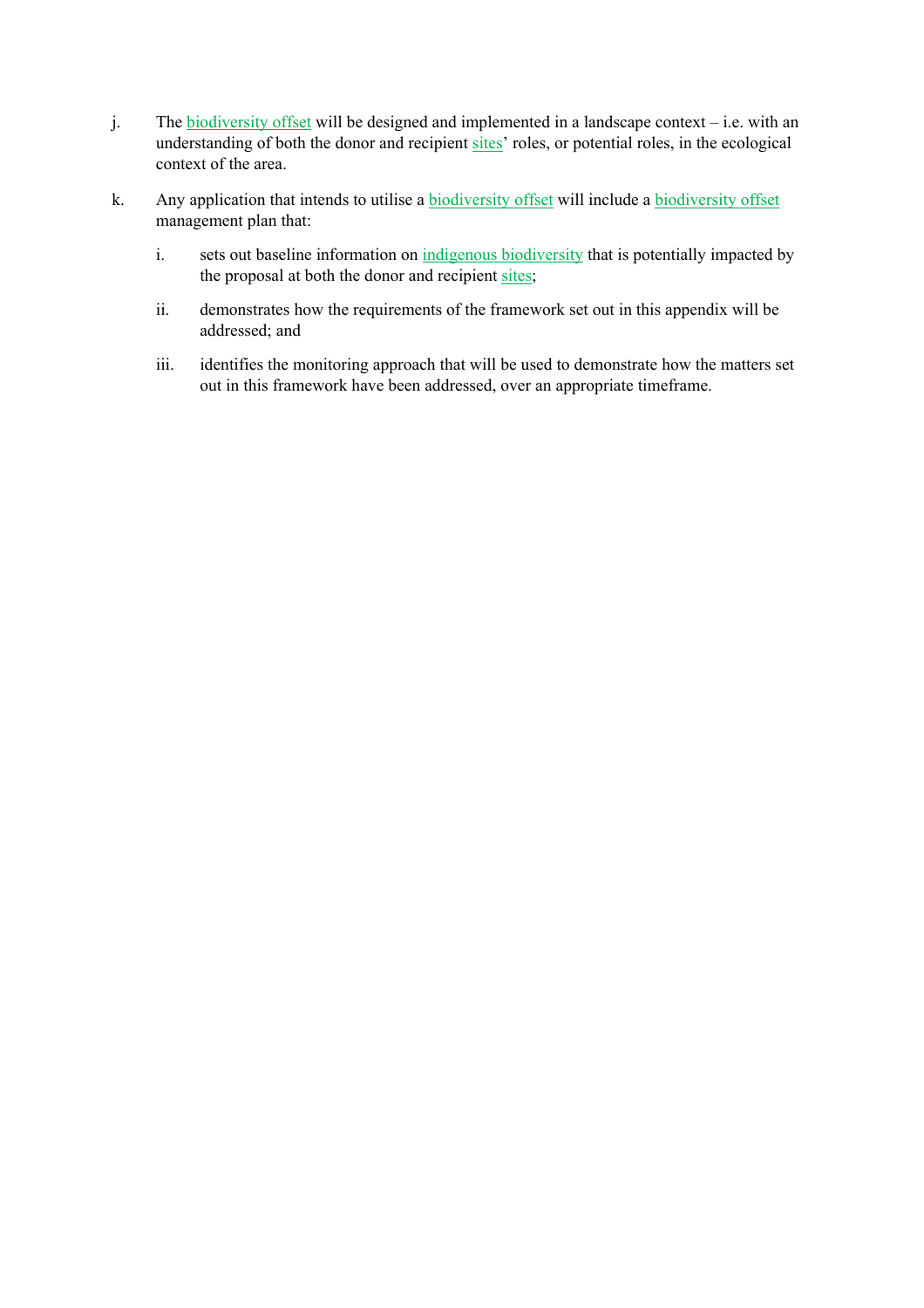- j. The **biodiversity offset** will be designed and implemented in a landscape context i.e. with an understanding of both the donor and recipient sites' roles, or potential roles, in the ecological context of the area.
- k. Any application that intends to utilise a biodiversity offset will include a biodiversity offset management plan that:
	- i. sets out baseline information on indigenous biodiversity that is potentially impacted by the proposal at both the donor and recipient sites;
	- ii. demonstrates how the requirements of the framework set out in this appendix will be addressed; and
	- iii. identifies the monitoring approach that will be used to demonstrate how the matters set out in this framework have been addressed, over an appropriate timeframe.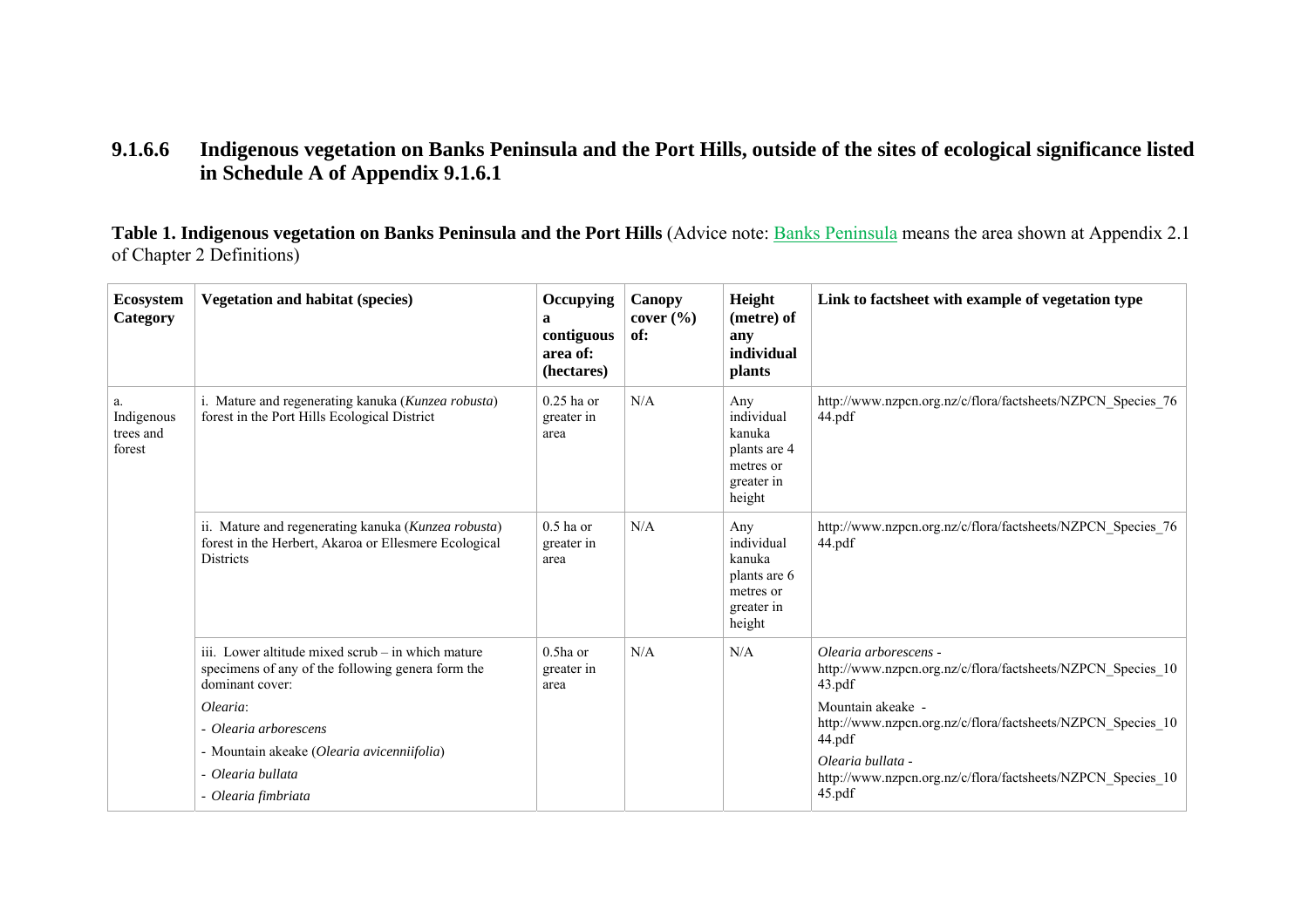#### **9.1.6.6 Indigenous vegetation on Banks Peninsula and the Port Hills, outside of the sites of ecological significance listed in Schedule A of Appendix 9.1.6.1**

**Table 1. Indigenous vegetation on Banks Peninsula and the Port Hills** (Advice note: Banks Peninsula means the area shown at Appendix 2.1 of Chapter 2 Definitions)

| <b>Ecosystem</b><br>Category            | <b>Vegetation and habitat (species)</b>                                                                                          | Occupying<br>a<br>contiguous<br>area of:<br>(hectares) | Canopy<br>cover $(\% )$<br>of: | Height<br>(metre) of<br>any<br>individual<br><b>plants</b>                       | Link to factsheet with example of vegetation type                                              |
|-----------------------------------------|----------------------------------------------------------------------------------------------------------------------------------|--------------------------------------------------------|--------------------------------|----------------------------------------------------------------------------------|------------------------------------------------------------------------------------------------|
| a.<br>Indigenous<br>trees and<br>forest | i. Mature and regenerating kanuka (Kunzea robusta)<br>forest in the Port Hills Ecological District                               | $0.25$ ha or<br>greater in<br>area                     | N/A                            | Any<br>individual<br>kanuka<br>plants are 4<br>metres or<br>greater in<br>height | http://www.nzpcn.org.nz/c/flora/factsheets/NZPCN Species 76<br>44.pdf                          |
|                                         | ii. Mature and regenerating kanuka (Kunzea robusta)<br>forest in the Herbert, Akaroa or Ellesmere Ecological<br><b>Districts</b> | $0.5$ ha or<br>greater in<br>area                      | N/A                            | Any<br>individual<br>kanuka<br>plants are 6<br>metres or<br>greater in<br>height | http://www.nzpcn.org.nz/c/flora/factsheets/NZPCN Species 76<br>44.pdf                          |
|                                         | iii. Lower altitude mixed scrub – in which mature<br>specimens of any of the following genera form the<br>dominant cover:        | $0.5$ ha or<br>greater in<br>area                      | N/A                            | N/A                                                                              | Olearia arborescens -<br>http://www.nzpcn.org.nz/c/flora/factsheets/NZPCN Species 10<br>43.pdf |
|                                         | Olearia:                                                                                                                         |                                                        |                                |                                                                                  | Mountain akeake -                                                                              |
|                                         | - Olearia arborescens                                                                                                            |                                                        |                                |                                                                                  | http://www.nzpcn.org.nz/c/flora/factsheets/NZPCN Species 10<br>44.pdf                          |
|                                         | - Mountain akeake (Olearia avicenniifolia)                                                                                       |                                                        |                                |                                                                                  | Olearia bullata -                                                                              |
|                                         | - Olearia bullata                                                                                                                |                                                        |                                |                                                                                  | http://www.nzpcn.org.nz/c/flora/factsheets/NZPCN Species 10                                    |
|                                         | - Olearia fimbriata                                                                                                              |                                                        |                                |                                                                                  | 45.pdf                                                                                         |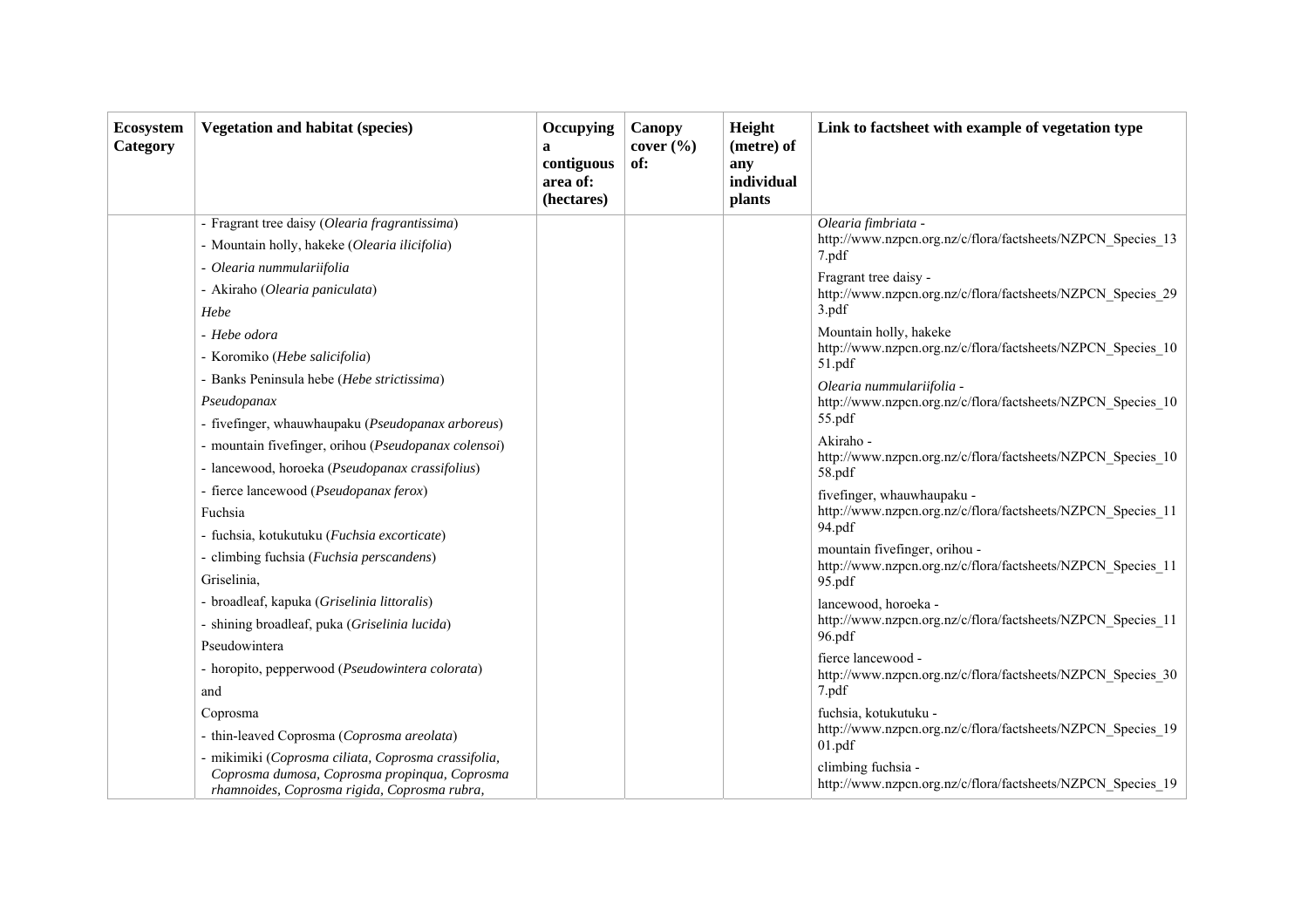| <b>Ecosystem</b><br>Category | <b>Vegetation and habitat (species)</b>                                                         | Occupying<br>a<br>contiguous<br>area of:<br>(hectares) | Canopy<br>cover $(\% )$<br>of: | Height<br>(metre) of<br>any<br>individual<br><i>plants</i> | Link to factsheet with example of vegetation type                                  |
|------------------------------|-------------------------------------------------------------------------------------------------|--------------------------------------------------------|--------------------------------|------------------------------------------------------------|------------------------------------------------------------------------------------|
|                              | - Fragrant tree daisy (Olearia fragrantissima)<br>- Mountain holly, hakeke (Olearia ilicifolia) |                                                        |                                |                                                            | Olearia fimbriata -<br>http://www.nzpcn.org.nz/c/flora/factsheets/NZPCN Species 13 |
|                              |                                                                                                 |                                                        |                                |                                                            | 7.pdf                                                                              |
|                              | - Olearia nummulariifolia                                                                       |                                                        |                                |                                                            | Fragrant tree daisy -                                                              |
|                              | - Akiraho (Olearia paniculata)<br>Hebe                                                          |                                                        |                                |                                                            | http://www.nzpcn.org.nz/c/flora/factsheets/NZPCN_Species_29<br>3.pdf               |
|                              |                                                                                                 |                                                        |                                |                                                            | Mountain holly, hakeke                                                             |
|                              | - Hebe odora                                                                                    |                                                        |                                |                                                            | http://www.nzpcn.org.nz/c/flora/factsheets/NZPCN Species 10                        |
|                              | - Koromiko (Hebe salicifolia)                                                                   |                                                        |                                |                                                            | 51.pdf                                                                             |
|                              | - Banks Peninsula hebe (Hebe strictissima)<br>Pseudopanax                                       |                                                        |                                |                                                            | Olearia nummulariifolia -                                                          |
|                              | - fivefinger, whauwhaupaku (Pseudopanax arboreus)                                               |                                                        |                                |                                                            | http://www.nzpcn.org.nz/c/flora/factsheets/NZPCN Species 10<br>55.pdf              |
|                              | - mountain fivefinger, orihou (Pseudopanax colensoi)                                            |                                                        |                                |                                                            | Akiraho -                                                                          |
|                              | - lancewood, horoeka (Pseudopanax crassifolius)                                                 |                                                        |                                |                                                            | http://www.nzpcn.org.nz/c/flora/factsheets/NZPCN Species 10<br>58.pdf              |
|                              | - fierce lancewood (Pseudopanax ferox)                                                          |                                                        |                                |                                                            | fivefinger, whauwhaupaku -                                                         |
|                              | Fuchsia                                                                                         |                                                        |                                |                                                            | http://www.nzpcn.org.nz/c/flora/factsheets/NZPCN Species 11<br>94.pdf              |
|                              | - fuchsia, kotukutuku (Fuchsia excorticate)                                                     |                                                        |                                |                                                            | mountain fivefinger, orihou -                                                      |
|                              | - climbing fuchsia (Fuchsia perscandens)                                                        |                                                        |                                |                                                            | http://www.nzpcn.org.nz/c/flora/factsheets/NZPCN Species 11                        |
|                              | Griselinia,                                                                                     |                                                        |                                |                                                            | 95.pdf                                                                             |
|                              | - broadleaf, kapuka (Griselinia littoralis)                                                     |                                                        |                                |                                                            | lancewood, horoeka -                                                               |
|                              | - shining broadleaf, puka (Griselinia lucida)                                                   |                                                        |                                |                                                            | http://www.nzpcn.org.nz/c/flora/factsheets/NZPCN Species 11<br>96.pdf              |
|                              | Pseudowintera                                                                                   |                                                        |                                |                                                            | fierce lancewood -                                                                 |
|                              | - horopito, pepperwood (Pseudowintera colorata)                                                 |                                                        |                                |                                                            | http://www.nzpcn.org.nz/c/flora/factsheets/NZPCN Species 30                        |
|                              | and                                                                                             |                                                        |                                |                                                            | 7.pdf                                                                              |
|                              | Coprosma                                                                                        |                                                        |                                |                                                            | fuchsia, kotukutuku -                                                              |
|                              | - thin-leaved Coprosma (Coprosma areolata)                                                      |                                                        |                                |                                                            | http://www.nzpcn.org.nz/c/flora/factsheets/NZPCN Species 19<br>01.pdf              |
|                              | - mikimiki (Coprosma ciliata, Coprosma crassifolia,                                             |                                                        |                                |                                                            | climbing fuchsia -                                                                 |
|                              | Coprosma dumosa, Coprosma propinqua, Coprosma<br>rhamnoides, Coprosma rigida, Coprosma rubra,   |                                                        |                                |                                                            | http://www.nzpcn.org.nz/c/flora/factsheets/NZPCN Species 19                        |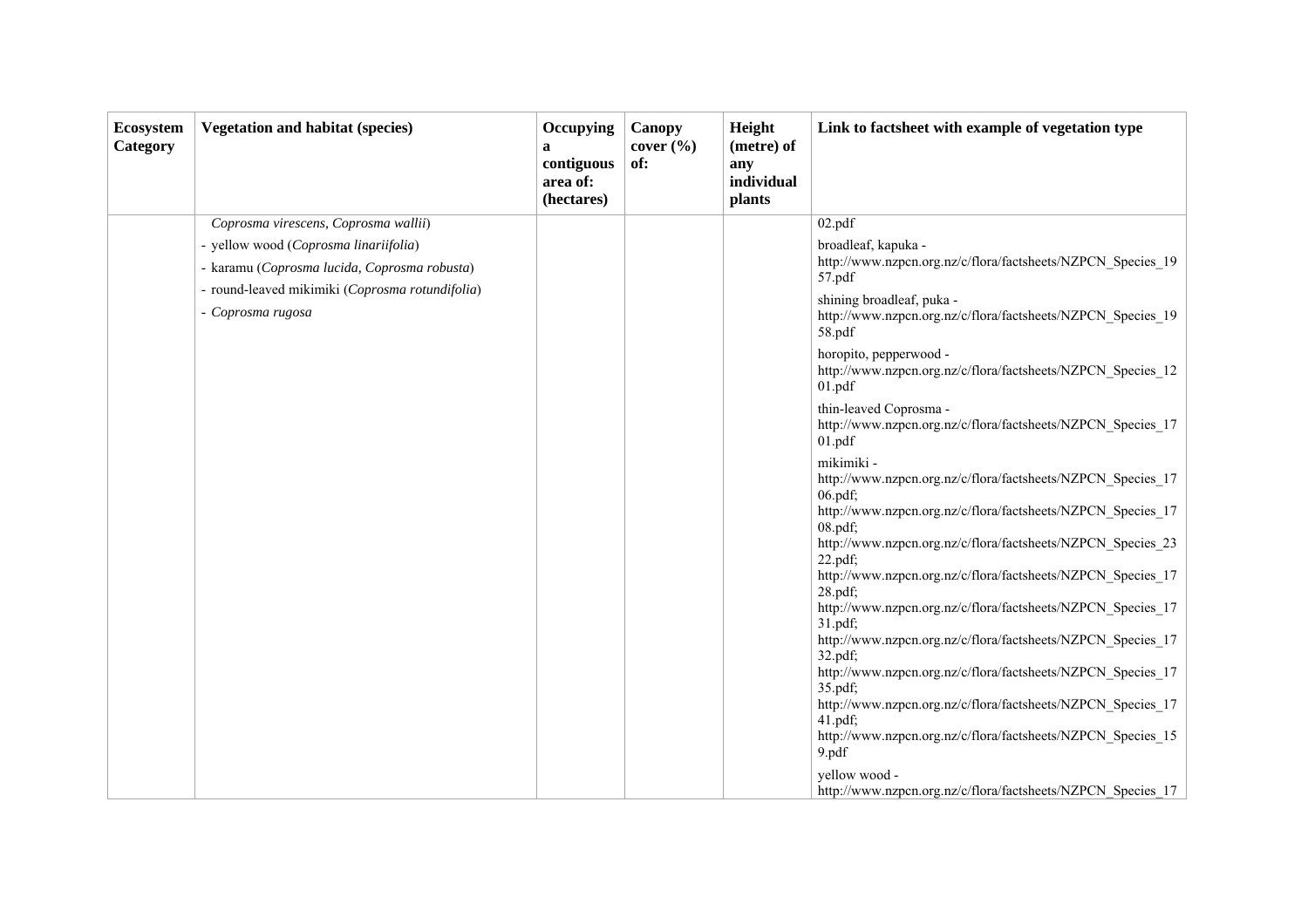| Ecosystem<br>Category | <b>Vegetation and habitat (species)</b>                                                                                                                                                               | Occupying<br>a<br>contiguous<br>area of:<br>(hectares) | Canopy<br>cover $(\% )$<br>of: | Height<br>(metre) of<br>any<br>individual<br><b>plants</b> | Link to factsheet with example of vegetation type                                                                                                                                                                                                                                                                                                                                                                                                                                                                                                                                                                                                                                                                                                                                                                                                                                                                                                                                                                                                                                                                                                                                                              |
|-----------------------|-------------------------------------------------------------------------------------------------------------------------------------------------------------------------------------------------------|--------------------------------------------------------|--------------------------------|------------------------------------------------------------|----------------------------------------------------------------------------------------------------------------------------------------------------------------------------------------------------------------------------------------------------------------------------------------------------------------------------------------------------------------------------------------------------------------------------------------------------------------------------------------------------------------------------------------------------------------------------------------------------------------------------------------------------------------------------------------------------------------------------------------------------------------------------------------------------------------------------------------------------------------------------------------------------------------------------------------------------------------------------------------------------------------------------------------------------------------------------------------------------------------------------------------------------------------------------------------------------------------|
|                       | Coprosma virescens, Coprosma wallii)<br>- yellow wood (Coprosma linariifolia)<br>- karamu (Coprosma lucida, Coprosma robusta)<br>- round-leaved mikimiki (Coprosma rotundifolia)<br>- Coprosma rugosa |                                                        |                                |                                                            | 02.pdf<br>broadleaf, kapuka -<br>http://www.nzpcn.org.nz/c/flora/factsheets/NZPCN Species 19<br>57.pdf<br>shining broadleaf, puka -<br>http://www.nzpcn.org.nz/c/flora/factsheets/NZPCN Species 19<br>58.pdf<br>horopito, pepperwood -<br>http://www.nzpcn.org.nz/c/flora/factsheets/NZPCN Species 12<br>01.pdf<br>thin-leaved Coprosma -<br>http://www.nzpcn.org.nz/c/flora/factsheets/NZPCN Species 17<br>01.pdf<br>mikimiki -<br>http://www.nzpcn.org.nz/c/flora/factsheets/NZPCN Species 17<br>06.pdf;<br>http://www.nzpcn.org.nz/c/flora/factsheets/NZPCN Species 17<br>$08.pdf$ :<br>http://www.nzpcn.org.nz/c/flora/factsheets/NZPCN Species 23<br>22.pdf;<br>http://www.nzpcn.org.nz/c/flora/factsheets/NZPCN Species 17<br>28.pdf;<br>http://www.nzpcn.org.nz/c/flora/factsheets/NZPCN Species 17<br>31.pdf;<br>http://www.nzpcn.org.nz/c/flora/factsheets/NZPCN Species 17<br>32.pdf;<br>http://www.nzpcn.org.nz/c/flora/factsheets/NZPCN Species 17<br>35.pdf;<br>http://www.nzpcn.org.nz/c/flora/factsheets/NZPCN Species 17<br>$41.pdf$ ;<br>http://www.nzpcn.org.nz/c/flora/factsheets/NZPCN Species 15<br>9.pdf<br>vellow wood -<br>http://www.nzpcn.org.nz/c/flora/factsheets/NZPCN Species 17 |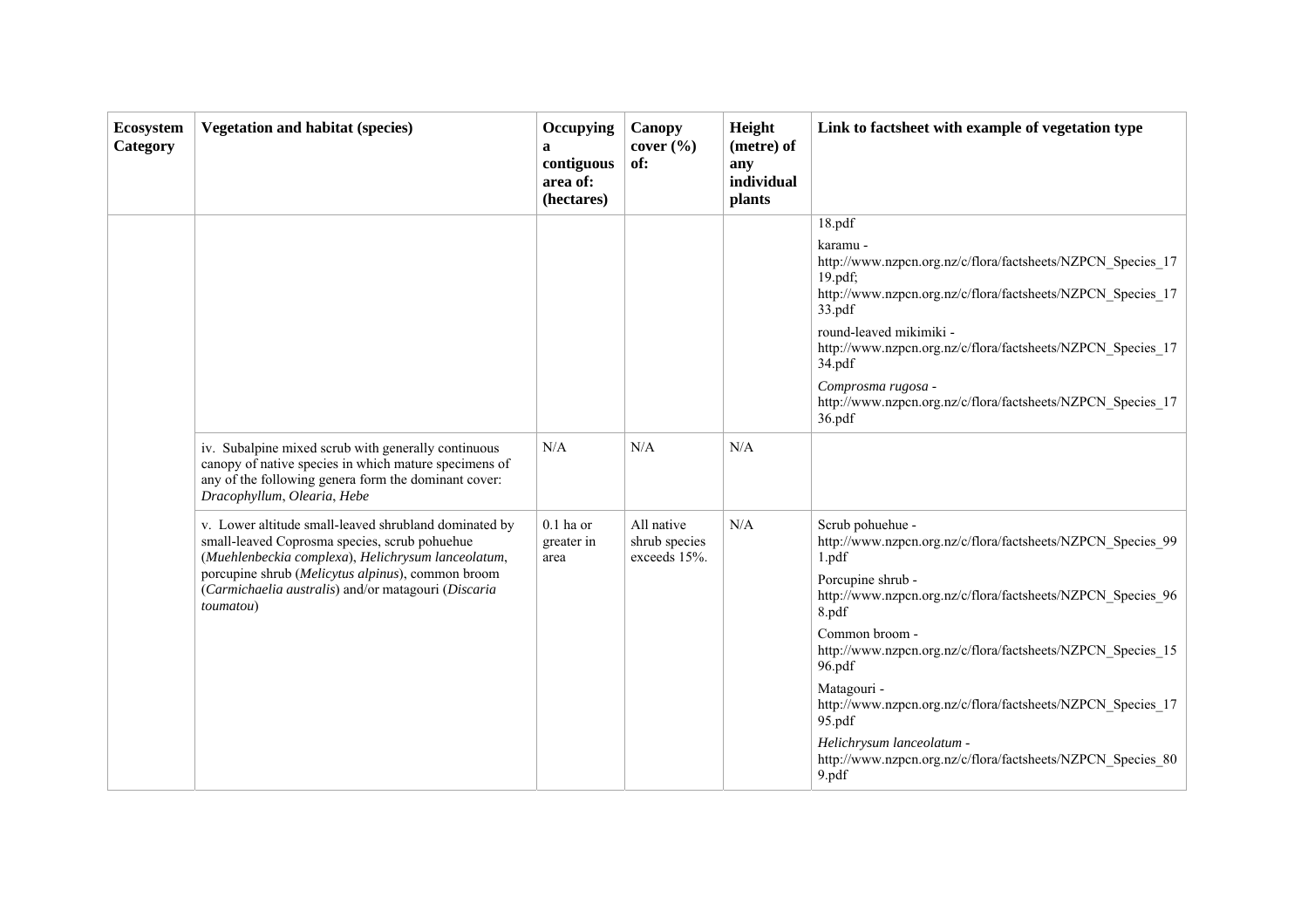| Ecosystem<br>Category | <b>Vegetation and habitat (species)</b>                                                                                                                                                                                                                                               | Occupying<br>a<br>contiguous<br>area of:<br>(hectares) | <b>Canopy</b><br>cover $(\% )$<br>of:       | Height<br>(metre) of<br>any<br>individual<br>plants | Link to factsheet with example of vegetation type                                                                                                                                                                                                                                                                                                                                                                                                                             |
|-----------------------|---------------------------------------------------------------------------------------------------------------------------------------------------------------------------------------------------------------------------------------------------------------------------------------|--------------------------------------------------------|---------------------------------------------|-----------------------------------------------------|-------------------------------------------------------------------------------------------------------------------------------------------------------------------------------------------------------------------------------------------------------------------------------------------------------------------------------------------------------------------------------------------------------------------------------------------------------------------------------|
|                       |                                                                                                                                                                                                                                                                                       |                                                        |                                             |                                                     | 18.pdf<br>karamu -<br>http://www.nzpcn.org.nz/c/flora/factsheets/NZPCN Species 17<br>19.pdf;<br>http://www.nzpcn.org.nz/c/flora/factsheets/NZPCN Species 17<br>33.pdf<br>round-leaved mikimiki -                                                                                                                                                                                                                                                                              |
|                       |                                                                                                                                                                                                                                                                                       |                                                        |                                             |                                                     | http://www.nzpcn.org.nz/c/flora/factsheets/NZPCN Species 17<br>34.pdf<br>Comprosma rugosa -<br>http://www.nzpcn.org.nz/c/flora/factsheets/NZPCN Species 17<br>36.pdf                                                                                                                                                                                                                                                                                                          |
|                       | iv. Subalpine mixed scrub with generally continuous<br>canopy of native species in which mature specimens of<br>any of the following genera form the dominant cover:<br>Dracophyllum, Olearia, Hebe                                                                                   | N/A                                                    | N/A                                         | N/A                                                 |                                                                                                                                                                                                                                                                                                                                                                                                                                                                               |
|                       | v. Lower altitude small-leaved shrubland dominated by<br>small-leaved Coprosma species, scrub pohuehue<br>(Muehlenbeckia complexa), Helichrysum lanceolatum,<br>porcupine shrub (Melicytus alpinus), common broom<br>(Carmichaelia australis) and/or matagouri (Discaria<br>toumatou) | $0.1$ ha or<br>greater in<br>area                      | All native<br>shrub species<br>exceeds 15%. | N/A                                                 | Scrub pohuehue -<br>http://www.nzpcn.org.nz/c/flora/factsheets/NZPCN Species 99<br>1.pdf<br>Porcupine shrub -<br>http://www.nzpcn.org.nz/c/flora/factsheets/NZPCN Species 96<br>8.pdf<br>Common broom -<br>http://www.nzpcn.org.nz/c/flora/factsheets/NZPCN Species 15<br>96.pdf<br>Matagouri -<br>http://www.nzpcn.org.nz/c/flora/factsheets/NZPCN Species 17<br>95.pdf<br>Helichrysum lanceolatum -<br>http://www.nzpcn.org.nz/c/flora/factsheets/NZPCN Species 80<br>9.pdf |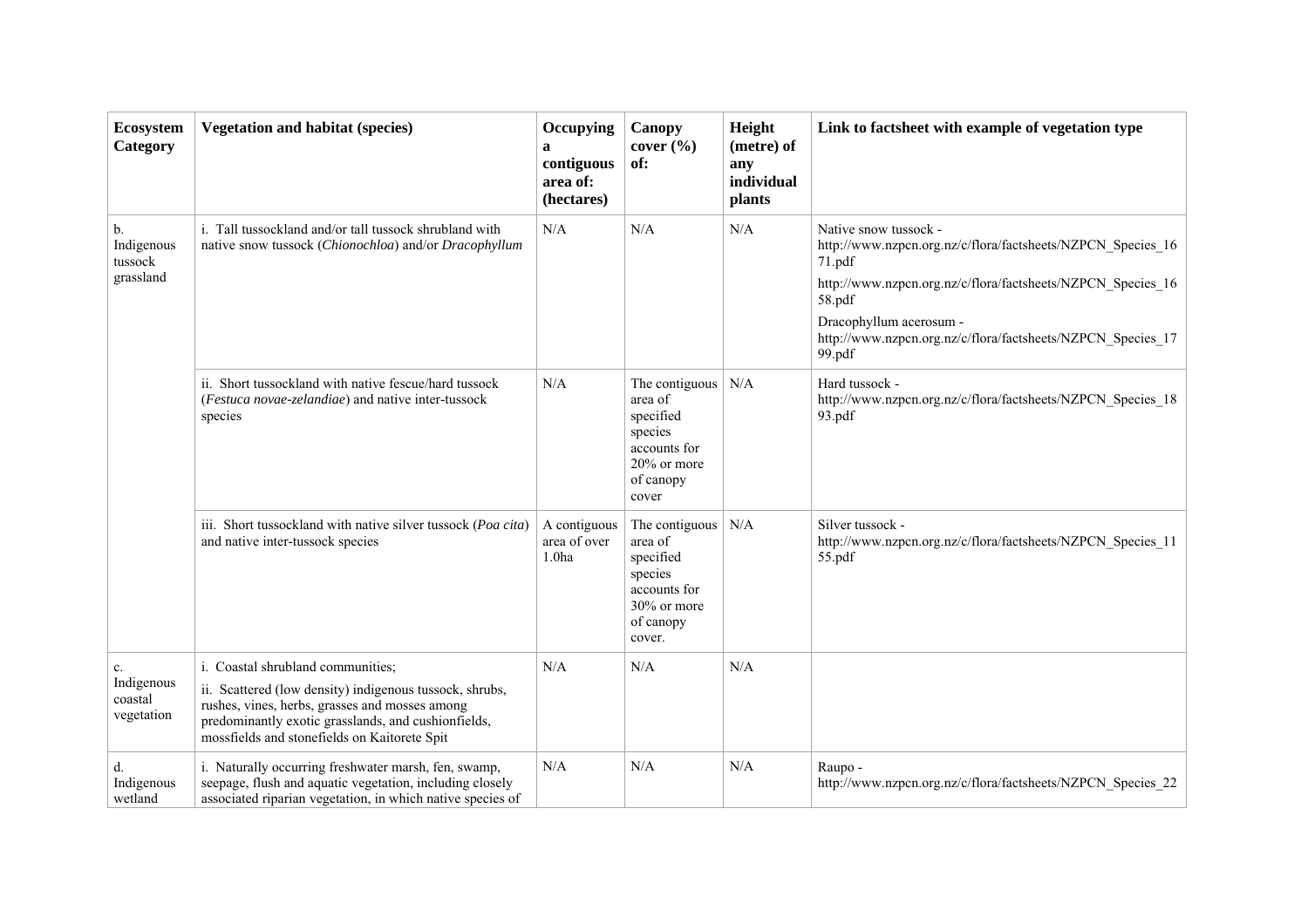| Ecosystem<br>Category                     | <b>Vegetation and habitat (species)</b>                                                                                                                                                                                                               | Occupying<br>a<br>contiguous<br>area of:<br>(hectares) | Canopy<br>cover $(\% )$<br>of:                                                                          | Height<br>(metre) of<br>any<br>individual<br>plants | Link to factsheet with example of vegetation type                                                                                                                                                                                                                           |
|-------------------------------------------|-------------------------------------------------------------------------------------------------------------------------------------------------------------------------------------------------------------------------------------------------------|--------------------------------------------------------|---------------------------------------------------------------------------------------------------------|-----------------------------------------------------|-----------------------------------------------------------------------------------------------------------------------------------------------------------------------------------------------------------------------------------------------------------------------------|
| b.<br>Indigenous<br>tussock<br>grassland  | i. Tall tussockland and/or tall tussock shrubland with<br>native snow tussock (Chionochloa) and/or Dracophyllum                                                                                                                                       | N/A                                                    | N/A                                                                                                     | N/A                                                 | Native snow tussock -<br>http://www.nzpcn.org.nz/c/flora/factsheets/NZPCN Species 16<br>71.pdf<br>http://www.nzpcn.org.nz/c/flora/factsheets/NZPCN Species 16<br>58.pdf<br>Dracophyllum acerosum -<br>http://www.nzpcn.org.nz/c/flora/factsheets/NZPCN Species 17<br>99.pdf |
|                                           | ii. Short tussockland with native fescue/hard tussock<br>(Festuca novae-zelandiae) and native inter-tussock<br>species                                                                                                                                | N/A                                                    | The contiguous<br>area of<br>specified<br>species<br>accounts for<br>20% or more<br>of canopy<br>cover  | N/A                                                 | Hard tussock -<br>http://www.nzpcn.org.nz/c/flora/factsheets/NZPCN Species 18<br>93.pdf                                                                                                                                                                                     |
|                                           | iii. Short tussockland with native silver tussock (Poa cita)<br>and native inter-tussock species                                                                                                                                                      | A contiguous<br>area of over<br>1.0 <sub>ha</sub>      | The contiguous<br>area of<br>specified<br>species<br>accounts for<br>30% or more<br>of canopy<br>cover. | N/A                                                 | Silver tussock -<br>http://www.nzpcn.org.nz/c/flora/factsheets/NZPCN Species 11<br>55.pdf                                                                                                                                                                                   |
| c.<br>Indigenous<br>coastal<br>vegetation | i. Coastal shrubland communities;<br>ii. Scattered (low density) indigenous tussock, shrubs,<br>rushes, vines, herbs, grasses and mosses among<br>predominantly exotic grasslands, and cushionfields,<br>mossfields and stonefields on Kaitorete Spit | N/A                                                    | N/A                                                                                                     | N/A                                                 |                                                                                                                                                                                                                                                                             |
| d.<br>Indigenous<br>wetland               | i. Naturally occurring freshwater marsh, fen, swamp,<br>seepage, flush and aquatic vegetation, including closely<br>associated riparian vegetation, in which native species of                                                                        | N/A                                                    | N/A                                                                                                     | N/A                                                 | Raupo -<br>http://www.nzpcn.org.nz/c/flora/factsheets/NZPCN Species 22                                                                                                                                                                                                      |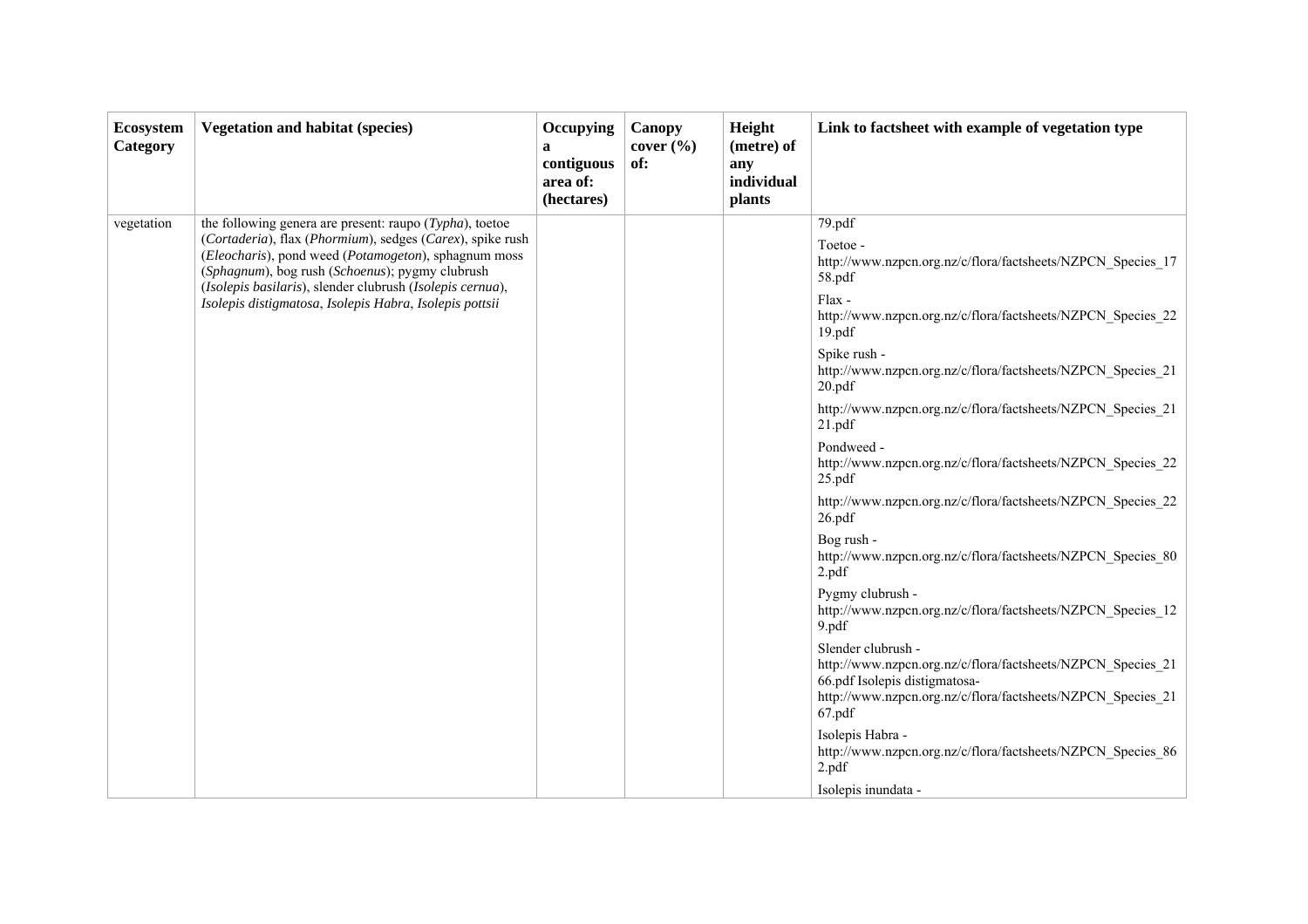| Ecosystem<br>Category | <b>Vegetation and habitat (species)</b>                                                                                                                                                                                                                                                                                                                    | Occupying<br>a<br>contiguous<br>area of:<br>(hectares) | Canopy<br>cover $(\% )$<br>of: | Height<br>(metre) of<br>any<br>individual<br>plants | Link to factsheet with example of vegetation type                                                                                                                                                                                                                                                                                                                                                                                                                                                                                                                                                                                                                                                                                                                                                                                                                                                                                                                                    |
|-----------------------|------------------------------------------------------------------------------------------------------------------------------------------------------------------------------------------------------------------------------------------------------------------------------------------------------------------------------------------------------------|--------------------------------------------------------|--------------------------------|-----------------------------------------------------|--------------------------------------------------------------------------------------------------------------------------------------------------------------------------------------------------------------------------------------------------------------------------------------------------------------------------------------------------------------------------------------------------------------------------------------------------------------------------------------------------------------------------------------------------------------------------------------------------------------------------------------------------------------------------------------------------------------------------------------------------------------------------------------------------------------------------------------------------------------------------------------------------------------------------------------------------------------------------------------|
| vegetation            | the following genera are present: raupo $(Typha)$ , toetoe<br>(Cortaderia), flax (Phormium), sedges (Carex), spike rush<br>(Eleocharis), pond weed (Potamogeton), sphagnum moss<br>(Sphagnum), bog rush (Schoenus); pygmy clubrush<br>(Isolepis basilaris), slender clubrush (Isolepis cernua),<br>Isolepis distigmatosa, Isolepis Habra, Isolepis pottsii |                                                        |                                |                                                     | 79.pdf<br>Toetoe -<br>http://www.nzpcn.org.nz/c/flora/factsheets/NZPCN Species 17<br>58.pdf<br>Flax -<br>http://www.nzpcn.org.nz/c/flora/factsheets/NZPCN Species 22<br>19.pdf<br>Spike rush -<br>http://www.nzpcn.org.nz/c/flora/factsheets/NZPCN Species 21<br>20.pdf<br>http://www.nzpcn.org.nz/c/flora/factsheets/NZPCN Species 21<br>21.pdf<br>Pondweed -<br>http://www.nzpcn.org.nz/c/flora/factsheets/NZPCN Species 22<br>25.pdf<br>http://www.nzpcn.org.nz/c/flora/factsheets/NZPCN Species 22<br>26.pdf<br>Bog rush -<br>http://www.nzpcn.org.nz/c/flora/factsheets/NZPCN Species 80<br>2.pdf<br>Pygmy clubrush -<br>http://www.nzpcn.org.nz/c/flora/factsheets/NZPCN Species 12<br>9.pdf<br>Slender clubrush -<br>http://www.nzpcn.org.nz/c/flora/factsheets/NZPCN_Species_21<br>66.pdf Isolepis distigmatosa-<br>http://www.nzpcn.org.nz/c/flora/factsheets/NZPCN Species 21<br>67.pdf<br>Isolepis Habra -<br>http://www.nzpcn.org.nz/c/flora/factsheets/NZPCN Species 86 |
|                       |                                                                                                                                                                                                                                                                                                                                                            |                                                        |                                |                                                     | 2.pdf<br>Isolepis inundata -                                                                                                                                                                                                                                                                                                                                                                                                                                                                                                                                                                                                                                                                                                                                                                                                                                                                                                                                                         |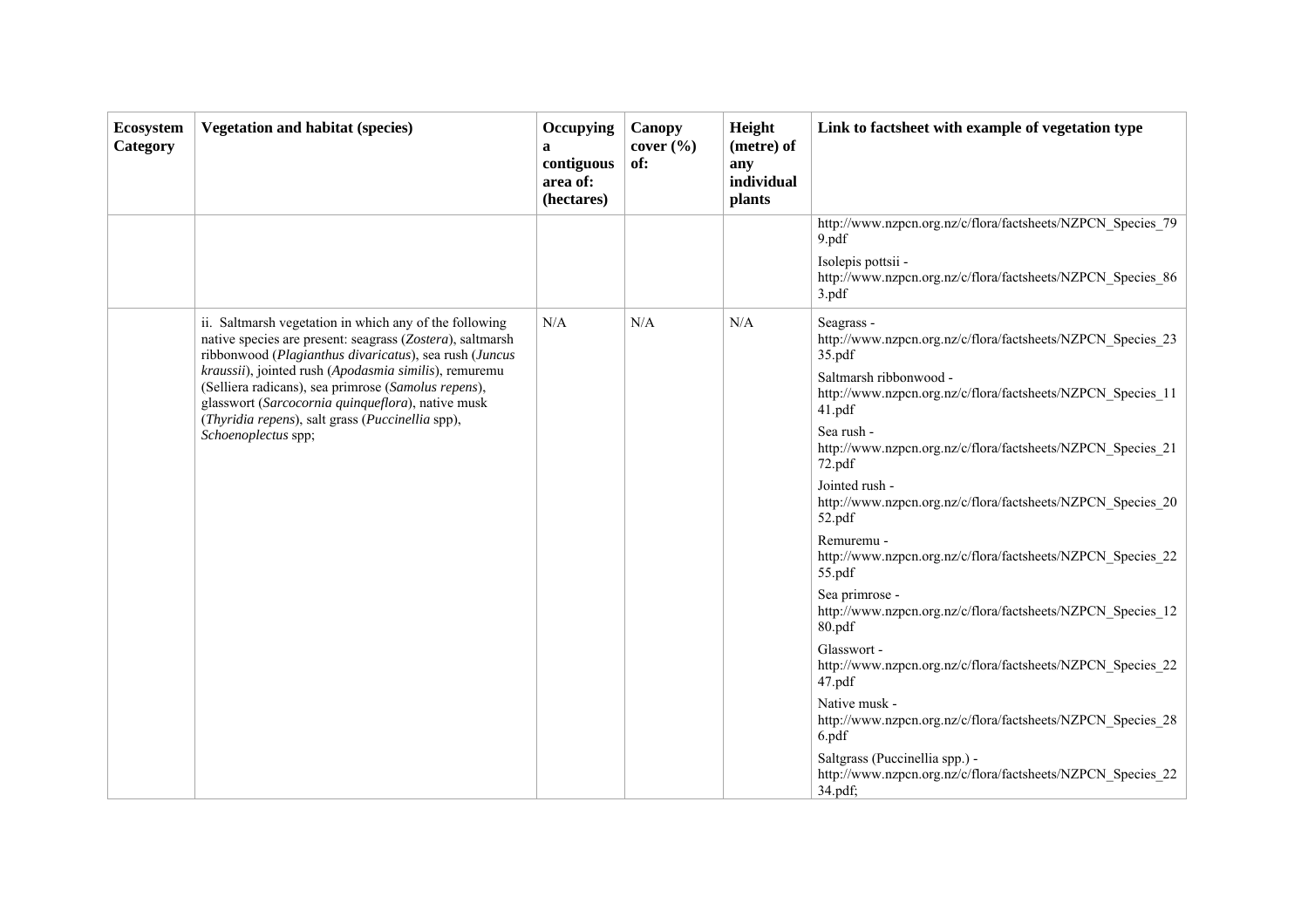| Ecosystem<br>Category | <b>Vegetation and habitat (species)</b>                                                                                                                                                                               | Occupying<br>a<br>contiguous<br>area of:<br>(hectares) | Canopy<br>cover $(\% )$<br>of: | Height<br>(metre) of<br>any<br>individual<br>plants | Link to factsheet with example of vegetation type                                                        |
|-----------------------|-----------------------------------------------------------------------------------------------------------------------------------------------------------------------------------------------------------------------|--------------------------------------------------------|--------------------------------|-----------------------------------------------------|----------------------------------------------------------------------------------------------------------|
|                       |                                                                                                                                                                                                                       |                                                        |                                |                                                     | http://www.nzpcn.org.nz/c/flora/factsheets/NZPCN Species 79<br>9.pdf                                     |
|                       |                                                                                                                                                                                                                       |                                                        |                                |                                                     | Isolepis pottsii -<br>http://www.nzpcn.org.nz/c/flora/factsheets/NZPCN Species 86<br>3.pdf               |
|                       | ii. Saltmarsh vegetation in which any of the following<br>native species are present: seagrass (Zostera), saltmarsh<br>ribbonwood (Plagianthus divaricatus), sea rush (Juncus                                         | N/A                                                    | N/A                            | N/A                                                 | Seagrass -<br>http://www.nzpcn.org.nz/c/flora/factsheets/NZPCN Species 23<br>35.pdf                      |
|                       | kraussii), jointed rush (Apodasmia similis), remuremu<br>(Selliera radicans), sea primrose (Samolus repens),<br>glasswort (Sarcocornia quinqueflora), native musk<br>(Thyridia repens), salt grass (Puccinellia spp), |                                                        |                                |                                                     | Saltmarsh ribbonwood -<br>http://www.nzpcn.org.nz/c/flora/factsheets/NZPCN Species 11<br>41.pdf          |
|                       | Schoenoplectus spp;                                                                                                                                                                                                   |                                                        |                                |                                                     | Sea rush -<br>http://www.nzpcn.org.nz/c/flora/factsheets/NZPCN Species 21<br>72.pdf                      |
|                       |                                                                                                                                                                                                                       |                                                        |                                |                                                     | Jointed rush -<br>http://www.nzpcn.org.nz/c/flora/factsheets/NZPCN Species 20<br>52.pdf                  |
|                       |                                                                                                                                                                                                                       |                                                        |                                |                                                     | Remuremu -<br>http://www.nzpcn.org.nz/c/flora/factsheets/NZPCN Species 22<br>55.pdf                      |
|                       |                                                                                                                                                                                                                       |                                                        |                                |                                                     | Sea primrose -<br>http://www.nzpcn.org.nz/c/flora/factsheets/NZPCN Species 12<br>80.pdf                  |
|                       |                                                                                                                                                                                                                       |                                                        |                                |                                                     | Glasswort -<br>http://www.nzpcn.org.nz/c/flora/factsheets/NZPCN Species 22<br>47.pdf                     |
|                       |                                                                                                                                                                                                                       |                                                        |                                |                                                     | Native musk -<br>http://www.nzpcn.org.nz/c/flora/factsheets/NZPCN Species 28<br>6.pdf                    |
|                       |                                                                                                                                                                                                                       |                                                        |                                |                                                     | Saltgrass (Puccinellia spp.) -<br>http://www.nzpcn.org.nz/c/flora/factsheets/NZPCN Species 22<br>34.pdf; |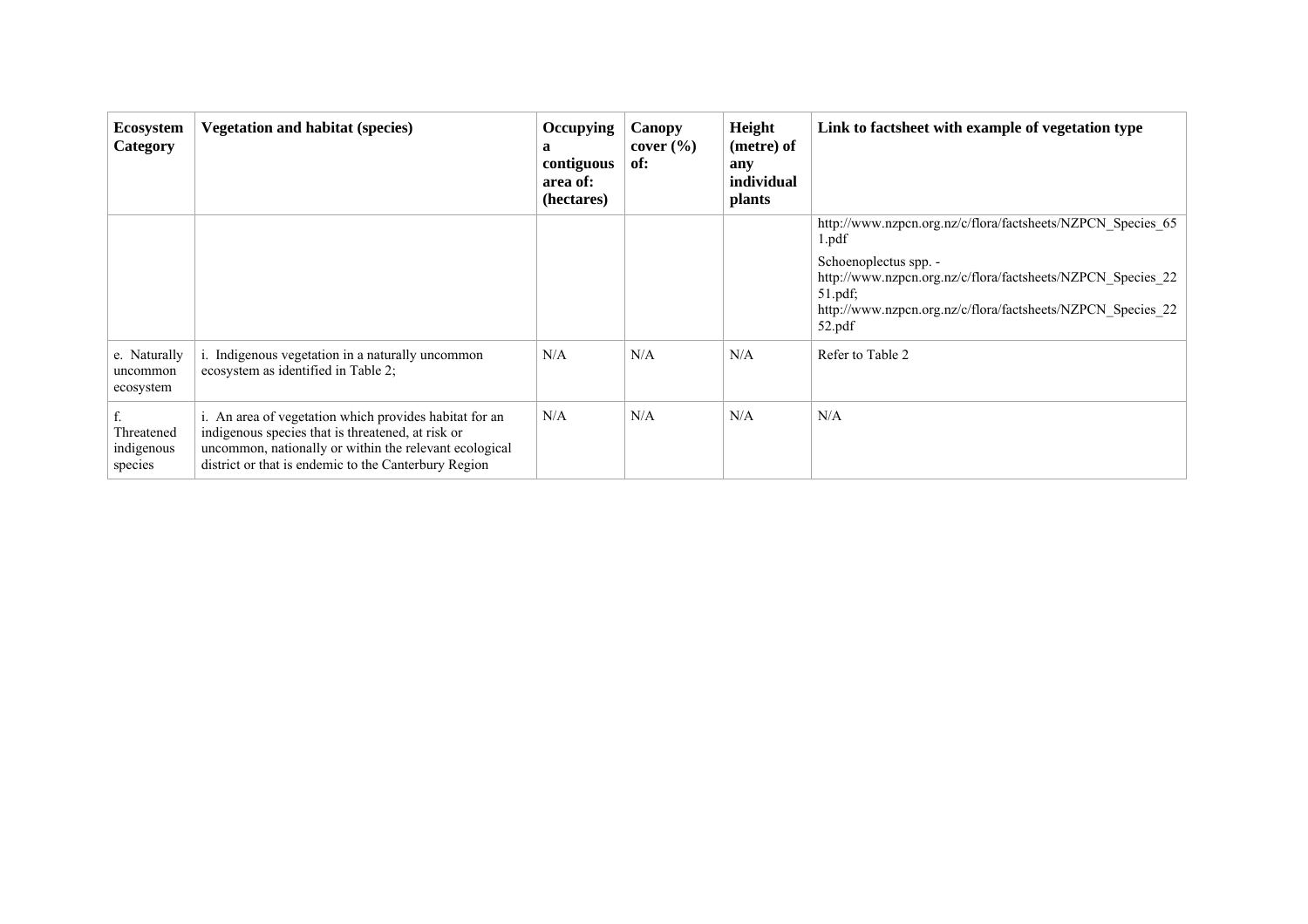| Ecosystem<br>Category                 | <b>Vegetation and habitat (species)</b>                                                                                                                                                                                       | <b>Occupying</b><br>a<br>contiguous<br>area of:<br>(hectares) | <b>Canopy</b><br>cover $(\% )$<br>of: | Height<br>(metre) of<br>any<br>individual<br>plants | Link to factsheet with example of vegetation type                                                                                                                           |
|---------------------------------------|-------------------------------------------------------------------------------------------------------------------------------------------------------------------------------------------------------------------------------|---------------------------------------------------------------|---------------------------------------|-----------------------------------------------------|-----------------------------------------------------------------------------------------------------------------------------------------------------------------------------|
|                                       |                                                                                                                                                                                                                               |                                                               |                                       |                                                     | http://www.nzpcn.org.nz/c/flora/factsheets/NZPCN Species 65<br>1.pdf                                                                                                        |
|                                       |                                                                                                                                                                                                                               |                                                               |                                       |                                                     | Schoenoplectus spp. -<br>http://www.nzpcn.org.nz/c/flora/factsheets/NZPCN Species 22<br>$51.pdf$ ;<br>http://www.nzpcn.org.nz/c/flora/factsheets/NZPCN Species 22<br>52.pdf |
| e. Naturally<br>uncommon<br>ecosystem | . Indigenous vegetation in a naturally uncommon<br>ecosystem as identified in Table 2;                                                                                                                                        | N/A                                                           | N/A                                   | N/A                                                 | Refer to Table 2                                                                                                                                                            |
| Threatened<br>indigenous<br>species   | i. An area of vegetation which provides habitat for an<br>indigenous species that is threatened, at risk or<br>uncommon, nationally or within the relevant ecological<br>district or that is endemic to the Canterbury Region | N/A                                                           | N/A                                   | N/A                                                 | N/A                                                                                                                                                                         |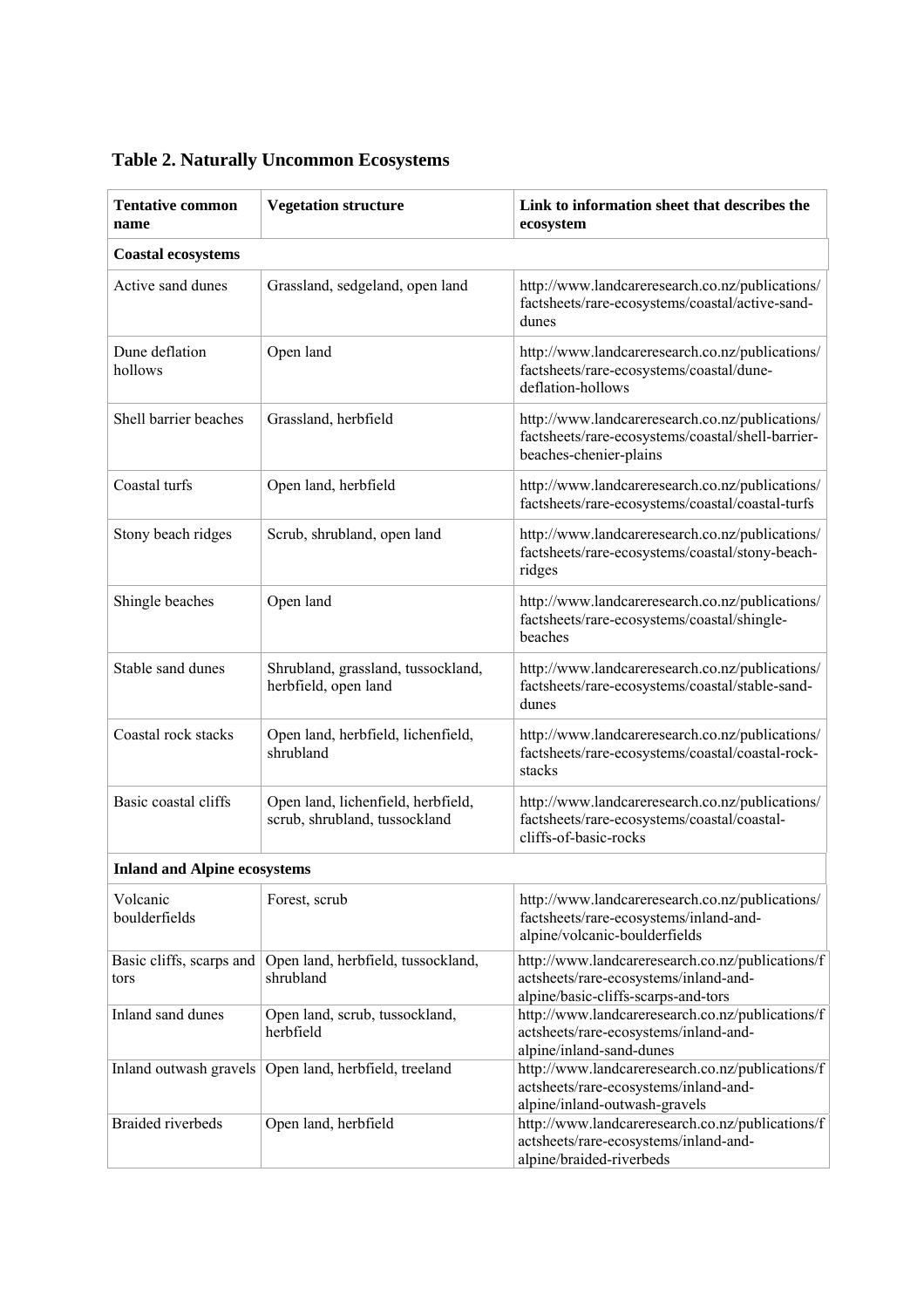| <b>Tentative common</b><br>name     | <b>Vegetation structure</b>                                         | Link to information sheet that describes the<br>ecosystem                                                                        |  |  |  |  |
|-------------------------------------|---------------------------------------------------------------------|----------------------------------------------------------------------------------------------------------------------------------|--|--|--|--|
| <b>Coastal ecosystems</b>           |                                                                     |                                                                                                                                  |  |  |  |  |
| Active sand dunes                   | Grassland, sedgeland, open land                                     | http://www.landcareresearch.co.nz/publications/<br>factsheets/rare-ecosystems/coastal/active-sand-<br>dunes                      |  |  |  |  |
| Dune deflation<br>hollows           | Open land                                                           | http://www.landcareresearch.co.nz/publications/<br>factsheets/rare-ecosystems/coastal/dune-<br>deflation-hollows                 |  |  |  |  |
| Shell barrier beaches               | Grassland, herbfield                                                | http://www.landcareresearch.co.nz/publications/<br>factsheets/rare-ecosystems/coastal/shell-barrier-<br>beaches-chenier-plains   |  |  |  |  |
| Coastal turfs                       | Open land, herbfield                                                | http://www.landcareresearch.co.nz/publications/<br>factsheets/rare-ecosystems/coastal/coastal-turfs                              |  |  |  |  |
| Stony beach ridges                  | Scrub, shrubland, open land                                         | http://www.landcareresearch.co.nz/publications/<br>factsheets/rare-ecosystems/coastal/stony-beach-<br>ridges                     |  |  |  |  |
| Shingle beaches                     | Open land                                                           | http://www.landcareresearch.co.nz/publications/<br>factsheets/rare-ecosystems/coastal/shingle-<br>beaches                        |  |  |  |  |
| Stable sand dunes                   | Shrubland, grassland, tussockland,<br>herbfield, open land          | http://www.landcareresearch.co.nz/publications/<br>factsheets/rare-ecosystems/coastal/stable-sand-<br>dunes                      |  |  |  |  |
| Coastal rock stacks                 | Open land, herbfield, lichenfield,<br>shrubland                     | http://www.landcareresearch.co.nz/publications/<br>factsheets/rare-ecosystems/coastal/coastal-rock-<br>stacks                    |  |  |  |  |
| Basic coastal cliffs                | Open land, lichenfield, herbfield,<br>scrub, shrubland, tussockland | http://www.landcareresearch.co.nz/publications/<br>factsheets/rare-ecosystems/coastal/coastal-<br>cliffs-of-basic-rocks          |  |  |  |  |
| <b>Inland and Alpine ecosystems</b> |                                                                     |                                                                                                                                  |  |  |  |  |
| Volcanic<br>boulderfields           | Forest, scrub                                                       | http://www.landcareresearch.co.nz/publications/<br>factsheets/rare-ecosystems/inland-and-<br>alpine/volcanic-boulderfields       |  |  |  |  |
| Basic cliffs, scarps and<br>tors    | Open land, herbfield, tussockland,<br>shrubland                     | http://www.landcareresearch.co.nz/publications/f<br>actsheets/rare-ecosystems/inland-and-<br>alpine/basic-cliffs-scarps-and-tors |  |  |  |  |
| Inland sand dunes                   | Open land, scrub, tussockland,<br>herbfield                         | http://www.landcareresearch.co.nz/publications/f<br>actsheets/rare-ecosystems/inland-and-<br>alpine/inland-sand-dunes            |  |  |  |  |
| Inland outwash gravels              | Open land, herbfield, treeland                                      | http://www.landcareresearch.co.nz/publications/f<br>actsheets/rare-ecosystems/inland-and-<br>alpine/inland-outwash-gravels       |  |  |  |  |
| <b>Braided</b> riverbeds            | Open land, herbfield                                                | http://www.landcareresearch.co.nz/publications/f<br>actsheets/rare-ecosystems/inland-and-<br>alpine/braided-riverbeds            |  |  |  |  |

## **Table 2. Naturally Uncommon Ecosystems**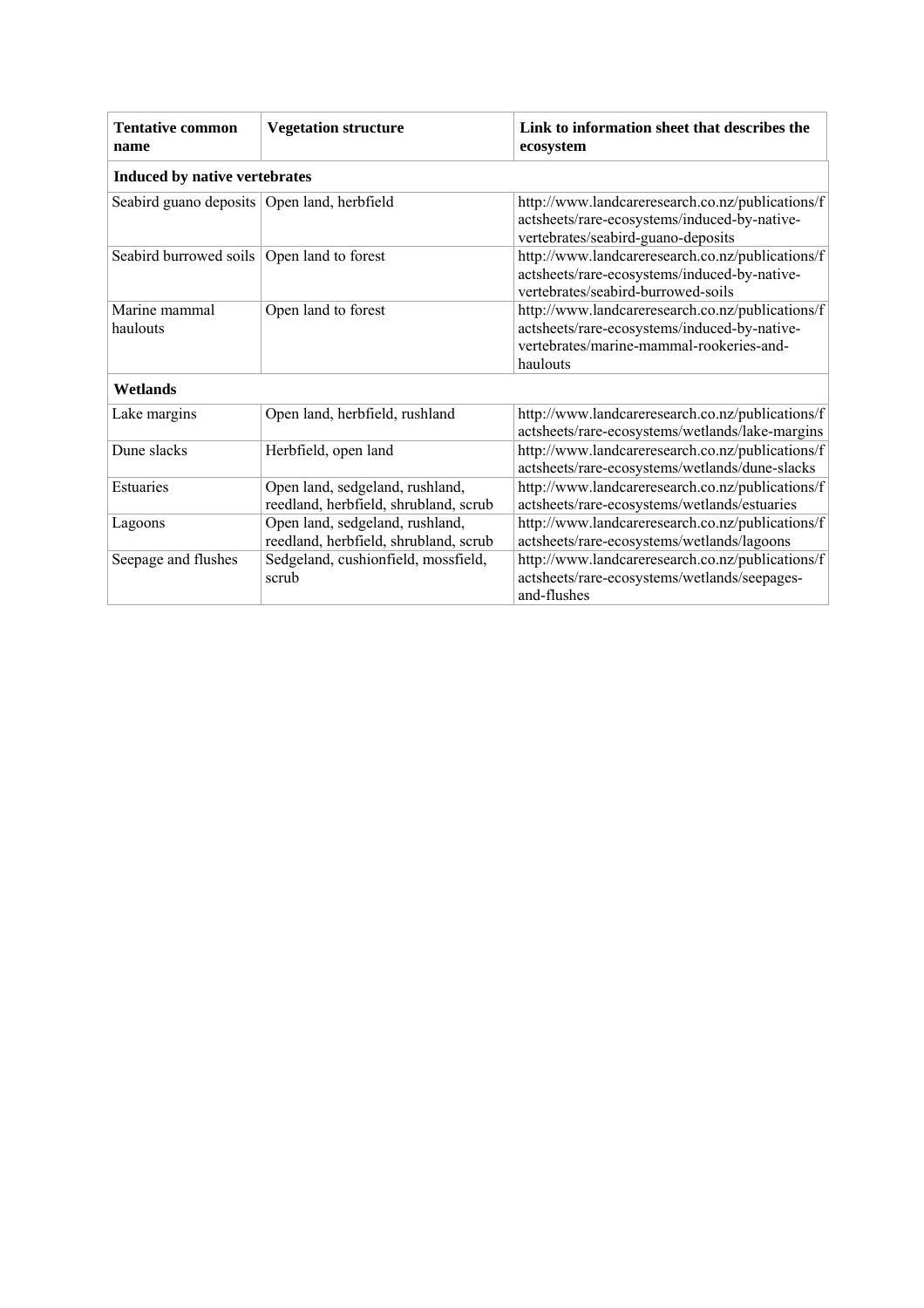| <b>Tentative common</b><br>name               | <b>Vegetation structure</b>                                              | Link to information sheet that describes the<br>ecosystem                                                                                                |  |  |  |  |
|-----------------------------------------------|--------------------------------------------------------------------------|----------------------------------------------------------------------------------------------------------------------------------------------------------|--|--|--|--|
| Induced by native vertebrates                 |                                                                          |                                                                                                                                                          |  |  |  |  |
| Seabird guano deposits   Open land, herbfield |                                                                          | http://www.landcareresearch.co.nz/publications/f<br>actsheets/rare-ecosystems/induced-by-native-<br>vertebrates/seabird-guano-deposits                   |  |  |  |  |
| Seabird burrowed soils   Open land to forest  |                                                                          | http://www.landcareresearch.co.nz/publications/f<br>actsheets/rare-ecosystems/induced-by-native-<br>vertebrates/seabird-burrowed-soils                   |  |  |  |  |
| Marine mammal<br>haulouts                     | Open land to forest                                                      | http://www.landcareresearch.co.nz/publications/f<br>actsheets/rare-ecosystems/induced-by-native-<br>vertebrates/marine-mammal-rookeries-and-<br>haulouts |  |  |  |  |
| Wetlands                                      |                                                                          |                                                                                                                                                          |  |  |  |  |
| Lake margins                                  | Open land, herbfield, rushland                                           | http://www.landcareresearch.co.nz/publications/f<br>actsheets/rare-ecosystems/wetlands/lake-margins                                                      |  |  |  |  |
| Dune slacks                                   | Herbfield, open land                                                     | http://www.landcareresearch.co.nz/publications/f<br>actsheets/rare-ecosystems/wetlands/dune-slacks                                                       |  |  |  |  |
| Estuaries                                     | Open land, sedgeland, rushland,<br>reedland, herbfield, shrubland, scrub | http://www.landcareresearch.co.nz/publications/f<br>actsheets/rare-ecosystems/wetlands/estuaries                                                         |  |  |  |  |
| Lagoons                                       | Open land, sedgeland, rushland,<br>reedland, herbfield, shrubland, scrub | http://www.landcareresearch.co.nz/publications/f<br>actsheets/rare-ecosystems/wetlands/lagoons                                                           |  |  |  |  |
| Seepage and flushes                           | Sedgeland, cushionfield, mossfield,<br>scrub                             | http://www.landcareresearch.co.nz/publications/f<br>actsheets/rare-ecosystems/wetlands/seepages-<br>and-flushes                                          |  |  |  |  |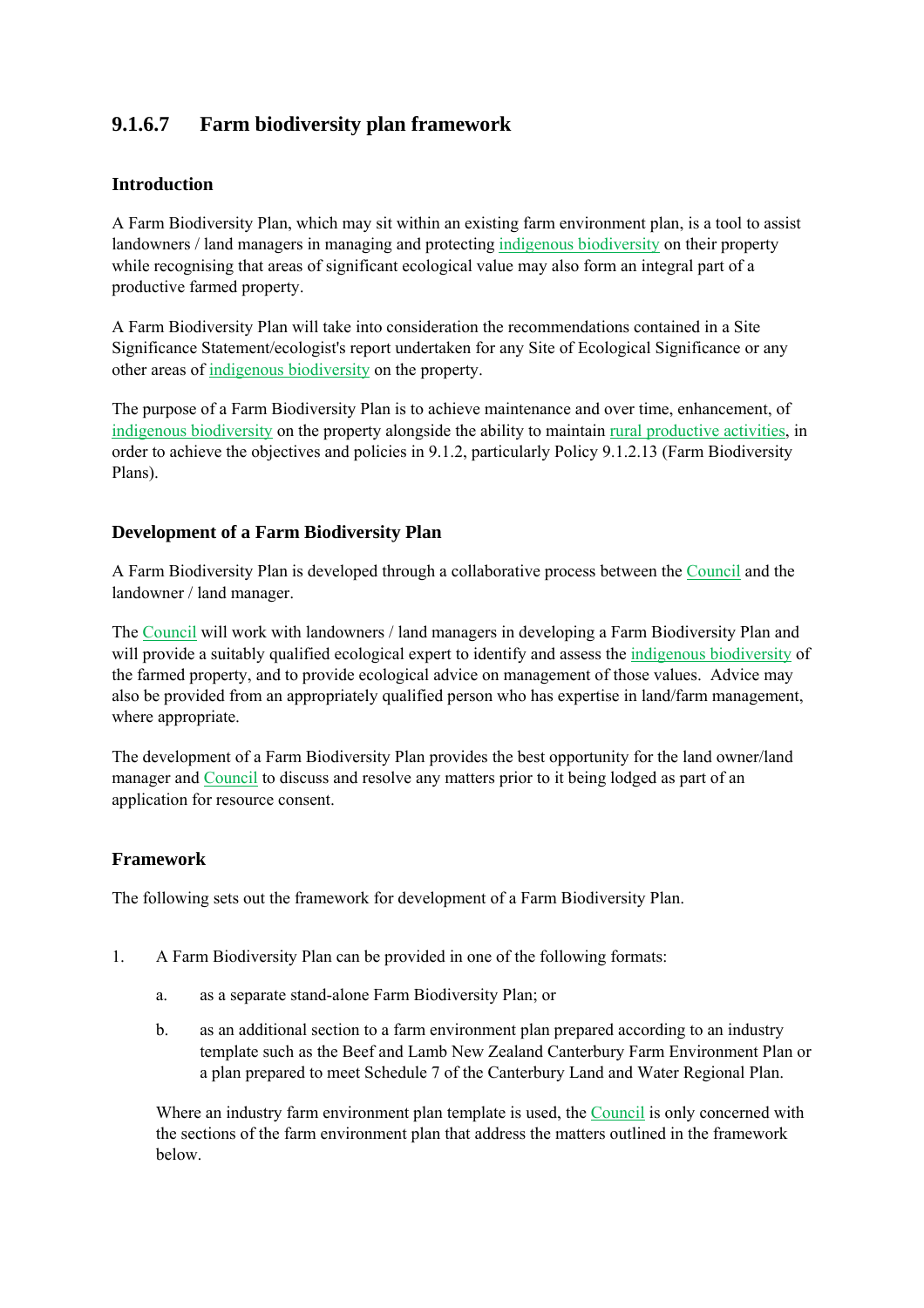## **9.1.6.7 Farm biodiversity plan framework**

#### **Introduction**

A Farm Biodiversity Plan, which may sit within an existing farm environment plan, is a tool to assist landowners / land managers in managing and protecting indigenous biodiversity on their property while recognising that areas of significant ecological value may also form an integral part of a productive farmed property.

A Farm Biodiversity Plan will take into consideration the recommendations contained in a Site Significance Statement/ecologist's report undertaken for any Site of Ecological Significance or any other areas of indigenous biodiversity on the property.

The purpose of a Farm Biodiversity Plan is to achieve maintenance and over time, enhancement, of indigenous biodiversity on the property alongside the ability to maintain rural productive activities, in order to achieve the objectives and policies in 9.1.2, particularly Policy 9.1.2.13 (Farm Biodiversity Plans).

#### **Development of a Farm Biodiversity Plan**

A Farm Biodiversity Plan is developed through a collaborative process between the Council and the landowner / land manager.

The Council will work with landowners / land managers in developing a Farm Biodiversity Plan and will provide a suitably qualified ecological expert to identify and assess the indigenous biodiversity of the farmed property, and to provide ecological advice on management of those values. Advice may also be provided from an appropriately qualified person who has expertise in land/farm management, where appropriate.

The development of a Farm Biodiversity Plan provides the best opportunity for the land owner/land manager and Council to discuss and resolve any matters prior to it being lodged as part of an application for resource consent.

#### **Framework**

The following sets out the framework for development of a Farm Biodiversity Plan.

- 1. A Farm Biodiversity Plan can be provided in one of the following formats:
	- a. as a separate stand-alone Farm Biodiversity Plan; or
	- b. as an additional section to a farm environment plan prepared according to an industry template such as the Beef and Lamb New Zealand Canterbury Farm Environment Plan or a plan prepared to meet Schedule 7 of the Canterbury Land and Water Regional Plan.

Where an industry farm environment plan template is used, the Council is only concerned with the sections of the farm environment plan that address the matters outlined in the framework below.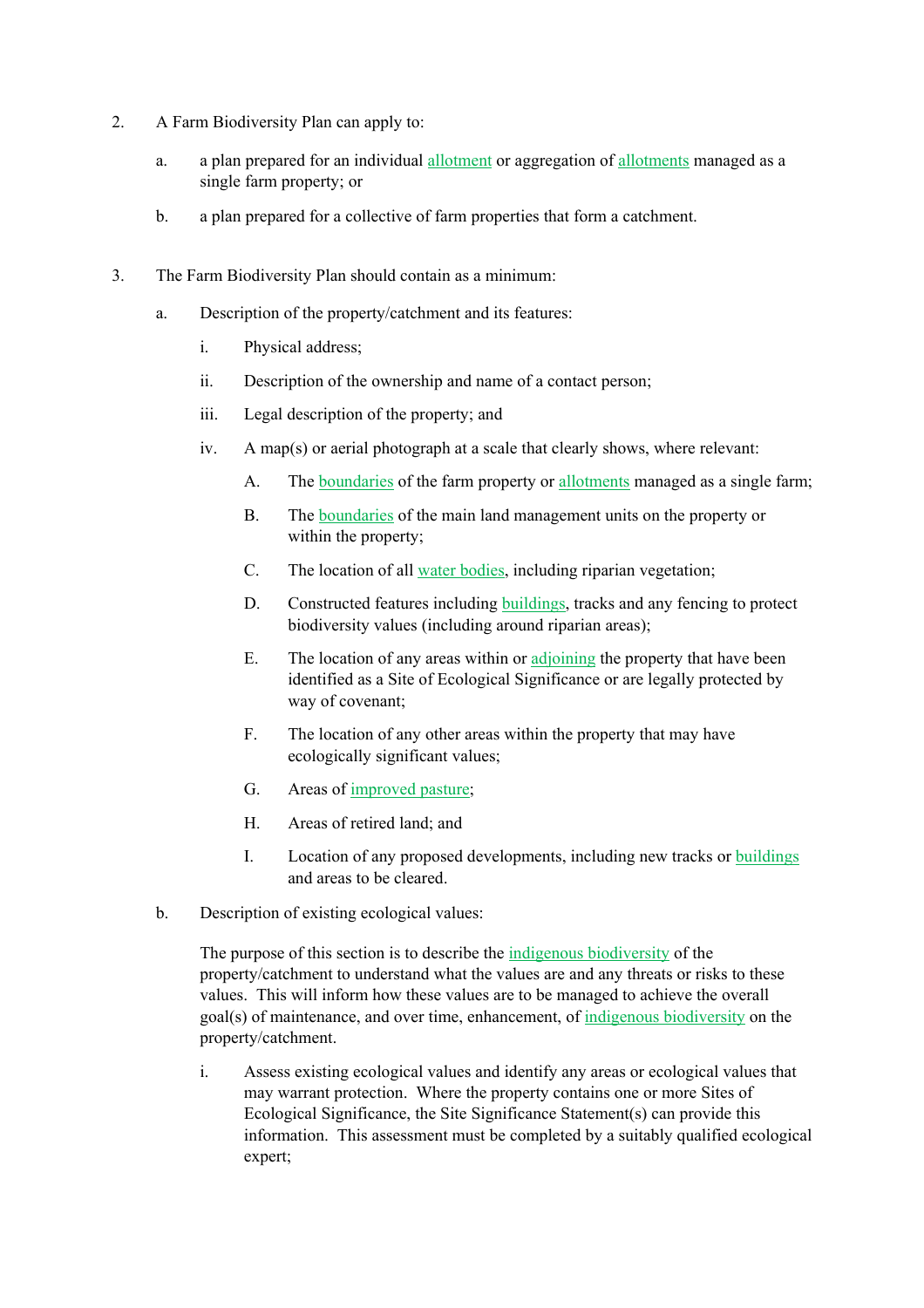- 2. A Farm Biodiversity Plan can apply to:
	- a. a plan prepared for an individual allotment or aggregation of allotments managed as a single farm property; or
	- b. a plan prepared for a collective of farm properties that form a catchment.
- 3. The Farm Biodiversity Plan should contain as a minimum:
	- a. Description of the property/catchment and its features:
		- i. Physical address;
		- ii. Description of the ownership and name of a contact person;
		- iii. Legal description of the property; and
		- iv. A map(s) or aerial photograph at a scale that clearly shows, where relevant:
			- A. The boundaries of the farm property or allotments managed as a single farm;
			- B. The boundaries of the main land management units on the property or within the property:
			- C. The location of all water bodies, including riparian vegetation;
			- D. Constructed features including buildings, tracks and any fencing to protect biodiversity values (including around riparian areas);
			- E. The location of any areas within or adjoining the property that have been identified as a Site of Ecological Significance or are legally protected by way of covenant;
			- F. The location of any other areas within the property that may have ecologically significant values;
			- G. Areas of improved pasture;
			- H. Areas of retired land; and
			- I. Location of any proposed developments, including new tracks or buildings and areas to be cleared.
	- b. Description of existing ecological values:

The purpose of this section is to describe the indigenous biodiversity of the property/catchment to understand what the values are and any threats or risks to these values. This will inform how these values are to be managed to achieve the overall goal(s) of maintenance, and over time, enhancement, of indigenous biodiversity on the property/catchment.

i. Assess existing ecological values and identify any areas or ecological values that may warrant protection. Where the property contains one or more Sites of Ecological Significance, the Site Significance Statement(s) can provide this information. This assessment must be completed by a suitably qualified ecological expert;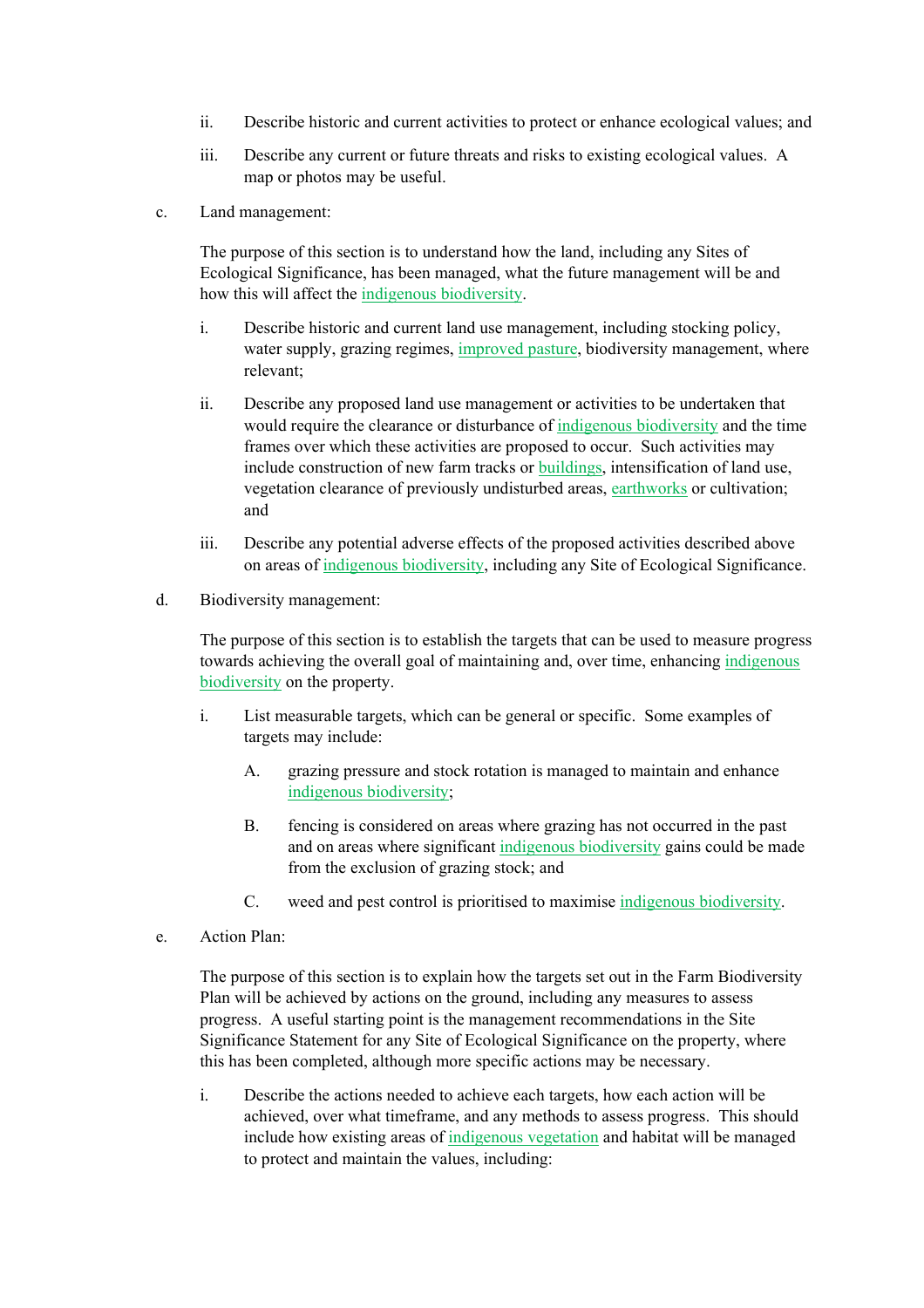- ii. Describe historic and current activities to protect or enhance ecological values; and
- iii. Describe any current or future threats and risks to existing ecological values. A map or photos may be useful.
- c. Land management:

The purpose of this section is to understand how the land, including any Sites of Ecological Significance, has been managed, what the future management will be and how this will affect the indigenous biodiversity.

- i. Describe historic and current land use management, including stocking policy, water supply, grazing regimes, improved pasture, biodiversity management, where relevant;
- ii. Describe any proposed land use management or activities to be undertaken that would require the clearance or disturbance of indigenous biodiversity and the time frames over which these activities are proposed to occur. Such activities may include construction of new farm tracks or buildings, intensification of land use, vegetation clearance of previously undisturbed areas, earthworks or cultivation; and
- iii. Describe any potential adverse effects of the proposed activities described above on areas of indigenous biodiversity, including any Site of Ecological Significance.
- d. Biodiversity management:

The purpose of this section is to establish the targets that can be used to measure progress towards achieving the overall goal of maintaining and, over time, enhancing indigenous biodiversity on the property.

- i. List measurable targets, which can be general or specific. Some examples of targets may include:
	- A. grazing pressure and stock rotation is managed to maintain and enhance indigenous biodiversity;
	- B. fencing is considered on areas where grazing has not occurred in the past and on areas where significant indigenous biodiversity gains could be made from the exclusion of grazing stock; and
	- C. weed and pest control is prioritised to maximise indigenous biodiversity.
- e. Action Plan:

The purpose of this section is to explain how the targets set out in the Farm Biodiversity Plan will be achieved by actions on the ground, including any measures to assess progress. A useful starting point is the management recommendations in the Site Significance Statement for any Site of Ecological Significance on the property, where this has been completed, although more specific actions may be necessary.

i. Describe the actions needed to achieve each targets, how each action will be achieved, over what timeframe, and any methods to assess progress. This should include how existing areas of indigenous vegetation and habitat will be managed to protect and maintain the values, including: